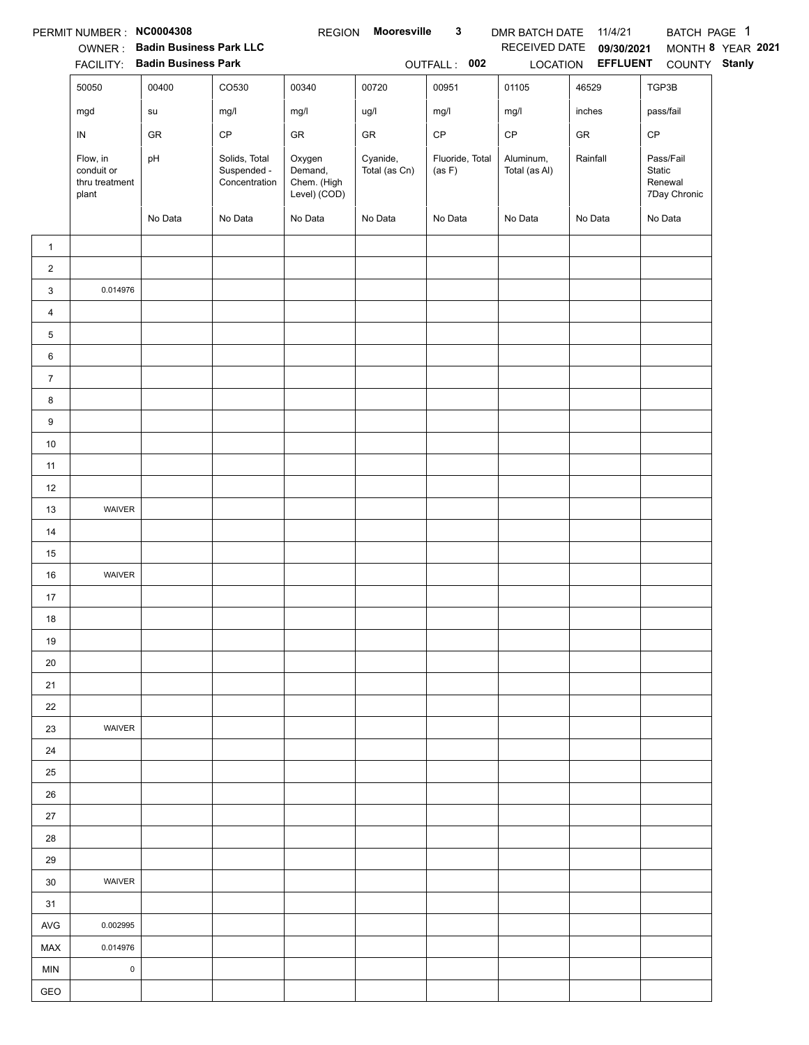|                | PERMIT NUMBER : NC0004308                         |                                                                 |                                               | <b>REGION</b>                                    | <b>Mooresville</b>        | $\mathbf{3}$              | DMR BATCH DATE 11/4/21     |                                 | BATCH PAGE 1                                   |                   |
|----------------|---------------------------------------------------|-----------------------------------------------------------------|-----------------------------------------------|--------------------------------------------------|---------------------------|---------------------------|----------------------------|---------------------------------|------------------------------------------------|-------------------|
|                |                                                   | OWNER: Badin Business Park LLC<br>FACILITY: Badin Business Park |                                               |                                                  |                           |                           | RECEIVED DATE              | 09/30/2021<br>LOCATION EFFLUENT |                                                | MONTH 8 YEAR 2021 |
|                |                                                   |                                                                 |                                               |                                                  |                           | OUTFALL: 002              |                            |                                 | COUNTY Stanly                                  |                   |
|                | 50050                                             | 00400                                                           | CO530                                         | 00340                                            | 00720                     | 00951                     | 01105                      | 46529                           | TGP3B                                          |                   |
|                | mgd                                               | su                                                              | mg/l                                          | mg/l                                             | ug/l                      | mg/l                      | mg/l                       | inches                          | pass/fail                                      |                   |
|                | IN                                                | ${\sf GR}$                                                      | $\mathsf{CP}$                                 | ${\sf GR}$                                       | GR                        | $\mathsf{CP}$             | $\mathsf{CP}$              | GR                              | CP                                             |                   |
|                | Flow, in<br>conduit or<br>thru treatment<br>plant | pH                                                              | Solids, Total<br>Suspended -<br>Concentration | Oxygen<br>Demand,<br>Chem. (High<br>Level) (COD) | Cyanide,<br>Total (as Cn) | Fluoride, Total<br>(as F) | Aluminum,<br>Total (as Al) | Rainfall                        | Pass/Fail<br>Static<br>Renewal<br>7Day Chronic |                   |
|                |                                                   | No Data                                                         | No Data                                       | No Data                                          | No Data                   | No Data                   | No Data                    | No Data                         | No Data                                        |                   |
| $\mathbf{1}$   |                                                   |                                                                 |                                               |                                                  |                           |                           |                            |                                 |                                                |                   |
| $\overline{c}$ |                                                   |                                                                 |                                               |                                                  |                           |                           |                            |                                 |                                                |                   |
| 3              | 0.014976                                          |                                                                 |                                               |                                                  |                           |                           |                            |                                 |                                                |                   |
| 4              |                                                   |                                                                 |                                               |                                                  |                           |                           |                            |                                 |                                                |                   |
| 5              |                                                   |                                                                 |                                               |                                                  |                           |                           |                            |                                 |                                                |                   |
| 6              |                                                   |                                                                 |                                               |                                                  |                           |                           |                            |                                 |                                                |                   |
| $\overline{7}$ |                                                   |                                                                 |                                               |                                                  |                           |                           |                            |                                 |                                                |                   |
| 8              |                                                   |                                                                 |                                               |                                                  |                           |                           |                            |                                 |                                                |                   |
| 9              |                                                   |                                                                 |                                               |                                                  |                           |                           |                            |                                 |                                                |                   |
| $10\,$         |                                                   |                                                                 |                                               |                                                  |                           |                           |                            |                                 |                                                |                   |
| 11             |                                                   |                                                                 |                                               |                                                  |                           |                           |                            |                                 |                                                |                   |
| 12             |                                                   |                                                                 |                                               |                                                  |                           |                           |                            |                                 |                                                |                   |
| 13             | WAIVER                                            |                                                                 |                                               |                                                  |                           |                           |                            |                                 |                                                |                   |
| 14             |                                                   |                                                                 |                                               |                                                  |                           |                           |                            |                                 |                                                |                   |
| 15             |                                                   |                                                                 |                                               |                                                  |                           |                           |                            |                                 |                                                |                   |
| 16             | WAIVER                                            |                                                                 |                                               |                                                  |                           |                           |                            |                                 |                                                |                   |
| 17             |                                                   |                                                                 |                                               |                                                  |                           |                           |                            |                                 |                                                |                   |
| $18$           |                                                   |                                                                 |                                               |                                                  |                           |                           |                            |                                 |                                                |                   |
| 19             |                                                   |                                                                 |                                               |                                                  |                           |                           |                            |                                 |                                                |                   |
| 20             |                                                   |                                                                 |                                               |                                                  |                           |                           |                            |                                 |                                                |                   |
| 21             |                                                   |                                                                 |                                               |                                                  |                           |                           |                            |                                 |                                                |                   |
| 22             |                                                   |                                                                 |                                               |                                                  |                           |                           |                            |                                 |                                                |                   |
| 23             | <b>WAIVER</b>                                     |                                                                 |                                               |                                                  |                           |                           |                            |                                 |                                                |                   |
| 24             |                                                   |                                                                 |                                               |                                                  |                           |                           |                            |                                 |                                                |                   |
| 25             |                                                   |                                                                 |                                               |                                                  |                           |                           |                            |                                 |                                                |                   |
| 26             |                                                   |                                                                 |                                               |                                                  |                           |                           |                            |                                 |                                                |                   |
| 27             |                                                   |                                                                 |                                               |                                                  |                           |                           |                            |                                 |                                                |                   |
| 28             |                                                   |                                                                 |                                               |                                                  |                           |                           |                            |                                 |                                                |                   |
| 29             |                                                   |                                                                 |                                               |                                                  |                           |                           |                            |                                 |                                                |                   |
| 30             | WAIVER                                            |                                                                 |                                               |                                                  |                           |                           |                            |                                 |                                                |                   |
| 31             |                                                   |                                                                 |                                               |                                                  |                           |                           |                            |                                 |                                                |                   |
| AVG            | 0.002995                                          |                                                                 |                                               |                                                  |                           |                           |                            |                                 |                                                |                   |
| MAX            | 0.014976                                          |                                                                 |                                               |                                                  |                           |                           |                            |                                 |                                                |                   |
| <b>MIN</b>     | $\pmb{0}$                                         |                                                                 |                                               |                                                  |                           |                           |                            |                                 |                                                |                   |
| GEO            |                                                   |                                                                 |                                               |                                                  |                           |                           |                            |                                 |                                                |                   |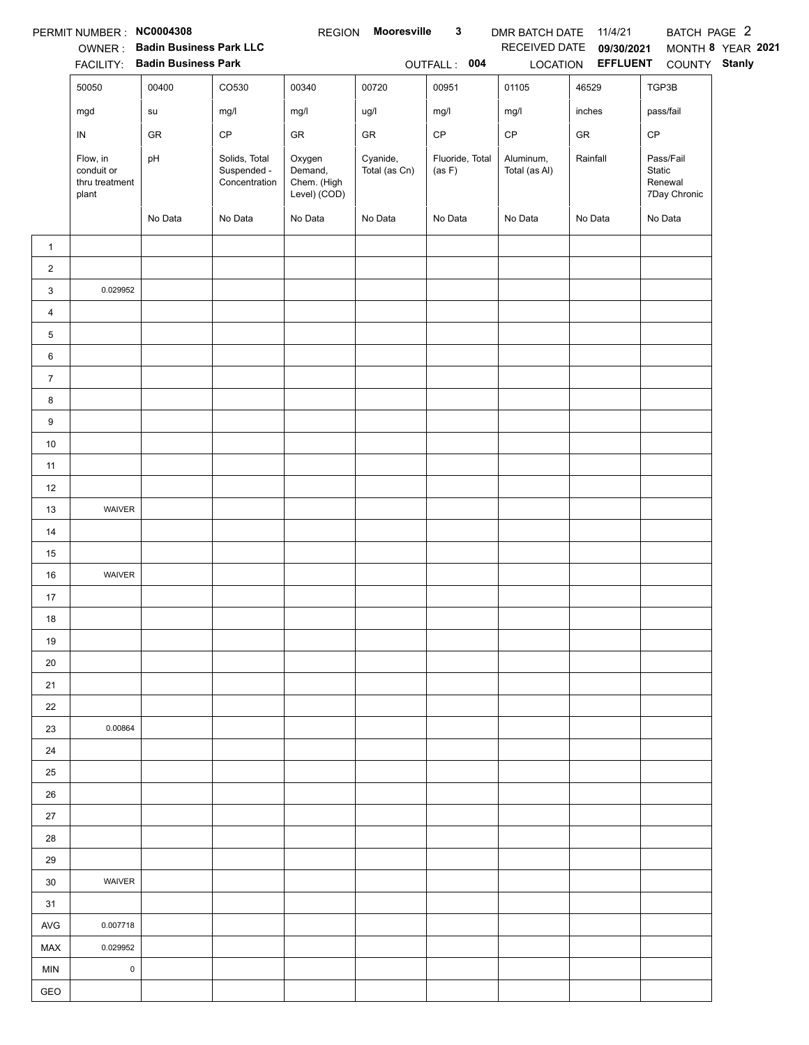|                | PERMIT NUMBER: NC0004308                          |                                |                                               | <b>REGION</b>                                    | <b>Mooresville</b>        | $\mathbf{3}$              | DMR BATCH DATE 11/4/21     |                   | BATCH PAGE 2                                   |                   |
|----------------|---------------------------------------------------|--------------------------------|-----------------------------------------------|--------------------------------------------------|---------------------------|---------------------------|----------------------------|-------------------|------------------------------------------------|-------------------|
|                |                                                   | OWNER: Badin Business Park LLC |                                               |                                                  |                           |                           | RECEIVED DATE              | 09/30/2021        |                                                | MONTH 8 YEAR 2021 |
|                |                                                   | FACILITY: Badin Business Park  |                                               |                                                  |                           | OUTFALL: 004              |                            | LOCATION EFFLUENT | COUNTY Stanly                                  |                   |
|                | 50050                                             | 00400                          | CO530                                         | 00340                                            | 00720                     | 00951                     | 01105                      | 46529             | TGP3B                                          |                   |
|                | mgd                                               | su                             | mg/l                                          | mg/l                                             | ug/l                      | mg/l                      | mg/l                       | inches            | pass/fail                                      |                   |
|                | IN                                                | GR                             | $\mathsf{CP}$                                 | ${\sf GR}$                                       | GR                        | $\mathsf{CP}$             | $\mathsf{CP}$              | ${\sf GR}$        | CP                                             |                   |
|                | Flow, in<br>conduit or<br>thru treatment<br>plant | pH                             | Solids, Total<br>Suspended -<br>Concentration | Oxygen<br>Demand,<br>Chem. (High<br>Level) (COD) | Cyanide,<br>Total (as Cn) | Fluoride, Total<br>(as F) | Aluminum,<br>Total (as Al) | Rainfall          | Pass/Fail<br>Static<br>Renewal<br>7Day Chronic |                   |
|                |                                                   | No Data                        | No Data                                       | No Data                                          | No Data                   | No Data                   | No Data                    | No Data           | No Data                                        |                   |
| $\mathbf{1}$   |                                                   |                                |                                               |                                                  |                           |                           |                            |                   |                                                |                   |
| $\overline{2}$ |                                                   |                                |                                               |                                                  |                           |                           |                            |                   |                                                |                   |
| 3              | 0.029952                                          |                                |                                               |                                                  |                           |                           |                            |                   |                                                |                   |
| $\overline{4}$ |                                                   |                                |                                               |                                                  |                           |                           |                            |                   |                                                |                   |
| 5              |                                                   |                                |                                               |                                                  |                           |                           |                            |                   |                                                |                   |
| 6              |                                                   |                                |                                               |                                                  |                           |                           |                            |                   |                                                |                   |
| $\overline{7}$ |                                                   |                                |                                               |                                                  |                           |                           |                            |                   |                                                |                   |
| 8              |                                                   |                                |                                               |                                                  |                           |                           |                            |                   |                                                |                   |
| 9              |                                                   |                                |                                               |                                                  |                           |                           |                            |                   |                                                |                   |
| $10\,$         |                                                   |                                |                                               |                                                  |                           |                           |                            |                   |                                                |                   |
| 11             |                                                   |                                |                                               |                                                  |                           |                           |                            |                   |                                                |                   |
| 12             |                                                   |                                |                                               |                                                  |                           |                           |                            |                   |                                                |                   |
| 13             | WAIVER                                            |                                |                                               |                                                  |                           |                           |                            |                   |                                                |                   |
| 14             |                                                   |                                |                                               |                                                  |                           |                           |                            |                   |                                                |                   |
| 15             |                                                   |                                |                                               |                                                  |                           |                           |                            |                   |                                                |                   |
| 16             | WAIVER                                            |                                |                                               |                                                  |                           |                           |                            |                   |                                                |                   |
| 17             |                                                   |                                |                                               |                                                  |                           |                           |                            |                   |                                                |                   |
| 18             |                                                   |                                |                                               |                                                  |                           |                           |                            |                   |                                                |                   |
| 19             |                                                   |                                |                                               |                                                  |                           |                           |                            |                   |                                                |                   |
| 20             |                                                   |                                |                                               |                                                  |                           |                           |                            |                   |                                                |                   |
| 21             |                                                   |                                |                                               |                                                  |                           |                           |                            |                   |                                                |                   |
| 22             |                                                   |                                |                                               |                                                  |                           |                           |                            |                   |                                                |                   |
| 23             | 0.00864                                           |                                |                                               |                                                  |                           |                           |                            |                   |                                                |                   |
| 24             |                                                   |                                |                                               |                                                  |                           |                           |                            |                   |                                                |                   |
| 25             |                                                   |                                |                                               |                                                  |                           |                           |                            |                   |                                                |                   |
| 26             |                                                   |                                |                                               |                                                  |                           |                           |                            |                   |                                                |                   |
| $27\,$         |                                                   |                                |                                               |                                                  |                           |                           |                            |                   |                                                |                   |
| 28             |                                                   |                                |                                               |                                                  |                           |                           |                            |                   |                                                |                   |
| 29             |                                                   |                                |                                               |                                                  |                           |                           |                            |                   |                                                |                   |
| 30             | <b>WAIVER</b>                                     |                                |                                               |                                                  |                           |                           |                            |                   |                                                |                   |
| 31             |                                                   |                                |                                               |                                                  |                           |                           |                            |                   |                                                |                   |
| AVG            | 0.007718                                          |                                |                                               |                                                  |                           |                           |                            |                   |                                                |                   |
| <b>MAX</b>     | 0.029952                                          |                                |                                               |                                                  |                           |                           |                            |                   |                                                |                   |
| <b>MIN</b>     | $\pmb{0}$                                         |                                |                                               |                                                  |                           |                           |                            |                   |                                                |                   |
| GEO            |                                                   |                                |                                               |                                                  |                           |                           |                            |                   |                                                |                   |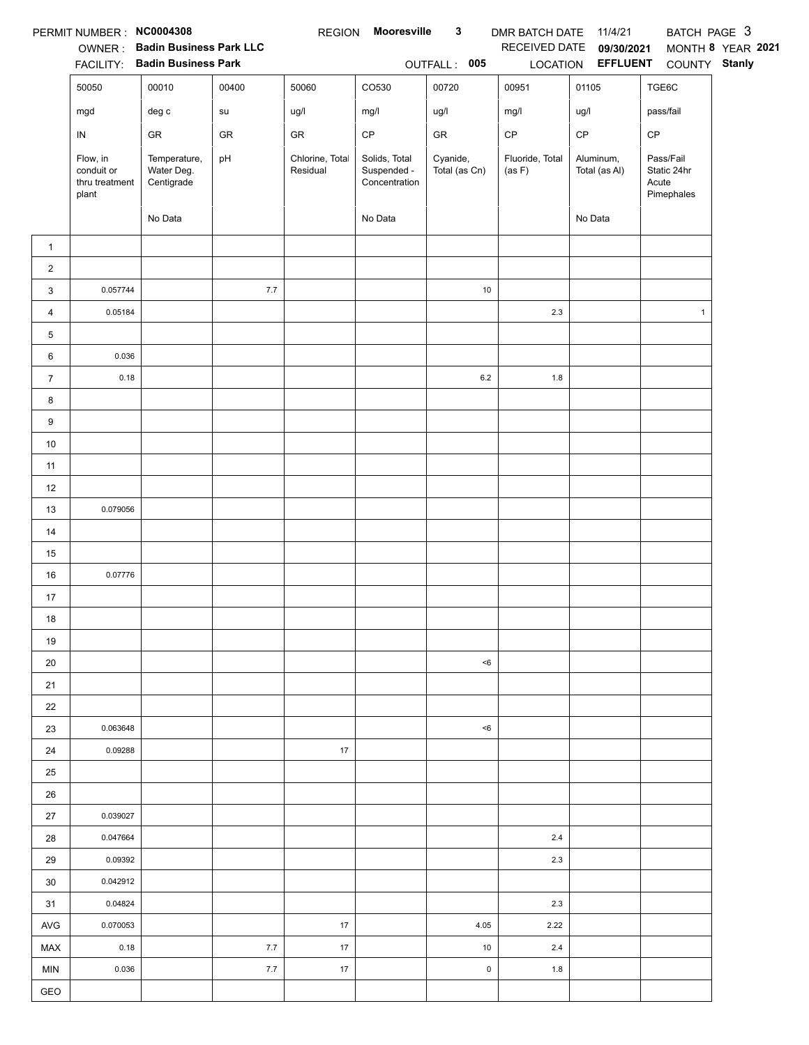|                | PERMIT NUMBER : NC0004308                         |                                                                 |            | <b>REGION</b>               | Mooresville                                   | $\mathbf{3}$              | DMR BATCH DATE            | 11/4/21                         | BATCH PAGE 3                                    |                   |
|----------------|---------------------------------------------------|-----------------------------------------------------------------|------------|-----------------------------|-----------------------------------------------|---------------------------|---------------------------|---------------------------------|-------------------------------------------------|-------------------|
|                |                                                   | OWNER: Badin Business Park LLC<br>FACILITY: Badin Business Park |            |                             |                                               | OUTFALL: 005              | RECEIVED DATE             | 09/30/2021<br>LOCATION EFFLUENT | COUNTY Stanly                                   | MONTH 8 YEAR 2021 |
|                | 50050                                             | 00010                                                           | 00400      | 50060                       | CO530                                         | 00720                     | 00951                     | 01105                           | TGE6C                                           |                   |
|                |                                                   | $\deg$ $\mathtt{c}$                                             | ${\sf su}$ |                             | mg/l                                          | ug/l                      | mg/l                      | ug/l                            | pass/fail                                       |                   |
|                | mgd                                               |                                                                 |            | ug/l                        |                                               |                           |                           |                                 |                                                 |                   |
|                | ${\sf IN}$                                        | ${\sf GR}$                                                      | ${\sf GR}$ | GR                          | $\mathsf{CP}$                                 | ${\sf GR}$                | $\mathsf{CP}$             | $\mathsf{CP}$                   | CP                                              |                   |
|                | Flow, in<br>conduit or<br>thru treatment<br>plant | Temperature,<br>Water Deg.<br>Centigrade                        | pH         | Chlorine, Total<br>Residual | Solids, Total<br>Suspended -<br>Concentration | Cyanide,<br>Total (as Cn) | Fluoride, Total<br>(as F) | Aluminum,<br>Total (as Al)      | Pass/Fail<br>Static 24hr<br>Acute<br>Pimephales |                   |
|                |                                                   | No Data                                                         |            |                             | No Data                                       |                           |                           | No Data                         |                                                 |                   |
| $\mathbf{1}$   |                                                   |                                                                 |            |                             |                                               |                           |                           |                                 |                                                 |                   |
| $\overline{2}$ |                                                   |                                                                 |            |                             |                                               |                           |                           |                                 |                                                 |                   |
| 3              | 0.057744                                          |                                                                 | 7.7        |                             |                                               | 10                        |                           |                                 |                                                 |                   |
| $\overline{4}$ | 0.05184                                           |                                                                 |            |                             |                                               |                           | $2.3\,$                   |                                 | $\mathbf{1}$                                    |                   |
| 5              |                                                   |                                                                 |            |                             |                                               |                           |                           |                                 |                                                 |                   |
| 6              | 0.036                                             |                                                                 |            |                             |                                               |                           |                           |                                 |                                                 |                   |
| $\overline{7}$ | 0.18                                              |                                                                 |            |                             |                                               | $6.2\,$                   | 1.8                       |                                 |                                                 |                   |
| 8              |                                                   |                                                                 |            |                             |                                               |                           |                           |                                 |                                                 |                   |
| 9              |                                                   |                                                                 |            |                             |                                               |                           |                           |                                 |                                                 |                   |
| 10             |                                                   |                                                                 |            |                             |                                               |                           |                           |                                 |                                                 |                   |
| 11             |                                                   |                                                                 |            |                             |                                               |                           |                           |                                 |                                                 |                   |
| 12             |                                                   |                                                                 |            |                             |                                               |                           |                           |                                 |                                                 |                   |
| 13             | 0.079056                                          |                                                                 |            |                             |                                               |                           |                           |                                 |                                                 |                   |
| 14             |                                                   |                                                                 |            |                             |                                               |                           |                           |                                 |                                                 |                   |
| 15             |                                                   |                                                                 |            |                             |                                               |                           |                           |                                 |                                                 |                   |
| 16             | 0.07776                                           |                                                                 |            |                             |                                               |                           |                           |                                 |                                                 |                   |
| 17             |                                                   |                                                                 |            |                             |                                               |                           |                           |                                 |                                                 |                   |
| 18             |                                                   |                                                                 |            |                             |                                               |                           |                           |                                 |                                                 |                   |
| 19             |                                                   |                                                                 |            |                             |                                               |                           |                           |                                 |                                                 |                   |
| 20             |                                                   |                                                                 |            |                             |                                               | $6$                       |                           |                                 |                                                 |                   |
| 21             |                                                   |                                                                 |            |                             |                                               |                           |                           |                                 |                                                 |                   |
| 22             |                                                   |                                                                 |            |                             |                                               |                           |                           |                                 |                                                 |                   |
| 23             | 0.063648                                          |                                                                 |            |                             |                                               | $6$                       |                           |                                 |                                                 |                   |
| 24             | 0.09288                                           |                                                                 |            | 17                          |                                               |                           |                           |                                 |                                                 |                   |
| 25             |                                                   |                                                                 |            |                             |                                               |                           |                           |                                 |                                                 |                   |
| 26             |                                                   |                                                                 |            |                             |                                               |                           |                           |                                 |                                                 |                   |
| 27             | 0.039027                                          |                                                                 |            |                             |                                               |                           |                           |                                 |                                                 |                   |
| 28             | 0.047664                                          |                                                                 |            |                             |                                               |                           | $2.4\,$                   |                                 |                                                 |                   |
| 29             | 0.09392                                           |                                                                 |            |                             |                                               |                           | 2.3                       |                                 |                                                 |                   |
| 30             | 0.042912                                          |                                                                 |            |                             |                                               |                           |                           |                                 |                                                 |                   |
| 31             | 0.04824                                           |                                                                 |            |                             |                                               |                           | 2.3                       |                                 |                                                 |                   |
| AVG            | 0.070053                                          |                                                                 |            | 17                          |                                               | 4.05                      | 2.22                      |                                 |                                                 |                   |
| MAX            | 0.18                                              |                                                                 | 7.7        | 17                          |                                               | 10                        | 2.4                       |                                 |                                                 |                   |
| <b>MIN</b>     | 0.036                                             |                                                                 | 7.7        | $17$                        |                                               | $\pmb{0}$                 | 1.8                       |                                 |                                                 |                   |
| GEO            |                                                   |                                                                 |            |                             |                                               |                           |                           |                                 |                                                 |                   |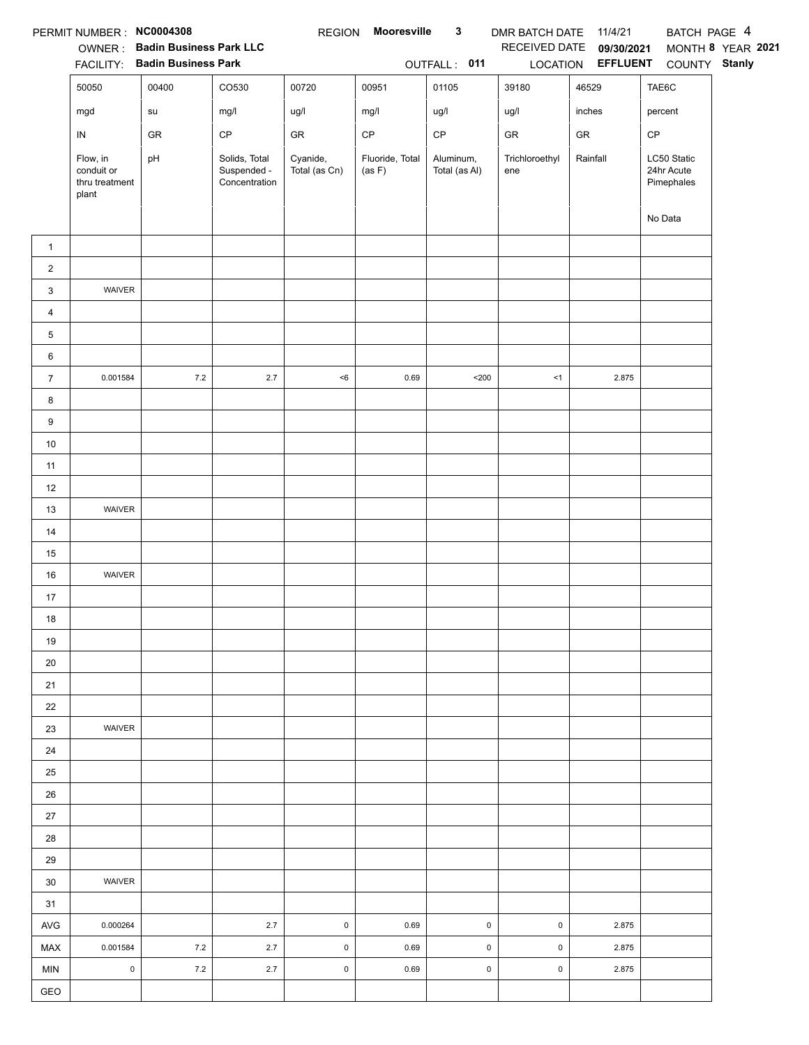|                | PERMIT NUMBER: NC0004308                          |                                |                                               | <b>REGION</b>             | <b>Mooresville</b>        | $\mathbf{3}$               | DMR BATCH DATE 11/4/21 |                   | BATCH PAGE 4                            |                   |
|----------------|---------------------------------------------------|--------------------------------|-----------------------------------------------|---------------------------|---------------------------|----------------------------|------------------------|-------------------|-----------------------------------------|-------------------|
|                |                                                   | OWNER: Badin Business Park LLC |                                               |                           |                           |                            | RECEIVED DATE          | 09/30/2021        |                                         | MONTH 8 YEAR 2021 |
|                |                                                   | FACILITY: Badin Business Park  |                                               |                           |                           | OUTFALL: 011               |                        | LOCATION EFFLUENT | COUNTY Stanly                           |                   |
|                | 50050                                             | 00400                          | CO530                                         | 00720                     | 00951                     | 01105                      | 39180                  | 46529             | TAE6C                                   |                   |
|                | mgd                                               | su                             | mg/l                                          | ug/l                      | mg/l                      | ug/l                       | ug/l                   | inches            | percent                                 |                   |
|                | IN                                                | GR                             | $\mathsf{CP}$                                 | GR                        | $\mathsf{CP}$             | $\mathsf{CP}$              | ${\sf GR}$             | ${\sf GR}$        | CP                                      |                   |
|                | Flow, in<br>conduit or<br>thru treatment<br>plant | pH                             | Solids, Total<br>Suspended -<br>Concentration | Cyanide,<br>Total (as Cn) | Fluoride, Total<br>(as F) | Aluminum,<br>Total (as Al) | Trichloroethyl<br>ene  | Rainfall          | LC50 Static<br>24hr Acute<br>Pimephales |                   |
|                |                                                   |                                |                                               |                           |                           |                            |                        |                   | No Data                                 |                   |
| $\mathbf{1}$   |                                                   |                                |                                               |                           |                           |                            |                        |                   |                                         |                   |
| $\overline{2}$ |                                                   |                                |                                               |                           |                           |                            |                        |                   |                                         |                   |
| 3              | WAIVER                                            |                                |                                               |                           |                           |                            |                        |                   |                                         |                   |
| $\overline{4}$ |                                                   |                                |                                               |                           |                           |                            |                        |                   |                                         |                   |
| 5              |                                                   |                                |                                               |                           |                           |                            |                        |                   |                                         |                   |
| 6              |                                                   |                                |                                               |                           |                           |                            |                        |                   |                                         |                   |
| $\overline{7}$ | 0.001584                                          | $7.2\,$                        | $2.7\,$                                       | $<\!6$                    | 0.69                      | $200$                      | < 1                    | 2.875             |                                         |                   |
| 8              |                                                   |                                |                                               |                           |                           |                            |                        |                   |                                         |                   |
| 9              |                                                   |                                |                                               |                           |                           |                            |                        |                   |                                         |                   |
| $10\,$         |                                                   |                                |                                               |                           |                           |                            |                        |                   |                                         |                   |
| 11             |                                                   |                                |                                               |                           |                           |                            |                        |                   |                                         |                   |
| 12             |                                                   |                                |                                               |                           |                           |                            |                        |                   |                                         |                   |
| 13             | WAIVER                                            |                                |                                               |                           |                           |                            |                        |                   |                                         |                   |
| 14             |                                                   |                                |                                               |                           |                           |                            |                        |                   |                                         |                   |
| 15             |                                                   |                                |                                               |                           |                           |                            |                        |                   |                                         |                   |
| 16             | WAIVER                                            |                                |                                               |                           |                           |                            |                        |                   |                                         |                   |
| 17             |                                                   |                                |                                               |                           |                           |                            |                        |                   |                                         |                   |
| 18             |                                                   |                                |                                               |                           |                           |                            |                        |                   |                                         |                   |
| 19             |                                                   |                                |                                               |                           |                           |                            |                        |                   |                                         |                   |
| 20             |                                                   |                                |                                               |                           |                           |                            |                        |                   |                                         |                   |
| 21             |                                                   |                                |                                               |                           |                           |                            |                        |                   |                                         |                   |
| 22             |                                                   |                                |                                               |                           |                           |                            |                        |                   |                                         |                   |
| 23             | <b>WAIVER</b>                                     |                                |                                               |                           |                           |                            |                        |                   |                                         |                   |
| 24             |                                                   |                                |                                               |                           |                           |                            |                        |                   |                                         |                   |
| 25             |                                                   |                                |                                               |                           |                           |                            |                        |                   |                                         |                   |
| 26             |                                                   |                                |                                               |                           |                           |                            |                        |                   |                                         |                   |
| 27             |                                                   |                                |                                               |                           |                           |                            |                        |                   |                                         |                   |
| 28             |                                                   |                                |                                               |                           |                           |                            |                        |                   |                                         |                   |
| 29             |                                                   |                                |                                               |                           |                           |                            |                        |                   |                                         |                   |
| 30             | <b>WAIVER</b>                                     |                                |                                               |                           |                           |                            |                        |                   |                                         |                   |
| 31             |                                                   |                                |                                               |                           |                           |                            |                        |                   |                                         |                   |
| AVG            | 0.000264                                          |                                | 2.7                                           | $\mathsf{O}\xspace$       | 0.69                      | $\pmb{0}$                  | $\mathsf 0$            | 2.875             |                                         |                   |
| MAX            | 0.001584                                          | 7.2                            | 2.7                                           | $\mathsf 0$               | 0.69                      | $\mathsf 0$                | $\mathbf 0$            | 2.875             |                                         |                   |
| <b>MIN</b>     | $\mathsf 0$                                       | $7.2\,$                        | 2.7                                           | $\mathsf{O}\xspace$       | 0.69                      | $\pmb{0}$                  | $\pmb{0}$              | 2.875             |                                         |                   |
| GEO            |                                                   |                                |                                               |                           |                           |                            |                        |                   |                                         |                   |
|                |                                                   |                                |                                               |                           |                           |                            |                        |                   |                                         |                   |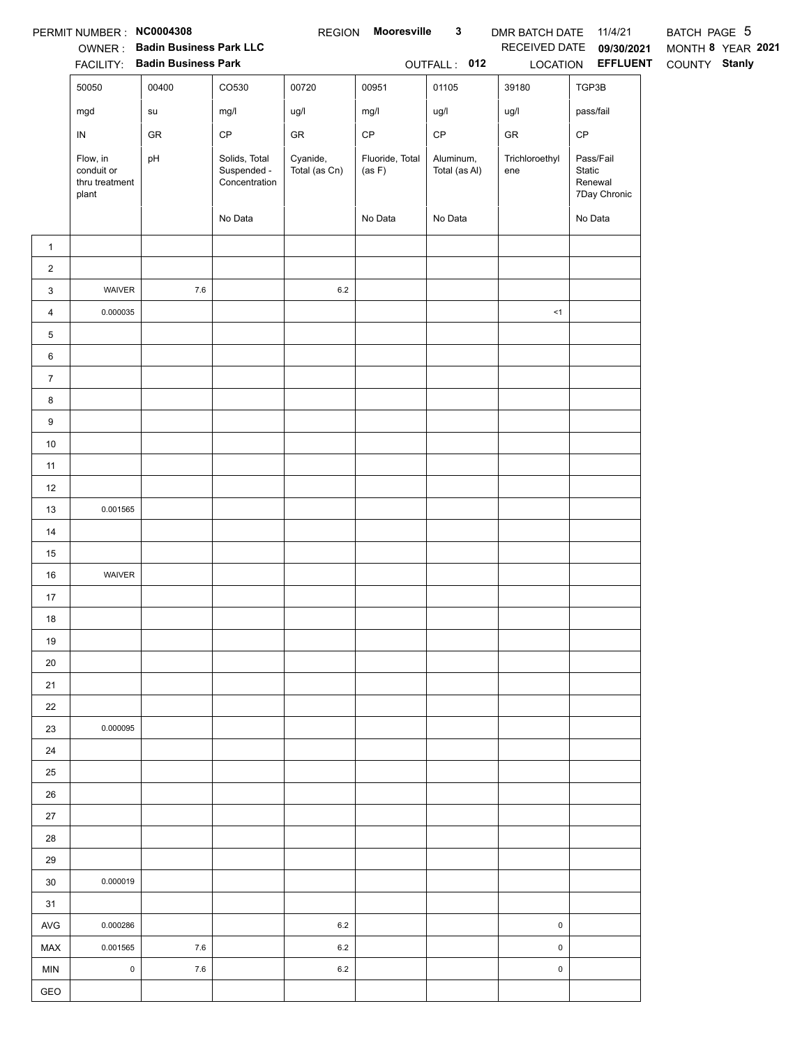|                  | PERMIT NUMBER: NC0004308                          | <b>OWNER: Badin Business Park LLC</b><br>FACILITY: Badin Business Park |                                               |                           | REGION Mooresville        | $\mathbf{3}$<br>OUTFALL: 012 | DMR BATCH DATE 11/4/21<br>LOCATION | RECEIVED DATE 09/30/2021<br><b>EFFLUENT</b>    | BATCH PAGE 5<br>MONTH 8 YEAR 2021<br>COUNTY Stanly |
|------------------|---------------------------------------------------|------------------------------------------------------------------------|-----------------------------------------------|---------------------------|---------------------------|------------------------------|------------------------------------|------------------------------------------------|----------------------------------------------------|
|                  | 50050                                             | 00400                                                                  | CO530                                         | 00720                     | 00951                     | 01105                        | 39180                              | TGP3B                                          |                                                    |
|                  | mgd                                               | su                                                                     | mg/l                                          | ug/l                      | mg/l                      | ug/l                         | ug/l                               | pass/fail                                      |                                                    |
|                  | ${\sf IN}$                                        | GR                                                                     | $\mathsf{CP}$                                 | ${\sf GR}$                | $\mathsf{CP}$             | $\mathsf{CP}$                | GR                                 | $\mathsf{CP}$                                  |                                                    |
|                  | Flow, in<br>conduit or<br>thru treatment<br>plant | pH                                                                     | Solids, Total<br>Suspended -<br>Concentration | Cyanide,<br>Total (as Cn) | Fluoride, Total<br>(as F) | Aluminum,<br>Total (as Al)   | Trichloroethyl<br>ene              | Pass/Fail<br>Static<br>Renewal<br>7Day Chronic |                                                    |
|                  |                                                   |                                                                        | No Data                                       |                           | No Data                   | No Data                      |                                    | No Data                                        |                                                    |
| $\mathbf{1}$     |                                                   |                                                                        |                                               |                           |                           |                              |                                    |                                                |                                                    |
| $\overline{a}$   |                                                   |                                                                        |                                               |                           |                           |                              |                                    |                                                |                                                    |
| 3                | WAIVER                                            | $7.6\,$                                                                |                                               | 6.2                       |                           |                              |                                    |                                                |                                                    |
| $\overline{4}$   | 0.000035                                          |                                                                        |                                               |                           |                           |                              | <1                                 |                                                |                                                    |
| 5                |                                                   |                                                                        |                                               |                           |                           |                              |                                    |                                                |                                                    |
| 6                |                                                   |                                                                        |                                               |                           |                           |                              |                                    |                                                |                                                    |
| $\boldsymbol{7}$ |                                                   |                                                                        |                                               |                           |                           |                              |                                    |                                                |                                                    |
| 8                |                                                   |                                                                        |                                               |                           |                           |                              |                                    |                                                |                                                    |
| 9                |                                                   |                                                                        |                                               |                           |                           |                              |                                    |                                                |                                                    |
| 10               |                                                   |                                                                        |                                               |                           |                           |                              |                                    |                                                |                                                    |
| 11               |                                                   |                                                                        |                                               |                           |                           |                              |                                    |                                                |                                                    |
| 12               |                                                   |                                                                        |                                               |                           |                           |                              |                                    |                                                |                                                    |
| 13               | 0.001565                                          |                                                                        |                                               |                           |                           |                              |                                    |                                                |                                                    |
| 14               |                                                   |                                                                        |                                               |                           |                           |                              |                                    |                                                |                                                    |
| 15               |                                                   |                                                                        |                                               |                           |                           |                              |                                    |                                                |                                                    |
| 16               | <b>WAIVER</b>                                     |                                                                        |                                               |                           |                           |                              |                                    |                                                |                                                    |
| 17               |                                                   |                                                                        |                                               |                           |                           |                              |                                    |                                                |                                                    |
| 18               |                                                   |                                                                        |                                               |                           |                           |                              |                                    |                                                |                                                    |
| 19               |                                                   |                                                                        |                                               |                           |                           |                              |                                    |                                                |                                                    |
| 20               |                                                   |                                                                        |                                               |                           |                           |                              |                                    |                                                |                                                    |
| 21               |                                                   |                                                                        |                                               |                           |                           |                              |                                    |                                                |                                                    |
| 22               |                                                   |                                                                        |                                               |                           |                           |                              |                                    |                                                |                                                    |
| 23               | 0.000095                                          |                                                                        |                                               |                           |                           |                              |                                    |                                                |                                                    |
| 24               |                                                   |                                                                        |                                               |                           |                           |                              |                                    |                                                |                                                    |
| 25               |                                                   |                                                                        |                                               |                           |                           |                              |                                    |                                                |                                                    |
| 26<br>27         |                                                   |                                                                        |                                               |                           |                           |                              |                                    |                                                |                                                    |
| 28               |                                                   |                                                                        |                                               |                           |                           |                              |                                    |                                                |                                                    |
| 29               |                                                   |                                                                        |                                               |                           |                           |                              |                                    |                                                |                                                    |
| 30               | 0.000019                                          |                                                                        |                                               |                           |                           |                              |                                    |                                                |                                                    |
| 31               |                                                   |                                                                        |                                               |                           |                           |                              |                                    |                                                |                                                    |
| AVG              | 0.000286                                          |                                                                        |                                               | 6.2                       |                           |                              | $\pmb{0}$                          |                                                |                                                    |
| MAX              | 0.001565                                          | $7.6\,$                                                                |                                               | 6.2                       |                           |                              | $\mathsf 0$                        |                                                |                                                    |
| <b>MIN</b>       | $\mathbf 0$                                       | $7.6\,$                                                                |                                               | 6.2                       |                           |                              | $\pmb{0}$                          |                                                |                                                    |
| GEO              |                                                   |                                                                        |                                               |                           |                           |                              |                                    |                                                |                                                    |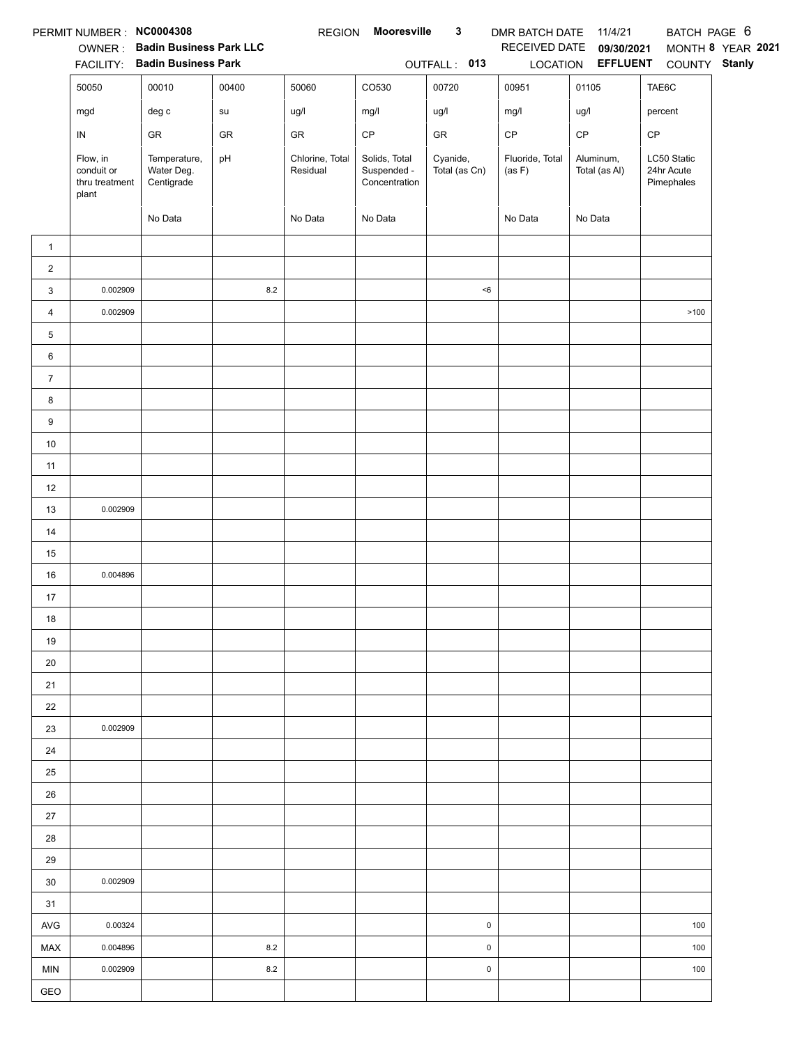|                | PERMIT NUMBER : NC0004308                         |                                          |            | <b>REGION</b>               | Mooresville                                   | $\mathbf{3}$              | DMR BATCH DATE 11/4/21    |                            | BATCH PAGE 6                            |                   |
|----------------|---------------------------------------------------|------------------------------------------|------------|-----------------------------|-----------------------------------------------|---------------------------|---------------------------|----------------------------|-----------------------------------------|-------------------|
|                |                                                   | OWNER: Badin Business Park LLC           |            |                             |                                               |                           | RECEIVED DATE             | 09/30/2021                 |                                         | MONTH 8 YEAR 2021 |
|                |                                                   | FACILITY: Badin Business Park            | 00400      |                             |                                               | OUTFALL: 013<br>00720     |                           | LOCATION EFFLUENT          | COUNTY Stanly                           |                   |
|                | 50050                                             | 00010                                    |            | 50060                       | CO530                                         |                           | 00951                     | 01105                      | TAE6C                                   |                   |
|                | mgd                                               | $\deg$ $\mathtt{c}$                      | su         | ug/l                        | mg/l                                          | ug/l                      | mg/l                      | ug/l                       | percent                                 |                   |
|                | ${\sf IN}$                                        | GR                                       | ${\sf GR}$ | ${\sf GR}$                  | $\mathsf{CP}$                                 | ${\sf GR}$                | $\mathsf{CP}$             | $\mathsf{CP}$              | CP                                      |                   |
|                | Flow, in<br>conduit or<br>thru treatment<br>plant | Temperature,<br>Water Deg.<br>Centigrade | pH         | Chlorine, Total<br>Residual | Solids, Total<br>Suspended -<br>Concentration | Cyanide,<br>Total (as Cn) | Fluoride, Total<br>(as F) | Aluminum,<br>Total (as Al) | LC50 Static<br>24hr Acute<br>Pimephales |                   |
|                |                                                   | No Data                                  |            | No Data                     | No Data                                       |                           | No Data                   | No Data                    |                                         |                   |
| $\mathbf{1}$   |                                                   |                                          |            |                             |                                               |                           |                           |                            |                                         |                   |
| $\sqrt{2}$     |                                                   |                                          |            |                             |                                               |                           |                           |                            |                                         |                   |
| 3              | 0.002909                                          |                                          | $\bf 8.2$  |                             |                                               | < 6                       |                           |                            |                                         |                   |
| $\overline{4}$ | 0.002909                                          |                                          |            |                             |                                               |                           |                           |                            | >100                                    |                   |
| 5              |                                                   |                                          |            |                             |                                               |                           |                           |                            |                                         |                   |
| 6              |                                                   |                                          |            |                             |                                               |                           |                           |                            |                                         |                   |
| $\overline{7}$ |                                                   |                                          |            |                             |                                               |                           |                           |                            |                                         |                   |
| 8              |                                                   |                                          |            |                             |                                               |                           |                           |                            |                                         |                   |
| 9              |                                                   |                                          |            |                             |                                               |                           |                           |                            |                                         |                   |
| $10\,$         |                                                   |                                          |            |                             |                                               |                           |                           |                            |                                         |                   |
| 11             |                                                   |                                          |            |                             |                                               |                           |                           |                            |                                         |                   |
| 12             |                                                   |                                          |            |                             |                                               |                           |                           |                            |                                         |                   |
| 13             | 0.002909                                          |                                          |            |                             |                                               |                           |                           |                            |                                         |                   |
| $14$           |                                                   |                                          |            |                             |                                               |                           |                           |                            |                                         |                   |
| 15             |                                                   |                                          |            |                             |                                               |                           |                           |                            |                                         |                   |
| 16             | 0.004896                                          |                                          |            |                             |                                               |                           |                           |                            |                                         |                   |
| 17             |                                                   |                                          |            |                             |                                               |                           |                           |                            |                                         |                   |
| 18             |                                                   |                                          |            |                             |                                               |                           |                           |                            |                                         |                   |
| 19             |                                                   |                                          |            |                             |                                               |                           |                           |                            |                                         |                   |
| 20             |                                                   |                                          |            |                             |                                               |                           |                           |                            |                                         |                   |
| 21             |                                                   |                                          |            |                             |                                               |                           |                           |                            |                                         |                   |
| 22             |                                                   |                                          |            |                             |                                               |                           |                           |                            |                                         |                   |
| 23             | 0.002909                                          |                                          |            |                             |                                               |                           |                           |                            |                                         |                   |
| 24             |                                                   |                                          |            |                             |                                               |                           |                           |                            |                                         |                   |
| 25             |                                                   |                                          |            |                             |                                               |                           |                           |                            |                                         |                   |
| 26             |                                                   |                                          |            |                             |                                               |                           |                           |                            |                                         |                   |
| 27             |                                                   |                                          |            |                             |                                               |                           |                           |                            |                                         |                   |
| 28             |                                                   |                                          |            |                             |                                               |                           |                           |                            |                                         |                   |
| 29             |                                                   |                                          |            |                             |                                               |                           |                           |                            |                                         |                   |
| 30             | 0.002909                                          |                                          |            |                             |                                               |                           |                           |                            |                                         |                   |
| 31             |                                                   |                                          |            |                             |                                               |                           |                           |                            |                                         |                   |
| AVG            | 0.00324                                           |                                          |            |                             |                                               | $\pmb{0}$                 |                           |                            | 100                                     |                   |
| MAX            | 0.004896                                          |                                          | 8.2        |                             |                                               | $\pmb{0}$                 |                           |                            | 100                                     |                   |
| MIN            | 0.002909                                          |                                          | 8.2        |                             |                                               | $\pmb{0}$                 |                           |                            | 100                                     |                   |
| GEO            |                                                   |                                          |            |                             |                                               |                           |                           |                            |                                         |                   |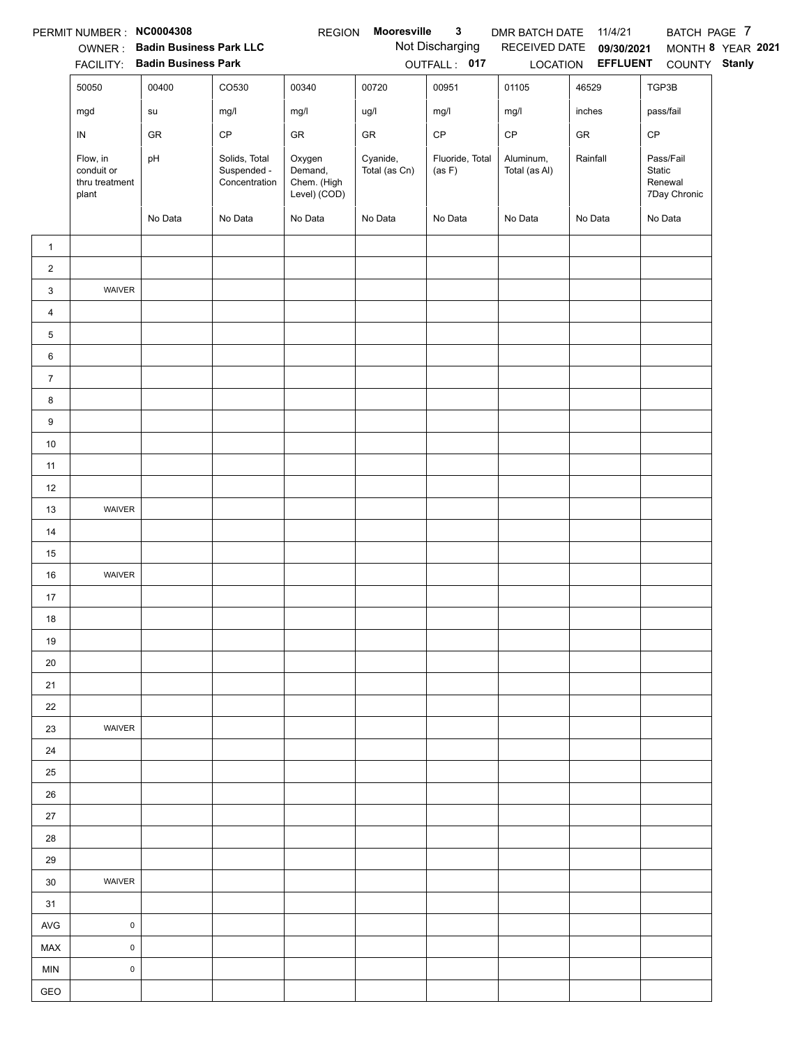|                     | PERMIT NUMBER : NC0004308                         |                                                                 |                                               | <b>REGION</b>                                    | Mooresville               | $\mathbf{3}$                    | DMR BATCH DATE             | 11/4/21                                              | BATCH PAGE 7                                   |                   |
|---------------------|---------------------------------------------------|-----------------------------------------------------------------|-----------------------------------------------|--------------------------------------------------|---------------------------|---------------------------------|----------------------------|------------------------------------------------------|------------------------------------------------|-------------------|
|                     |                                                   | OWNER: Badin Business Park LLC<br>FACILITY: Badin Business Park |                                               |                                                  |                           | Not Discharging<br>OUTFALL: 017 |                            | RECEIVED DATE 09/30/2021<br>LOCATION <b>EFFLUENT</b> | COUNTY Stanly                                  | MONTH 8 YEAR 2021 |
|                     | 50050                                             | 00400                                                           | CO530                                         | 00340                                            | 00720                     | 00951                           | 01105                      | 46529                                                | TGP3B                                          |                   |
|                     | mgd                                               | su                                                              | mg/l                                          | mg/l                                             | ug/l                      | mg/l                            | mg/l                       | inches                                               | pass/fail                                      |                   |
|                     | ${\sf IN}$                                        | GR                                                              | CP                                            | GR                                               | GR                        | $\mathsf{CP}$                   | $\mathsf{CP}$              | ${\sf GR}$                                           | CP                                             |                   |
|                     | Flow, in<br>conduit or<br>thru treatment<br>plant | pH                                                              | Solids, Total<br>Suspended -<br>Concentration | Oxygen<br>Demand,<br>Chem. (High<br>Level) (COD) | Cyanide,<br>Total (as Cn) | Fluoride, Total<br>(as F)       | Aluminum,<br>Total (as Al) | Rainfall                                             | Pass/Fail<br>Static<br>Renewal<br>7Day Chronic |                   |
|                     |                                                   | No Data                                                         | No Data                                       | No Data                                          | No Data                   | No Data                         | No Data                    | No Data                                              | No Data                                        |                   |
| $\mathbf{1}$        |                                                   |                                                                 |                                               |                                                  |                           |                                 |                            |                                                      |                                                |                   |
| $\overline{2}$      |                                                   |                                                                 |                                               |                                                  |                           |                                 |                            |                                                      |                                                |                   |
| 3<br>$\overline{4}$ | WAIVER                                            |                                                                 |                                               |                                                  |                           |                                 |                            |                                                      |                                                |                   |
| 5                   |                                                   |                                                                 |                                               |                                                  |                           |                                 |                            |                                                      |                                                |                   |
| 6                   |                                                   |                                                                 |                                               |                                                  |                           |                                 |                            |                                                      |                                                |                   |
| $\overline{7}$      |                                                   |                                                                 |                                               |                                                  |                           |                                 |                            |                                                      |                                                |                   |
| 8                   |                                                   |                                                                 |                                               |                                                  |                           |                                 |                            |                                                      |                                                |                   |
| 9                   |                                                   |                                                                 |                                               |                                                  |                           |                                 |                            |                                                      |                                                |                   |
| $10\,$              |                                                   |                                                                 |                                               |                                                  |                           |                                 |                            |                                                      |                                                |                   |
| 11                  |                                                   |                                                                 |                                               |                                                  |                           |                                 |                            |                                                      |                                                |                   |
| 12                  |                                                   |                                                                 |                                               |                                                  |                           |                                 |                            |                                                      |                                                |                   |
| 13                  | WAIVER                                            |                                                                 |                                               |                                                  |                           |                                 |                            |                                                      |                                                |                   |
| 14                  |                                                   |                                                                 |                                               |                                                  |                           |                                 |                            |                                                      |                                                |                   |
| 15                  |                                                   |                                                                 |                                               |                                                  |                           |                                 |                            |                                                      |                                                |                   |
| 16                  | WAIVER                                            |                                                                 |                                               |                                                  |                           |                                 |                            |                                                      |                                                |                   |
| 17                  |                                                   |                                                                 |                                               |                                                  |                           |                                 |                            |                                                      |                                                |                   |
| 18                  |                                                   |                                                                 |                                               |                                                  |                           |                                 |                            |                                                      |                                                |                   |
| 19                  |                                                   |                                                                 |                                               |                                                  |                           |                                 |                            |                                                      |                                                |                   |
| 20                  |                                                   |                                                                 |                                               |                                                  |                           |                                 |                            |                                                      |                                                |                   |
| 21                  |                                                   |                                                                 |                                               |                                                  |                           |                                 |                            |                                                      |                                                |                   |
| 22                  |                                                   |                                                                 |                                               |                                                  |                           |                                 |                            |                                                      |                                                |                   |
| 23                  | WAIVER                                            |                                                                 |                                               |                                                  |                           |                                 |                            |                                                      |                                                |                   |
| 24                  |                                                   |                                                                 |                                               |                                                  |                           |                                 |                            |                                                      |                                                |                   |
| 25                  |                                                   |                                                                 |                                               |                                                  |                           |                                 |                            |                                                      |                                                |                   |
| 26                  |                                                   |                                                                 |                                               |                                                  |                           |                                 |                            |                                                      |                                                |                   |
| 27                  |                                                   |                                                                 |                                               |                                                  |                           |                                 |                            |                                                      |                                                |                   |
| 28                  |                                                   |                                                                 |                                               |                                                  |                           |                                 |                            |                                                      |                                                |                   |
| 29                  |                                                   |                                                                 |                                               |                                                  |                           |                                 |                            |                                                      |                                                |                   |
| 30                  | WAIVER                                            |                                                                 |                                               |                                                  |                           |                                 |                            |                                                      |                                                |                   |
| 31                  |                                                   |                                                                 |                                               |                                                  |                           |                                 |                            |                                                      |                                                |                   |
| <b>AVG</b>          | $\mathsf 0$                                       |                                                                 |                                               |                                                  |                           |                                 |                            |                                                      |                                                |                   |
| MAX<br><b>MIN</b>   | $\mathsf{O}\xspace$<br>$\pmb{0}$                  |                                                                 |                                               |                                                  |                           |                                 |                            |                                                      |                                                |                   |
| GEO                 |                                                   |                                                                 |                                               |                                                  |                           |                                 |                            |                                                      |                                                |                   |
|                     |                                                   |                                                                 |                                               |                                                  |                           |                                 |                            |                                                      |                                                |                   |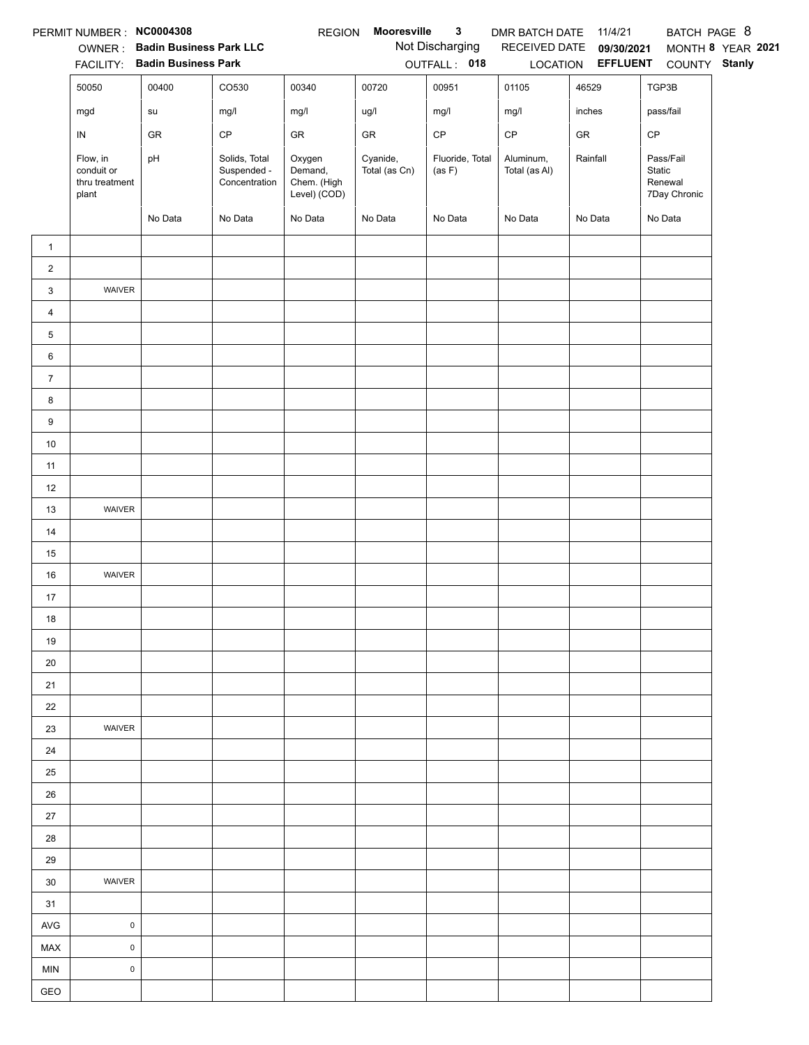|                   | PERMIT NUMBER : NC0004308                         |                                                                 |                                               | <b>REGION</b>                                    | Mooresville               | $\mathbf{3}$                    | DMR BATCH DATE             | 11/4/21                                              | BATCH PAGE 8                                   |                   |
|-------------------|---------------------------------------------------|-----------------------------------------------------------------|-----------------------------------------------|--------------------------------------------------|---------------------------|---------------------------------|----------------------------|------------------------------------------------------|------------------------------------------------|-------------------|
|                   |                                                   | OWNER: Badin Business Park LLC<br>FACILITY: Badin Business Park |                                               |                                                  |                           | Not Discharging<br>OUTFALL: 018 |                            | RECEIVED DATE 09/30/2021<br>LOCATION <b>EFFLUENT</b> | COUNTY Stanly                                  | MONTH 8 YEAR 2021 |
|                   | 50050                                             | 00400                                                           | CO530                                         | 00340                                            | 00720                     | 00951                           | 01105                      | 46529                                                | TGP3B                                          |                   |
|                   | mgd                                               | su                                                              | mg/l                                          | mg/l                                             | ug/l                      | mg/l                            | mg/l                       | inches                                               | pass/fail                                      |                   |
|                   | ${\sf IN}$                                        | GR                                                              | CP                                            | GR                                               | GR                        | $\mathsf{CP}$                   | $\mathsf{CP}$              | ${\sf GR}$                                           | CP                                             |                   |
|                   | Flow, in<br>conduit or<br>thru treatment<br>plant | pH                                                              | Solids, Total<br>Suspended -<br>Concentration | Oxygen<br>Demand,<br>Chem. (High<br>Level) (COD) | Cyanide,<br>Total (as Cn) | Fluoride, Total<br>(as F)       | Aluminum,<br>Total (as Al) | Rainfall                                             | Pass/Fail<br>Static<br>Renewal<br>7Day Chronic |                   |
|                   |                                                   | No Data                                                         | No Data                                       | No Data                                          | No Data                   | No Data                         | No Data                    | No Data                                              | No Data                                        |                   |
| $\mathbf{1}$      |                                                   |                                                                 |                                               |                                                  |                           |                                 |                            |                                                      |                                                |                   |
| $\overline{2}$    |                                                   |                                                                 |                                               |                                                  |                           |                                 |                            |                                                      |                                                |                   |
| 3                 | WAIVER                                            |                                                                 |                                               |                                                  |                           |                                 |                            |                                                      |                                                |                   |
| $\overline{4}$    |                                                   |                                                                 |                                               |                                                  |                           |                                 |                            |                                                      |                                                |                   |
| 5                 |                                                   |                                                                 |                                               |                                                  |                           |                                 |                            |                                                      |                                                |                   |
| 6                 |                                                   |                                                                 |                                               |                                                  |                           |                                 |                            |                                                      |                                                |                   |
| $\overline{7}$    |                                                   |                                                                 |                                               |                                                  |                           |                                 |                            |                                                      |                                                |                   |
| 8                 |                                                   |                                                                 |                                               |                                                  |                           |                                 |                            |                                                      |                                                |                   |
| 9                 |                                                   |                                                                 |                                               |                                                  |                           |                                 |                            |                                                      |                                                |                   |
| $10\,$            |                                                   |                                                                 |                                               |                                                  |                           |                                 |                            |                                                      |                                                |                   |
| 11                |                                                   |                                                                 |                                               |                                                  |                           |                                 |                            |                                                      |                                                |                   |
| 12                |                                                   |                                                                 |                                               |                                                  |                           |                                 |                            |                                                      |                                                |                   |
| 13                | WAIVER                                            |                                                                 |                                               |                                                  |                           |                                 |                            |                                                      |                                                |                   |
| 14                |                                                   |                                                                 |                                               |                                                  |                           |                                 |                            |                                                      |                                                |                   |
| 15                |                                                   |                                                                 |                                               |                                                  |                           |                                 |                            |                                                      |                                                |                   |
| 16                | WAIVER                                            |                                                                 |                                               |                                                  |                           |                                 |                            |                                                      |                                                |                   |
| 17                |                                                   |                                                                 |                                               |                                                  |                           |                                 |                            |                                                      |                                                |                   |
| 18                |                                                   |                                                                 |                                               |                                                  |                           |                                 |                            |                                                      |                                                |                   |
| 19                |                                                   |                                                                 |                                               |                                                  |                           |                                 |                            |                                                      |                                                |                   |
| 20                |                                                   |                                                                 |                                               |                                                  |                           |                                 |                            |                                                      |                                                |                   |
| 21                |                                                   |                                                                 |                                               |                                                  |                           |                                 |                            |                                                      |                                                |                   |
| 22                |                                                   |                                                                 |                                               |                                                  |                           |                                 |                            |                                                      |                                                |                   |
| 23                | WAIVER                                            |                                                                 |                                               |                                                  |                           |                                 |                            |                                                      |                                                |                   |
| 24                |                                                   |                                                                 |                                               |                                                  |                           |                                 |                            |                                                      |                                                |                   |
| 25                |                                                   |                                                                 |                                               |                                                  |                           |                                 |                            |                                                      |                                                |                   |
| 26                |                                                   |                                                                 |                                               |                                                  |                           |                                 |                            |                                                      |                                                |                   |
| 27                |                                                   |                                                                 |                                               |                                                  |                           |                                 |                            |                                                      |                                                |                   |
| 28                |                                                   |                                                                 |                                               |                                                  |                           |                                 |                            |                                                      |                                                |                   |
| 29                |                                                   |                                                                 |                                               |                                                  |                           |                                 |                            |                                                      |                                                |                   |
| 30                | WAIVER                                            |                                                                 |                                               |                                                  |                           |                                 |                            |                                                      |                                                |                   |
| 31                | $\mathsf 0$                                       |                                                                 |                                               |                                                  |                           |                                 |                            |                                                      |                                                |                   |
| <b>AVG</b><br>MAX | $\mathsf{O}\xspace$                               |                                                                 |                                               |                                                  |                           |                                 |                            |                                                      |                                                |                   |
| <b>MIN</b>        | $\pmb{0}$                                         |                                                                 |                                               |                                                  |                           |                                 |                            |                                                      |                                                |                   |
| GEO               |                                                   |                                                                 |                                               |                                                  |                           |                                 |                            |                                                      |                                                |                   |
|                   |                                                   |                                                                 |                                               |                                                  |                           |                                 |                            |                                                      |                                                |                   |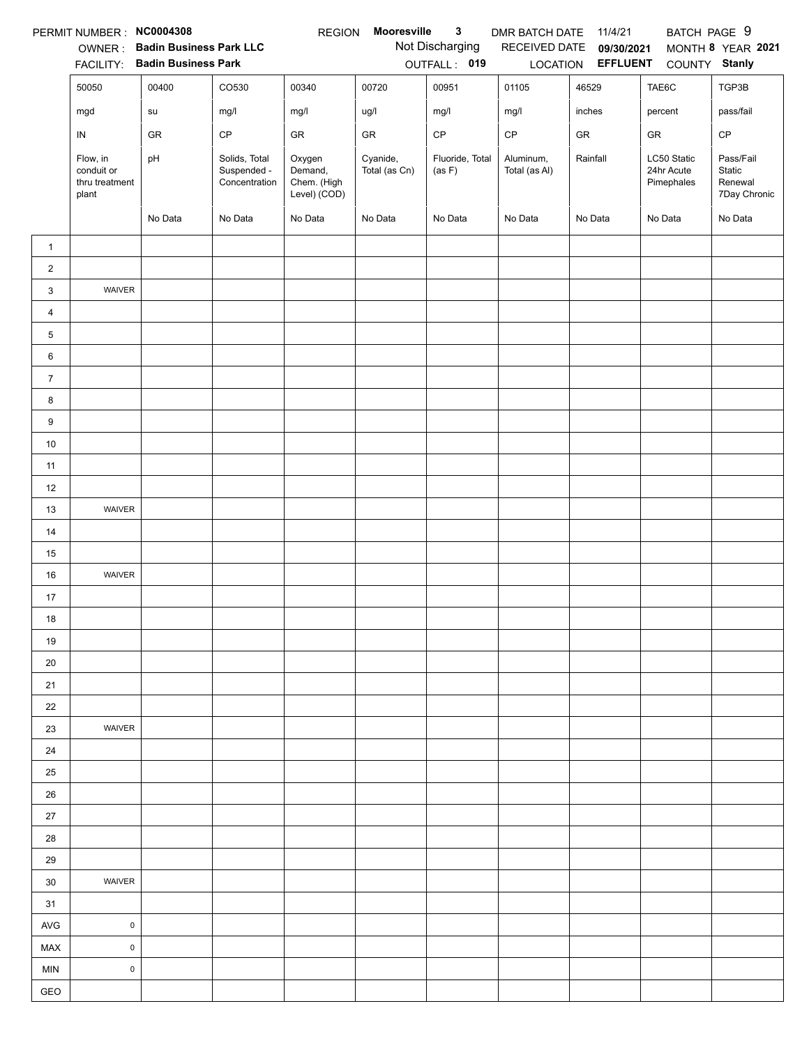|                | PERMIT NUMBER: NC0004308                          |                                |                                               | <b>REGION</b>                                    | Mooresville               | 3                         | DMR BATCH DATE             | 11/4/21                  | BATCH PAGE 9                            |                                                |
|----------------|---------------------------------------------------|--------------------------------|-----------------------------------------------|--------------------------------------------------|---------------------------|---------------------------|----------------------------|--------------------------|-----------------------------------------|------------------------------------------------|
|                | OWNER:                                            | <b>Badin Business Park LLC</b> |                                               |                                                  |                           | Not Discharging           | RECEIVED DATE              | 09/30/2021               |                                         | MONTH 8 YEAR 2021                              |
|                | <b>FACILITY:</b>                                  | <b>Badin Business Park</b>     |                                               |                                                  |                           | OUTFALL: 019              |                            | LOCATION <b>EFFLUENT</b> | COUNTY Stanly                           |                                                |
|                | 50050                                             | 00400                          | CO530                                         | 00340                                            | 00720                     | 00951                     | 01105                      | 46529                    | TAE6C                                   | TGP3B                                          |
|                | mgd                                               | su                             | mg/l                                          | mg/l                                             | ug/l                      | mg/l                      | mg/l                       | inches                   | percent                                 | pass/fail                                      |
|                | IN                                                | GR                             | CP                                            | GR                                               | GR                        | CP                        | CP                         | GR                       | GR                                      | $\mathsf{CP}$                                  |
|                | Flow, in<br>conduit or<br>thru treatment<br>plant | pH                             | Solids, Total<br>Suspended -<br>Concentration | Oxygen<br>Demand,<br>Chem. (High<br>Level) (COD) | Cyanide,<br>Total (as Cn) | Fluoride, Total<br>(as F) | Aluminum,<br>Total (as Al) | Rainfall                 | LC50 Static<br>24hr Acute<br>Pimephales | Pass/Fail<br>Static<br>Renewal<br>7Day Chronic |
|                |                                                   | No Data                        | No Data                                       | No Data                                          | No Data                   | No Data                   | No Data                    | No Data                  | No Data                                 | No Data                                        |
| $\mathbf{1}$   |                                                   |                                |                                               |                                                  |                           |                           |                            |                          |                                         |                                                |
| $\overline{2}$ |                                                   |                                |                                               |                                                  |                           |                           |                            |                          |                                         |                                                |
| 3              | WAIVER                                            |                                |                                               |                                                  |                           |                           |                            |                          |                                         |                                                |
| $\overline{4}$ |                                                   |                                |                                               |                                                  |                           |                           |                            |                          |                                         |                                                |
| 5              |                                                   |                                |                                               |                                                  |                           |                           |                            |                          |                                         |                                                |
| 6              |                                                   |                                |                                               |                                                  |                           |                           |                            |                          |                                         |                                                |
| $\overline{7}$ |                                                   |                                |                                               |                                                  |                           |                           |                            |                          |                                         |                                                |
| 8              |                                                   |                                |                                               |                                                  |                           |                           |                            |                          |                                         |                                                |
| 9              |                                                   |                                |                                               |                                                  |                           |                           |                            |                          |                                         |                                                |
| 10             |                                                   |                                |                                               |                                                  |                           |                           |                            |                          |                                         |                                                |
| 11             |                                                   |                                |                                               |                                                  |                           |                           |                            |                          |                                         |                                                |
| 12             |                                                   |                                |                                               |                                                  |                           |                           |                            |                          |                                         |                                                |
| 13             | WAIVER                                            |                                |                                               |                                                  |                           |                           |                            |                          |                                         |                                                |
| 14             |                                                   |                                |                                               |                                                  |                           |                           |                            |                          |                                         |                                                |
| 15             |                                                   |                                |                                               |                                                  |                           |                           |                            |                          |                                         |                                                |
| 16             | WAIVER                                            |                                |                                               |                                                  |                           |                           |                            |                          |                                         |                                                |
| 17             |                                                   |                                |                                               |                                                  |                           |                           |                            |                          |                                         |                                                |
| 18             |                                                   |                                |                                               |                                                  |                           |                           |                            |                          |                                         |                                                |
| 19             |                                                   |                                |                                               |                                                  |                           |                           |                            |                          |                                         |                                                |
| 20             |                                                   |                                |                                               |                                                  |                           |                           |                            |                          |                                         |                                                |
| 21             |                                                   |                                |                                               |                                                  |                           |                           |                            |                          |                                         |                                                |
| 22             |                                                   |                                |                                               |                                                  |                           |                           |                            |                          |                                         |                                                |
| 23             | <b>WAIVER</b>                                     |                                |                                               |                                                  |                           |                           |                            |                          |                                         |                                                |
| 24             |                                                   |                                |                                               |                                                  |                           |                           |                            |                          |                                         |                                                |
| 25             |                                                   |                                |                                               |                                                  |                           |                           |                            |                          |                                         |                                                |
| 26             |                                                   |                                |                                               |                                                  |                           |                           |                            |                          |                                         |                                                |
| 27             |                                                   |                                |                                               |                                                  |                           |                           |                            |                          |                                         |                                                |
| 28             |                                                   |                                |                                               |                                                  |                           |                           |                            |                          |                                         |                                                |
| 29             |                                                   |                                |                                               |                                                  |                           |                           |                            |                          |                                         |                                                |
| 30             | WAIVER                                            |                                |                                               |                                                  |                           |                           |                            |                          |                                         |                                                |
| 31             |                                                   |                                |                                               |                                                  |                           |                           |                            |                          |                                         |                                                |
| <b>AVG</b>     | $\mathsf 0$                                       |                                |                                               |                                                  |                           |                           |                            |                          |                                         |                                                |
| MAX            | $\mathsf 0$                                       |                                |                                               |                                                  |                           |                           |                            |                          |                                         |                                                |
| <b>MIN</b>     | $\pmb{0}$                                         |                                |                                               |                                                  |                           |                           |                            |                          |                                         |                                                |
| GEO            |                                                   |                                |                                               |                                                  |                           |                           |                            |                          |                                         |                                                |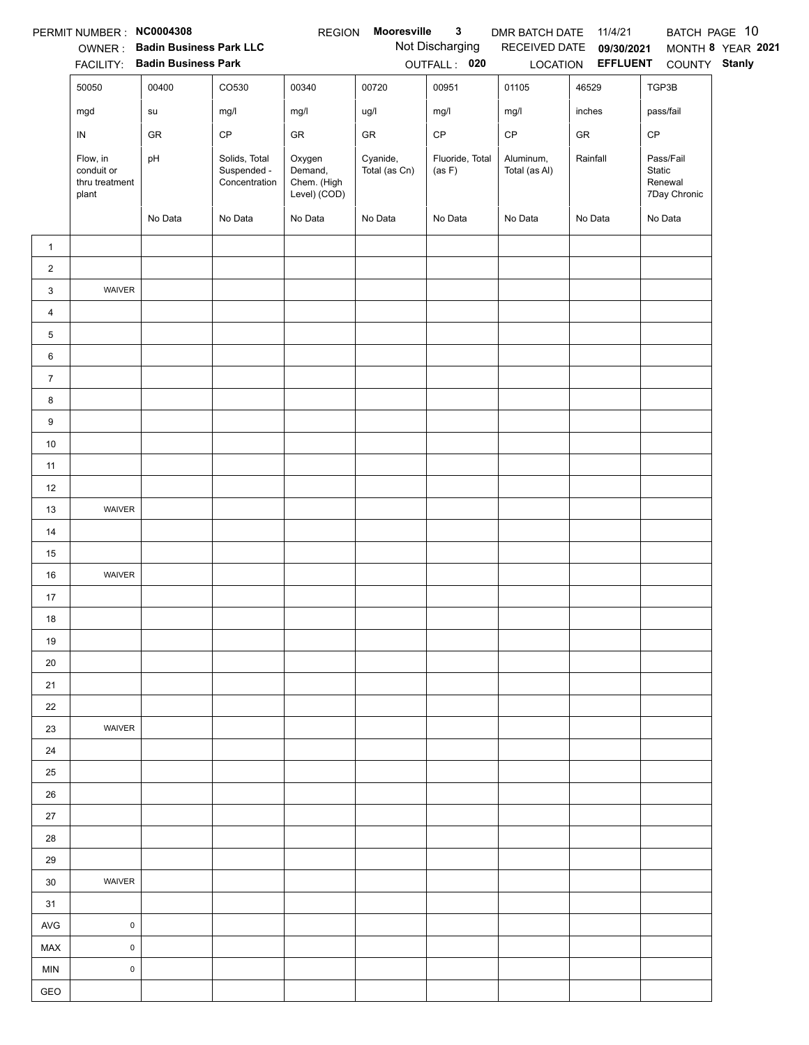|                | PERMIT NUMBER : NC0004308                         |                                                                 |                                               | <b>REGION</b>                                    | Mooresville               | $\mathbf{3}$                    | DMR BATCH DATE 11/4/21     |                                                      |                                                | BATCH PAGE 10     |
|----------------|---------------------------------------------------|-----------------------------------------------------------------|-----------------------------------------------|--------------------------------------------------|---------------------------|---------------------------------|----------------------------|------------------------------------------------------|------------------------------------------------|-------------------|
|                |                                                   | OWNER: Badin Business Park LLC<br>FACILITY: Badin Business Park |                                               |                                                  |                           | Not Discharging<br>OUTFALL: 020 |                            | RECEIVED DATE 09/30/2021<br>LOCATION <b>EFFLUENT</b> | COUNTY Stanly                                  | MONTH 8 YEAR 2021 |
|                | 50050                                             | 00400                                                           | CO530                                         | 00340                                            | 00720                     | 00951                           | 01105                      | 46529                                                | TGP3B                                          |                   |
|                | mgd                                               | ${\sf su}$                                                      | mg/l                                          | mg/l                                             | ug/l                      | mg/l                            | mg/l                       | inches                                               | pass/fail                                      |                   |
|                |                                                   | GR                                                              | $\mathsf{CP}$                                 | GR                                               | ${\sf GR}$                | $\mathsf{CP}$                   | $\mathsf{CP}$              | ${\sf GR}$                                           | $\mathsf{CP}$                                  |                   |
|                | IN                                                |                                                                 |                                               |                                                  |                           |                                 |                            |                                                      |                                                |                   |
|                | Flow, in<br>conduit or<br>thru treatment<br>plant | pH                                                              | Solids, Total<br>Suspended -<br>Concentration | Oxygen<br>Demand,<br>Chem. (High<br>Level) (COD) | Cyanide,<br>Total (as Cn) | Fluoride, Total<br>(as F)       | Aluminum,<br>Total (as Al) | Rainfall                                             | Pass/Fail<br>Static<br>Renewal<br>7Day Chronic |                   |
|                |                                                   | No Data                                                         | No Data                                       | No Data                                          | No Data                   | No Data                         | No Data                    | No Data                                              | No Data                                        |                   |
| $\mathbf{1}$   |                                                   |                                                                 |                                               |                                                  |                           |                                 |                            |                                                      |                                                |                   |
| $\overline{2}$ |                                                   |                                                                 |                                               |                                                  |                           |                                 |                            |                                                      |                                                |                   |
| 3              | WAIVER                                            |                                                                 |                                               |                                                  |                           |                                 |                            |                                                      |                                                |                   |
| $\overline{4}$ |                                                   |                                                                 |                                               |                                                  |                           |                                 |                            |                                                      |                                                |                   |
| 5              |                                                   |                                                                 |                                               |                                                  |                           |                                 |                            |                                                      |                                                |                   |
| 6              |                                                   |                                                                 |                                               |                                                  |                           |                                 |                            |                                                      |                                                |                   |
| $\overline{7}$ |                                                   |                                                                 |                                               |                                                  |                           |                                 |                            |                                                      |                                                |                   |
| 8              |                                                   |                                                                 |                                               |                                                  |                           |                                 |                            |                                                      |                                                |                   |
| 9              |                                                   |                                                                 |                                               |                                                  |                           |                                 |                            |                                                      |                                                |                   |
| $10\,$         |                                                   |                                                                 |                                               |                                                  |                           |                                 |                            |                                                      |                                                |                   |
| 11             |                                                   |                                                                 |                                               |                                                  |                           |                                 |                            |                                                      |                                                |                   |
| 12             |                                                   |                                                                 |                                               |                                                  |                           |                                 |                            |                                                      |                                                |                   |
| 13             | WAIVER                                            |                                                                 |                                               |                                                  |                           |                                 |                            |                                                      |                                                |                   |
| 14             |                                                   |                                                                 |                                               |                                                  |                           |                                 |                            |                                                      |                                                |                   |
| 15             |                                                   |                                                                 |                                               |                                                  |                           |                                 |                            |                                                      |                                                |                   |
| 16             | WAIVER                                            |                                                                 |                                               |                                                  |                           |                                 |                            |                                                      |                                                |                   |
| 17             |                                                   |                                                                 |                                               |                                                  |                           |                                 |                            |                                                      |                                                |                   |
| 18             |                                                   |                                                                 |                                               |                                                  |                           |                                 |                            |                                                      |                                                |                   |
| 19             |                                                   |                                                                 |                                               |                                                  |                           |                                 |                            |                                                      |                                                |                   |
| 20             |                                                   |                                                                 |                                               |                                                  |                           |                                 |                            |                                                      |                                                |                   |
| 21             |                                                   |                                                                 |                                               |                                                  |                           |                                 |                            |                                                      |                                                |                   |
| 22             |                                                   |                                                                 |                                               |                                                  |                           |                                 |                            |                                                      |                                                |                   |
| 23             | WAIVER                                            |                                                                 |                                               |                                                  |                           |                                 |                            |                                                      |                                                |                   |
| 24             |                                                   |                                                                 |                                               |                                                  |                           |                                 |                            |                                                      |                                                |                   |
| 25             |                                                   |                                                                 |                                               |                                                  |                           |                                 |                            |                                                      |                                                |                   |
| 26             |                                                   |                                                                 |                                               |                                                  |                           |                                 |                            |                                                      |                                                |                   |
| 27             |                                                   |                                                                 |                                               |                                                  |                           |                                 |                            |                                                      |                                                |                   |
| 28             |                                                   |                                                                 |                                               |                                                  |                           |                                 |                            |                                                      |                                                |                   |
| 29             |                                                   |                                                                 |                                               |                                                  |                           |                                 |                            |                                                      |                                                |                   |
| 30             | WAIVER                                            |                                                                 |                                               |                                                  |                           |                                 |                            |                                                      |                                                |                   |
| 31             |                                                   |                                                                 |                                               |                                                  |                           |                                 |                            |                                                      |                                                |                   |
| AVG            | $\mathsf{O}\xspace$                               |                                                                 |                                               |                                                  |                           |                                 |                            |                                                      |                                                |                   |
| MAX            | $\mathsf 0$                                       |                                                                 |                                               |                                                  |                           |                                 |                            |                                                      |                                                |                   |
| <b>MIN</b>     | $\mathsf 0$                                       |                                                                 |                                               |                                                  |                           |                                 |                            |                                                      |                                                |                   |
| GEO            |                                                   |                                                                 |                                               |                                                  |                           |                                 |                            |                                                      |                                                |                   |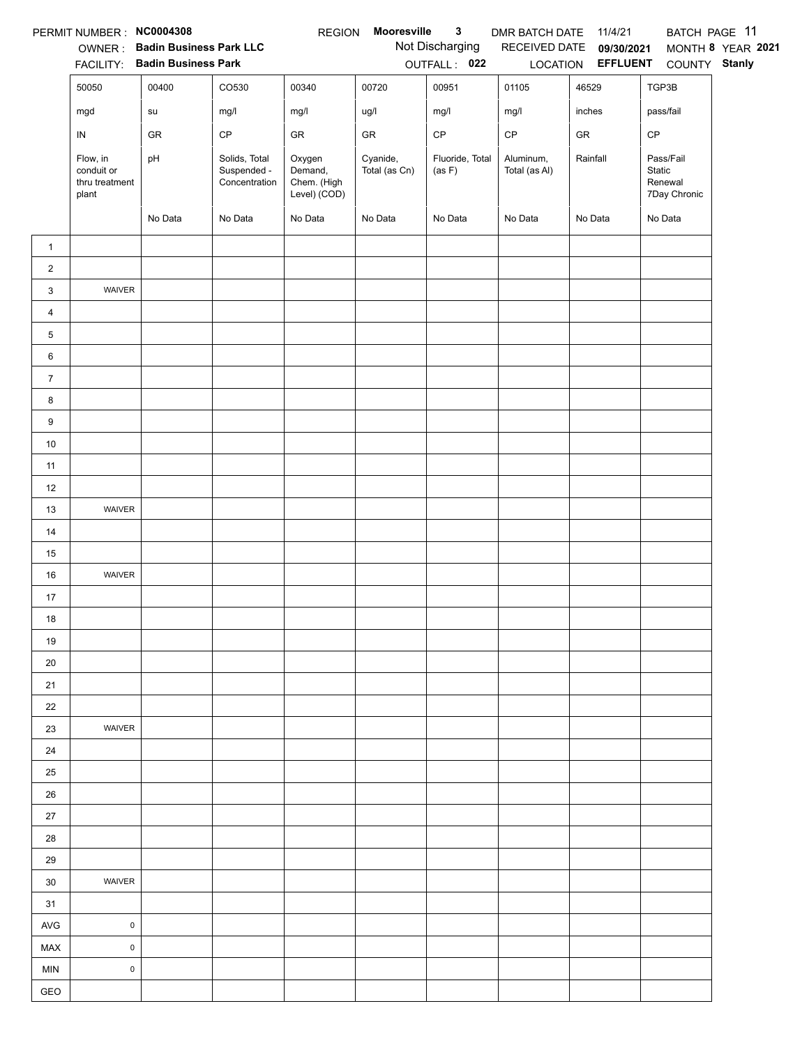|                | PERMIT NUMBER : NC0004308                         |                                                                 |                                               | <b>REGION</b>                                    | Mooresville               | $\mathbf{3}$                    | DMR BATCH DATE             | 11/4/21                                              | BATCH PAGE 11                                  |                   |
|----------------|---------------------------------------------------|-----------------------------------------------------------------|-----------------------------------------------|--------------------------------------------------|---------------------------|---------------------------------|----------------------------|------------------------------------------------------|------------------------------------------------|-------------------|
|                |                                                   | OWNER: Badin Business Park LLC<br>FACILITY: Badin Business Park |                                               |                                                  |                           | Not Discharging<br>OUTFALL: 022 |                            | RECEIVED DATE 09/30/2021<br>LOCATION <b>EFFLUENT</b> | COUNTY Stanly                                  | MONTH 8 YEAR 2021 |
|                | 50050                                             | 00400                                                           | CO530                                         | 00340                                            | 00720                     | 00951                           | 01105                      | 46529                                                | TGP3B                                          |                   |
|                | mgd                                               | su                                                              | mg/l                                          | mg/l                                             | ug/l                      | mg/l                            | mg/l                       | inches                                               | pass/fail                                      |                   |
|                | ${\sf IN}$                                        | GR                                                              | CP                                            | GR                                               | GR                        | $\mathsf{CP}$                   | $\mathsf{CP}$              | ${\sf GR}$                                           | CP                                             |                   |
|                | Flow, in<br>conduit or<br>thru treatment<br>plant | pH                                                              | Solids, Total<br>Suspended -<br>Concentration | Oxygen<br>Demand,<br>Chem. (High<br>Level) (COD) | Cyanide,<br>Total (as Cn) | Fluoride, Total<br>(as F)       | Aluminum,<br>Total (as Al) | Rainfall                                             | Pass/Fail<br>Static<br>Renewal<br>7Day Chronic |                   |
|                |                                                   | No Data                                                         | No Data                                       | No Data                                          | No Data                   | No Data                         | No Data                    | No Data                                              | No Data                                        |                   |
| $\mathbf{1}$   |                                                   |                                                                 |                                               |                                                  |                           |                                 |                            |                                                      |                                                |                   |
| $\overline{2}$ |                                                   |                                                                 |                                               |                                                  |                           |                                 |                            |                                                      |                                                |                   |
| 3              | WAIVER                                            |                                                                 |                                               |                                                  |                           |                                 |                            |                                                      |                                                |                   |
| $\overline{4}$ |                                                   |                                                                 |                                               |                                                  |                           |                                 |                            |                                                      |                                                |                   |
| 5              |                                                   |                                                                 |                                               |                                                  |                           |                                 |                            |                                                      |                                                |                   |
| 6              |                                                   |                                                                 |                                               |                                                  |                           |                                 |                            |                                                      |                                                |                   |
| $\overline{7}$ |                                                   |                                                                 |                                               |                                                  |                           |                                 |                            |                                                      |                                                |                   |
| 8              |                                                   |                                                                 |                                               |                                                  |                           |                                 |                            |                                                      |                                                |                   |
| 9              |                                                   |                                                                 |                                               |                                                  |                           |                                 |                            |                                                      |                                                |                   |
| $10\,$         |                                                   |                                                                 |                                               |                                                  |                           |                                 |                            |                                                      |                                                |                   |
| 11             |                                                   |                                                                 |                                               |                                                  |                           |                                 |                            |                                                      |                                                |                   |
| 12             |                                                   |                                                                 |                                               |                                                  |                           |                                 |                            |                                                      |                                                |                   |
| 13             | WAIVER                                            |                                                                 |                                               |                                                  |                           |                                 |                            |                                                      |                                                |                   |
| 14             |                                                   |                                                                 |                                               |                                                  |                           |                                 |                            |                                                      |                                                |                   |
| 15             |                                                   |                                                                 |                                               |                                                  |                           |                                 |                            |                                                      |                                                |                   |
| 16             | WAIVER                                            |                                                                 |                                               |                                                  |                           |                                 |                            |                                                      |                                                |                   |
| 17             |                                                   |                                                                 |                                               |                                                  |                           |                                 |                            |                                                      |                                                |                   |
| 18             |                                                   |                                                                 |                                               |                                                  |                           |                                 |                            |                                                      |                                                |                   |
| 19             |                                                   |                                                                 |                                               |                                                  |                           |                                 |                            |                                                      |                                                |                   |
| 20             |                                                   |                                                                 |                                               |                                                  |                           |                                 |                            |                                                      |                                                |                   |
| 21             |                                                   |                                                                 |                                               |                                                  |                           |                                 |                            |                                                      |                                                |                   |
| 22             |                                                   |                                                                 |                                               |                                                  |                           |                                 |                            |                                                      |                                                |                   |
| 23             | WAIVER                                            |                                                                 |                                               |                                                  |                           |                                 |                            |                                                      |                                                |                   |
| 24             |                                                   |                                                                 |                                               |                                                  |                           |                                 |                            |                                                      |                                                |                   |
| 25             |                                                   |                                                                 |                                               |                                                  |                           |                                 |                            |                                                      |                                                |                   |
| 26             |                                                   |                                                                 |                                               |                                                  |                           |                                 |                            |                                                      |                                                |                   |
| 27             |                                                   |                                                                 |                                               |                                                  |                           |                                 |                            |                                                      |                                                |                   |
| 28             |                                                   |                                                                 |                                               |                                                  |                           |                                 |                            |                                                      |                                                |                   |
| 29             |                                                   |                                                                 |                                               |                                                  |                           |                                 |                            |                                                      |                                                |                   |
| 30             | WAIVER                                            |                                                                 |                                               |                                                  |                           |                                 |                            |                                                      |                                                |                   |
| 31             |                                                   |                                                                 |                                               |                                                  |                           |                                 |                            |                                                      |                                                |                   |
| <b>AVG</b>     | $\mathsf 0$                                       |                                                                 |                                               |                                                  |                           |                                 |                            |                                                      |                                                |                   |
| MAX            | $\mathsf{O}\xspace$                               |                                                                 |                                               |                                                  |                           |                                 |                            |                                                      |                                                |                   |
| <b>MIN</b>     | $\pmb{0}$                                         |                                                                 |                                               |                                                  |                           |                                 |                            |                                                      |                                                |                   |
| GEO            |                                                   |                                                                 |                                               |                                                  |                           |                                 |                            |                                                      |                                                |                   |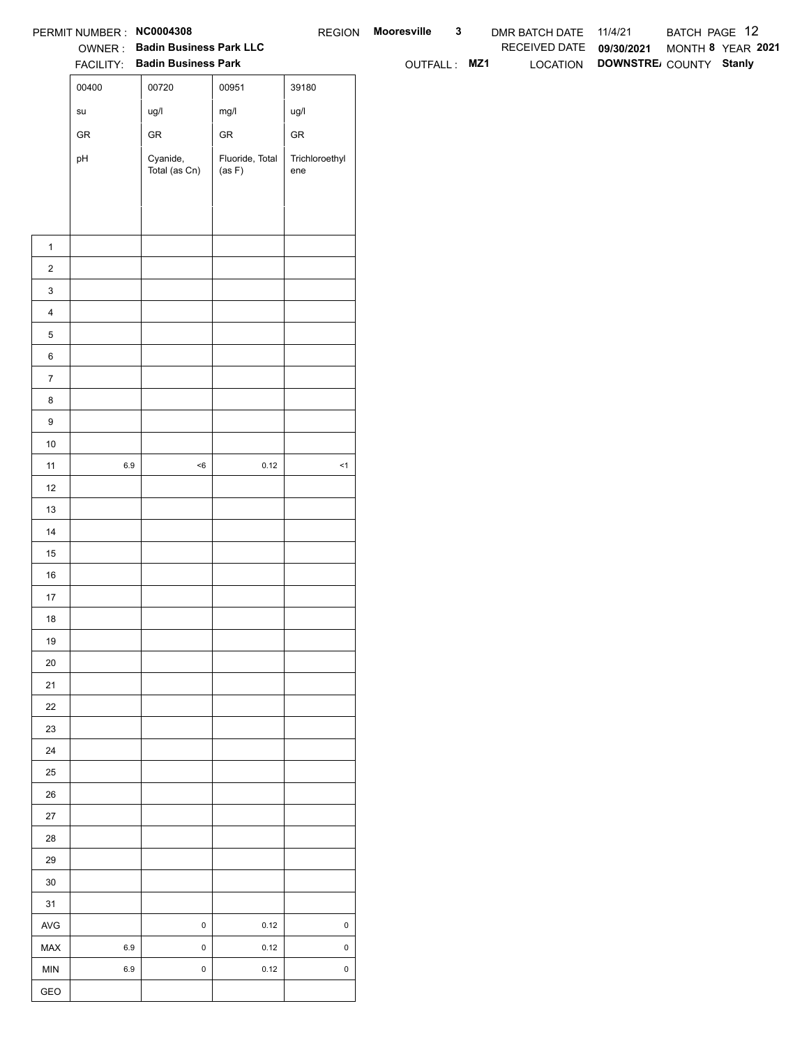|                       | PERMIT NUMBER : NC0004308             |                                                                 |                           |                       | REGION Mooresville | $\mathbf{3}$ | DMR BATCH DATE 11/4/21   |                                 | BATCH PAGE 12     |  |
|-----------------------|---------------------------------------|-----------------------------------------------------------------|---------------------------|-----------------------|--------------------|--------------|--------------------------|---------------------------------|-------------------|--|
|                       |                                       | OWNER: Badin Business Park LLC<br>FACILITY: Badin Business Park |                           |                       | OUTFALL: MZ1       |              | RECEIVED DATE 09/30/2021 | LOCATION DOWNSTRE COUNTY Stanly | MONTH 8 YEAR 2021 |  |
|                       | 00400                                 | 00720                                                           | 00951                     | 39180                 |                    |              |                          |                                 |                   |  |
|                       |                                       |                                                                 |                           |                       |                    |              |                          |                                 |                   |  |
|                       | $\operatorname{\mathsf{su}}\nolimits$ | ug/l                                                            | mg/l                      | ug/l                  |                    |              |                          |                                 |                   |  |
|                       | ${\sf GR}$                            | ${\sf GR}$                                                      | ${\sf GR}$                | ${\sf GR}$            |                    |              |                          |                                 |                   |  |
|                       | pH                                    | Cyanide,<br>Total (as Cn)                                       | Fluoride, Total<br>(as F) | Trichloroethyl<br>ene |                    |              |                          |                                 |                   |  |
|                       |                                       |                                                                 |                           |                       |                    |              |                          |                                 |                   |  |
|                       |                                       |                                                                 |                           |                       |                    |              |                          |                                 |                   |  |
|                       |                                       |                                                                 |                           |                       |                    |              |                          |                                 |                   |  |
| $\mathbf{1}$          |                                       |                                                                 |                           |                       |                    |              |                          |                                 |                   |  |
| $\overline{2}$        |                                       |                                                                 |                           |                       |                    |              |                          |                                 |                   |  |
| $\mathbf{3}$          |                                       |                                                                 |                           |                       |                    |              |                          |                                 |                   |  |
| $\overline{4}$        |                                       |                                                                 |                           |                       |                    |              |                          |                                 |                   |  |
| $\,$ 5 $\,$           |                                       |                                                                 |                           |                       |                    |              |                          |                                 |                   |  |
| $\,6$                 |                                       |                                                                 |                           |                       |                    |              |                          |                                 |                   |  |
| $\overline{7}$        |                                       |                                                                 |                           |                       |                    |              |                          |                                 |                   |  |
| 8<br>$\boldsymbol{9}$ |                                       |                                                                 |                           |                       |                    |              |                          |                                 |                   |  |
| 10                    |                                       |                                                                 |                           |                       |                    |              |                          |                                 |                   |  |
| 11                    | $6.9\,$                               | $<\!6$                                                          | 0.12                      | $\leq$ 1              |                    |              |                          |                                 |                   |  |
| 12                    |                                       |                                                                 |                           |                       |                    |              |                          |                                 |                   |  |
| 13                    |                                       |                                                                 |                           |                       |                    |              |                          |                                 |                   |  |
| 14                    |                                       |                                                                 |                           |                       |                    |              |                          |                                 |                   |  |
| 15                    |                                       |                                                                 |                           |                       |                    |              |                          |                                 |                   |  |
| 16                    |                                       |                                                                 |                           |                       |                    |              |                          |                                 |                   |  |
| $17$                  |                                       |                                                                 |                           |                       |                    |              |                          |                                 |                   |  |
| 18                    |                                       |                                                                 |                           |                       |                    |              |                          |                                 |                   |  |
| 19                    |                                       |                                                                 |                           |                       |                    |              |                          |                                 |                   |  |
| $20\,$                |                                       |                                                                 |                           |                       |                    |              |                          |                                 |                   |  |
| 21                    |                                       |                                                                 |                           |                       |                    |              |                          |                                 |                   |  |
| $22\,$                |                                       |                                                                 |                           |                       |                    |              |                          |                                 |                   |  |
| 23                    |                                       |                                                                 |                           |                       |                    |              |                          |                                 |                   |  |
| 24                    |                                       |                                                                 |                           |                       |                    |              |                          |                                 |                   |  |
| $25\,$                |                                       |                                                                 |                           |                       |                    |              |                          |                                 |                   |  |
| 26                    |                                       |                                                                 |                           |                       |                    |              |                          |                                 |                   |  |
| 27                    |                                       |                                                                 |                           |                       |                    |              |                          |                                 |                   |  |
| 28                    |                                       |                                                                 |                           |                       |                    |              |                          |                                 |                   |  |
| 29                    |                                       |                                                                 |                           |                       |                    |              |                          |                                 |                   |  |
| $30\,$                |                                       |                                                                 |                           |                       |                    |              |                          |                                 |                   |  |
| 31                    |                                       |                                                                 |                           |                       |                    |              |                          |                                 |                   |  |
| AVG                   |                                       | $\mathbf 0$                                                     | 0.12                      | $\pmb{0}$             |                    |              |                          |                                 |                   |  |
| MAX                   | 6.9                                   | $\mathbf 0$                                                     | 0.12                      | $\mathsf 0$           |                    |              |                          |                                 |                   |  |
| MIN                   | 6.9                                   | $\mathbf 0$                                                     | 0.12                      | $\mathsf 0$           |                    |              |                          |                                 |                   |  |
| GEO                   |                                       |                                                                 |                           |                       |                    |              |                          |                                 |                   |  |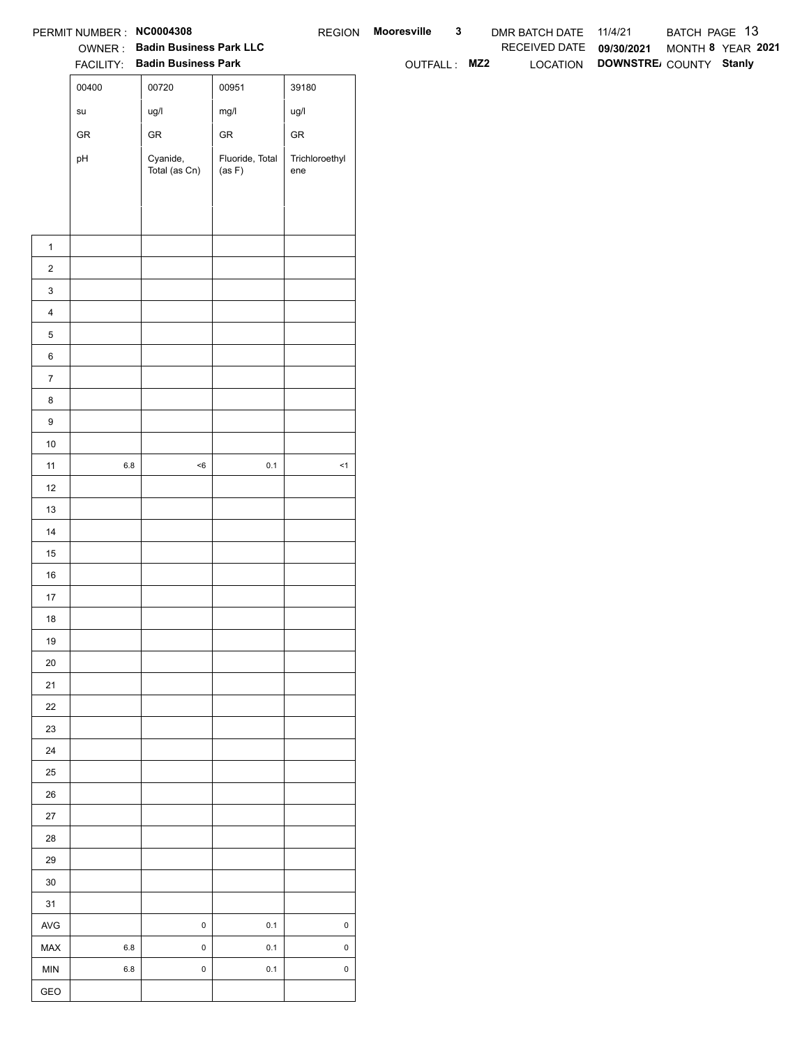|                  | PERMIT NUMBER : NC0004308             |                                                                 |                           |                       | REGION Mooresville | $\mathbf{3}$ | DMR BATCH DATE 11/4/21   |                                 | BATCH PAGE 13     |  |
|------------------|---------------------------------------|-----------------------------------------------------------------|---------------------------|-----------------------|--------------------|--------------|--------------------------|---------------------------------|-------------------|--|
|                  |                                       | OWNER: Badin Business Park LLC<br>FACILITY: Badin Business Park |                           |                       |                    |              | RECEIVED DATE 09/30/2021 |                                 | MONTH 8 YEAR 2021 |  |
|                  |                                       |                                                                 |                           |                       | OUTFALL: MZ2       |              |                          | LOCATION DOWNSTRE COUNTY Stanly |                   |  |
|                  | 00400                                 | 00720                                                           | 00951                     | 39180                 |                    |              |                          |                                 |                   |  |
|                  | $\operatorname{\mathsf{su}}\nolimits$ | ug/l                                                            | mg/l                      | ug/l                  |                    |              |                          |                                 |                   |  |
|                  | ${\sf GR}$                            | ${\sf GR}$                                                      | ${\sf GR}$                | ${\sf GR}$            |                    |              |                          |                                 |                   |  |
|                  | pH                                    | Cyanide,<br>Total (as Cn)                                       | Fluoride, Total<br>(as F) | Trichloroethyl<br>ene |                    |              |                          |                                 |                   |  |
|                  |                                       |                                                                 |                           |                       |                    |              |                          |                                 |                   |  |
|                  |                                       |                                                                 |                           |                       |                    |              |                          |                                 |                   |  |
|                  |                                       |                                                                 |                           |                       |                    |              |                          |                                 |                   |  |
| $\mathbf{1}$     |                                       |                                                                 |                           |                       |                    |              |                          |                                 |                   |  |
| $\overline{2}$   |                                       |                                                                 |                           |                       |                    |              |                          |                                 |                   |  |
| $\mathbf{3}$     |                                       |                                                                 |                           |                       |                    |              |                          |                                 |                   |  |
| $\overline{4}$   |                                       |                                                                 |                           |                       |                    |              |                          |                                 |                   |  |
| $\mathbf 5$      |                                       |                                                                 |                           |                       |                    |              |                          |                                 |                   |  |
| $\,6\,$          |                                       |                                                                 |                           |                       |                    |              |                          |                                 |                   |  |
| $\overline{7}$   |                                       |                                                                 |                           |                       |                    |              |                          |                                 |                   |  |
| 8                |                                       |                                                                 |                           |                       |                    |              |                          |                                 |                   |  |
| $\boldsymbol{9}$ |                                       |                                                                 |                           |                       |                    |              |                          |                                 |                   |  |
| 10               |                                       |                                                                 |                           |                       |                    |              |                          |                                 |                   |  |
| 11               | $6.8\,$                               | $<\!6$                                                          | $0.1\,$                   | $\leq$ 1              |                    |              |                          |                                 |                   |  |
| 12               |                                       |                                                                 |                           |                       |                    |              |                          |                                 |                   |  |
| 13               |                                       |                                                                 |                           |                       |                    |              |                          |                                 |                   |  |
| 14               |                                       |                                                                 |                           |                       |                    |              |                          |                                 |                   |  |
| 15               |                                       |                                                                 |                           |                       |                    |              |                          |                                 |                   |  |
| $16\,$           |                                       |                                                                 |                           |                       |                    |              |                          |                                 |                   |  |
| 17               |                                       |                                                                 |                           |                       |                    |              |                          |                                 |                   |  |
| 18               |                                       |                                                                 |                           |                       |                    |              |                          |                                 |                   |  |
| 19               |                                       |                                                                 |                           |                       |                    |              |                          |                                 |                   |  |
| $20\,$           |                                       |                                                                 |                           |                       |                    |              |                          |                                 |                   |  |
| 21               |                                       |                                                                 |                           |                       |                    |              |                          |                                 |                   |  |
| 22               |                                       |                                                                 |                           |                       |                    |              |                          |                                 |                   |  |
| 23               |                                       |                                                                 |                           |                       |                    |              |                          |                                 |                   |  |
| 24               |                                       |                                                                 |                           |                       |                    |              |                          |                                 |                   |  |
| $25\,$           |                                       |                                                                 |                           |                       |                    |              |                          |                                 |                   |  |
| $26\,$           |                                       |                                                                 |                           |                       |                    |              |                          |                                 |                   |  |
| $27\,$           |                                       |                                                                 |                           |                       |                    |              |                          |                                 |                   |  |
| 28               |                                       |                                                                 |                           |                       |                    |              |                          |                                 |                   |  |
| 29               |                                       |                                                                 |                           |                       |                    |              |                          |                                 |                   |  |
| $30\,$           |                                       |                                                                 |                           |                       |                    |              |                          |                                 |                   |  |
| 31               |                                       |                                                                 |                           |                       |                    |              |                          |                                 |                   |  |
| $\mathsf{AVG}$   |                                       | $\pmb{0}$                                                       | 0.1                       | $\mathsf{O}\xspace$   |                    |              |                          |                                 |                   |  |
| MAX              | $6.8\,$                               | $\mathbf 0$                                                     | $0.1\,$                   | $\mathsf 0$           |                    |              |                          |                                 |                   |  |
| <b>MIN</b>       | $6.8\,$                               | $\pmb{0}$                                                       | $0.1\,$                   | $\mathsf 0$           |                    |              |                          |                                 |                   |  |
| GEO              |                                       |                                                                 |                           |                       |                    |              |                          |                                 |                   |  |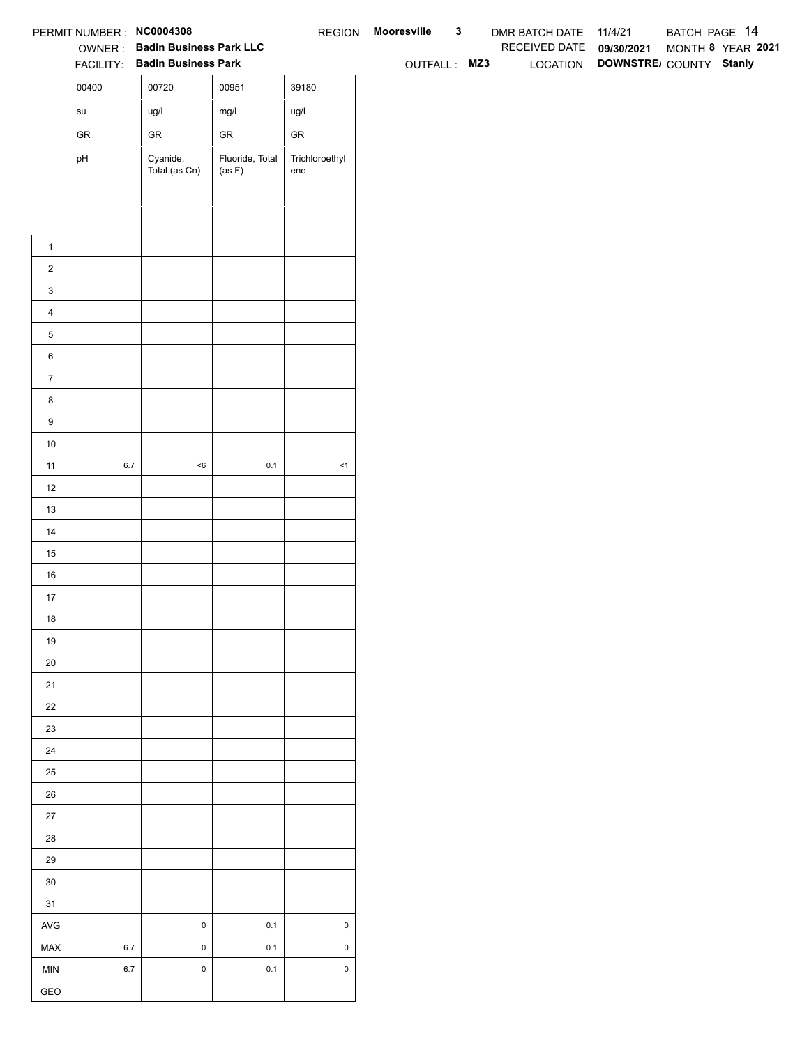|                  | PERMIT NUMBER : NC0004308             |                                                                 |                           |                       | REGION Mooresville | $\mathbf{3}$ | DMR BATCH DATE 11/4/21   |                                 | BATCH PAGE 14     |  |
|------------------|---------------------------------------|-----------------------------------------------------------------|---------------------------|-----------------------|--------------------|--------------|--------------------------|---------------------------------|-------------------|--|
|                  |                                       | OWNER: Badin Business Park LLC<br>FACILITY: Badin Business Park |                           |                       |                    |              | RECEIVED DATE 09/30/2021 | LOCATION DOWNSTRE COUNTY Stanly | MONTH 8 YEAR 2021 |  |
|                  | 00400                                 | 00720                                                           | 00951                     | 39180                 | OUTFALL: MZ3       |              |                          |                                 |                   |  |
|                  |                                       |                                                                 |                           |                       |                    |              |                          |                                 |                   |  |
|                  | $\operatorname{\mathsf{su}}\nolimits$ | ug/l                                                            | mg/l                      | ug/l                  |                    |              |                          |                                 |                   |  |
|                  | ${\sf GR}$                            | ${\sf GR}$                                                      | ${\sf GR}$                | ${\sf GR}$            |                    |              |                          |                                 |                   |  |
|                  | pH                                    | Cyanide,<br>Total (as Cn)                                       | Fluoride, Total<br>(as F) | Trichloroethyl<br>ene |                    |              |                          |                                 |                   |  |
|                  |                                       |                                                                 |                           |                       |                    |              |                          |                                 |                   |  |
|                  |                                       |                                                                 |                           |                       |                    |              |                          |                                 |                   |  |
|                  |                                       |                                                                 |                           |                       |                    |              |                          |                                 |                   |  |
| $\mathbf{1}$     |                                       |                                                                 |                           |                       |                    |              |                          |                                 |                   |  |
| $\overline{2}$   |                                       |                                                                 |                           |                       |                    |              |                          |                                 |                   |  |
| $\mathbf{3}$     |                                       |                                                                 |                           |                       |                    |              |                          |                                 |                   |  |
| $\overline{4}$   |                                       |                                                                 |                           |                       |                    |              |                          |                                 |                   |  |
| $\mathbf 5$      |                                       |                                                                 |                           |                       |                    |              |                          |                                 |                   |  |
| $\,6\,$          |                                       |                                                                 |                           |                       |                    |              |                          |                                 |                   |  |
| $\overline{7}$   |                                       |                                                                 |                           |                       |                    |              |                          |                                 |                   |  |
| 8                |                                       |                                                                 |                           |                       |                    |              |                          |                                 |                   |  |
| $\boldsymbol{9}$ |                                       |                                                                 |                           |                       |                    |              |                          |                                 |                   |  |
| 10               |                                       |                                                                 |                           |                       |                    |              |                          |                                 |                   |  |
| 11               | $6.7\,$                               | $<\!6$                                                          | $0.1\,$                   | $\leq$ 1              |                    |              |                          |                                 |                   |  |
| 12               |                                       |                                                                 |                           |                       |                    |              |                          |                                 |                   |  |
| 13               |                                       |                                                                 |                           |                       |                    |              |                          |                                 |                   |  |
| 14               |                                       |                                                                 |                           |                       |                    |              |                          |                                 |                   |  |
| 15               |                                       |                                                                 |                           |                       |                    |              |                          |                                 |                   |  |
| $16\,$           |                                       |                                                                 |                           |                       |                    |              |                          |                                 |                   |  |
| 17               |                                       |                                                                 |                           |                       |                    |              |                          |                                 |                   |  |
| 18               |                                       |                                                                 |                           |                       |                    |              |                          |                                 |                   |  |
| 19               |                                       |                                                                 |                           |                       |                    |              |                          |                                 |                   |  |
| $20\,$           |                                       |                                                                 |                           |                       |                    |              |                          |                                 |                   |  |
| 21               |                                       |                                                                 |                           |                       |                    |              |                          |                                 |                   |  |
| $22\,$           |                                       |                                                                 |                           |                       |                    |              |                          |                                 |                   |  |
| 23               |                                       |                                                                 |                           |                       |                    |              |                          |                                 |                   |  |
| 24               |                                       |                                                                 |                           |                       |                    |              |                          |                                 |                   |  |
| $25\,$           |                                       |                                                                 |                           |                       |                    |              |                          |                                 |                   |  |
| $26\,$<br>$27\,$ |                                       |                                                                 |                           |                       |                    |              |                          |                                 |                   |  |
| 28               |                                       |                                                                 |                           |                       |                    |              |                          |                                 |                   |  |
| 29               |                                       |                                                                 |                           |                       |                    |              |                          |                                 |                   |  |
| $30\,$           |                                       |                                                                 |                           |                       |                    |              |                          |                                 |                   |  |
| 31               |                                       |                                                                 |                           |                       |                    |              |                          |                                 |                   |  |
| $\mathsf{AVG}$   |                                       | $\pmb{0}$                                                       | 0.1                       | $\mathsf{O}\xspace$   |                    |              |                          |                                 |                   |  |
| MAX              | $6.7\,$                               | $\mathbf 0$                                                     | $0.1\,$                   | $\mathsf 0$           |                    |              |                          |                                 |                   |  |
| <b>MIN</b>       | $6.7\,$                               | $\pmb{0}$                                                       | $0.1\,$                   | $\mathsf 0$           |                    |              |                          |                                 |                   |  |
|                  |                                       |                                                                 |                           |                       |                    |              |                          |                                 |                   |  |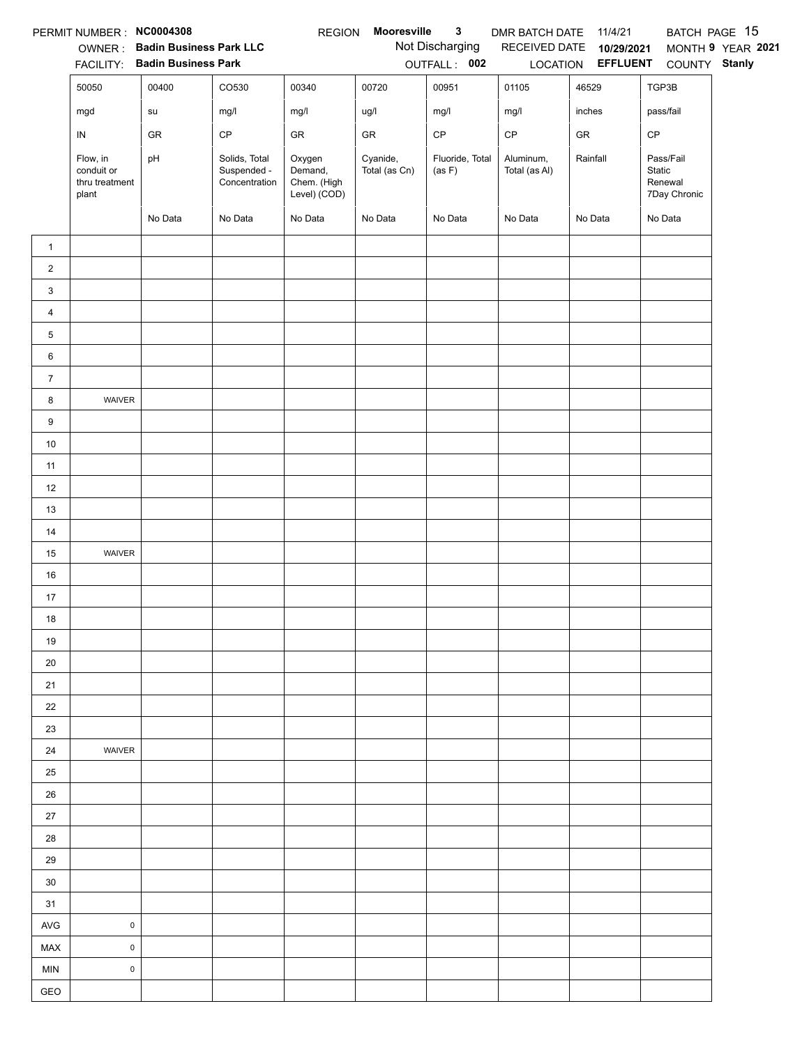|                | PERMIT NUMBER : NC0004308                         |                                        |                                               | <b>REGION</b>                                    | Mooresville               | $\mathbf{3}$              | DMR BATCH DATE             | 11/4/21                           |                                                | BATCH PAGE 15     |
|----------------|---------------------------------------------------|----------------------------------------|-----------------------------------------------|--------------------------------------------------|---------------------------|---------------------------|----------------------------|-----------------------------------|------------------------------------------------|-------------------|
|                |                                                   | OWNER: Badin Business Park LLC         |                                               |                                                  |                           | Not Discharging           | RECEIVED DATE              | 10/29/2021                        |                                                | MONTH 9 YEAR 2021 |
|                | 50050                                             | FACILITY: Badin Business Park<br>00400 | CO530                                         | 00340                                            | 00720                     | OUTFALL: 002<br>00951     | 01105                      | LOCATION <b>EFFLUENT</b><br>46529 | COUNTY Stanly<br>TGP3B                         |                   |
|                |                                                   |                                        |                                               |                                                  |                           |                           |                            |                                   |                                                |                   |
|                | mgd                                               | su                                     | mg/l                                          | mg/l                                             | ug/l                      | mg/l                      | mg/l                       | inches                            | pass/fail                                      |                   |
|                | ${\sf IN}$                                        | GR                                     | CP                                            | GR                                               | GR                        | $\mathsf{CP}$             | $\mathsf{CP}$              | ${\sf GR}$                        | CP                                             |                   |
|                | Flow, in<br>conduit or<br>thru treatment<br>plant | pH                                     | Solids, Total<br>Suspended -<br>Concentration | Oxygen<br>Demand,<br>Chem. (High<br>Level) (COD) | Cyanide,<br>Total (as Cn) | Fluoride, Total<br>(as F) | Aluminum,<br>Total (as Al) | Rainfall                          | Pass/Fail<br>Static<br>Renewal<br>7Day Chronic |                   |
|                |                                                   | No Data                                | No Data                                       | No Data                                          | No Data                   | No Data                   | No Data                    | No Data                           | No Data                                        |                   |
| $\mathbf{1}$   |                                                   |                                        |                                               |                                                  |                           |                           |                            |                                   |                                                |                   |
| $\overline{2}$ |                                                   |                                        |                                               |                                                  |                           |                           |                            |                                   |                                                |                   |
| 3              |                                                   |                                        |                                               |                                                  |                           |                           |                            |                                   |                                                |                   |
| $\overline{4}$ |                                                   |                                        |                                               |                                                  |                           |                           |                            |                                   |                                                |                   |
| 5              |                                                   |                                        |                                               |                                                  |                           |                           |                            |                                   |                                                |                   |
| 6              |                                                   |                                        |                                               |                                                  |                           |                           |                            |                                   |                                                |                   |
| $\overline{7}$ |                                                   |                                        |                                               |                                                  |                           |                           |                            |                                   |                                                |                   |
| 8              | WAIVER                                            |                                        |                                               |                                                  |                           |                           |                            |                                   |                                                |                   |
| 9              |                                                   |                                        |                                               |                                                  |                           |                           |                            |                                   |                                                |                   |
| $10\,$         |                                                   |                                        |                                               |                                                  |                           |                           |                            |                                   |                                                |                   |
| 11             |                                                   |                                        |                                               |                                                  |                           |                           |                            |                                   |                                                |                   |
| 12             |                                                   |                                        |                                               |                                                  |                           |                           |                            |                                   |                                                |                   |
| 13             |                                                   |                                        |                                               |                                                  |                           |                           |                            |                                   |                                                |                   |
| 14             |                                                   |                                        |                                               |                                                  |                           |                           |                            |                                   |                                                |                   |
| 15             | WAIVER                                            |                                        |                                               |                                                  |                           |                           |                            |                                   |                                                |                   |
| 16             |                                                   |                                        |                                               |                                                  |                           |                           |                            |                                   |                                                |                   |
| 17             |                                                   |                                        |                                               |                                                  |                           |                           |                            |                                   |                                                |                   |
| 18             |                                                   |                                        |                                               |                                                  |                           |                           |                            |                                   |                                                |                   |
| 19             |                                                   |                                        |                                               |                                                  |                           |                           |                            |                                   |                                                |                   |
| 20             |                                                   |                                        |                                               |                                                  |                           |                           |                            |                                   |                                                |                   |
| 21             |                                                   |                                        |                                               |                                                  |                           |                           |                            |                                   |                                                |                   |
| 22             |                                                   |                                        |                                               |                                                  |                           |                           |                            |                                   |                                                |                   |
| 23             |                                                   |                                        |                                               |                                                  |                           |                           |                            |                                   |                                                |                   |
| 24             | WAIVER                                            |                                        |                                               |                                                  |                           |                           |                            |                                   |                                                |                   |
| 25             |                                                   |                                        |                                               |                                                  |                           |                           |                            |                                   |                                                |                   |
| 26             |                                                   |                                        |                                               |                                                  |                           |                           |                            |                                   |                                                |                   |
| 27             |                                                   |                                        |                                               |                                                  |                           |                           |                            |                                   |                                                |                   |
| 28             |                                                   |                                        |                                               |                                                  |                           |                           |                            |                                   |                                                |                   |
| 29             |                                                   |                                        |                                               |                                                  |                           |                           |                            |                                   |                                                |                   |
| 30             |                                                   |                                        |                                               |                                                  |                           |                           |                            |                                   |                                                |                   |
| 31             |                                                   |                                        |                                               |                                                  |                           |                           |                            |                                   |                                                |                   |
| <b>AVG</b>     | $\pmb{0}$                                         |                                        |                                               |                                                  |                           |                           |                            |                                   |                                                |                   |
| MAX            | $\mathsf{O}\xspace$                               |                                        |                                               |                                                  |                           |                           |                            |                                   |                                                |                   |
| <b>MIN</b>     | $\pmb{0}$                                         |                                        |                                               |                                                  |                           |                           |                            |                                   |                                                |                   |
| GEO            |                                                   |                                        |                                               |                                                  |                           |                           |                            |                                   |                                                |                   |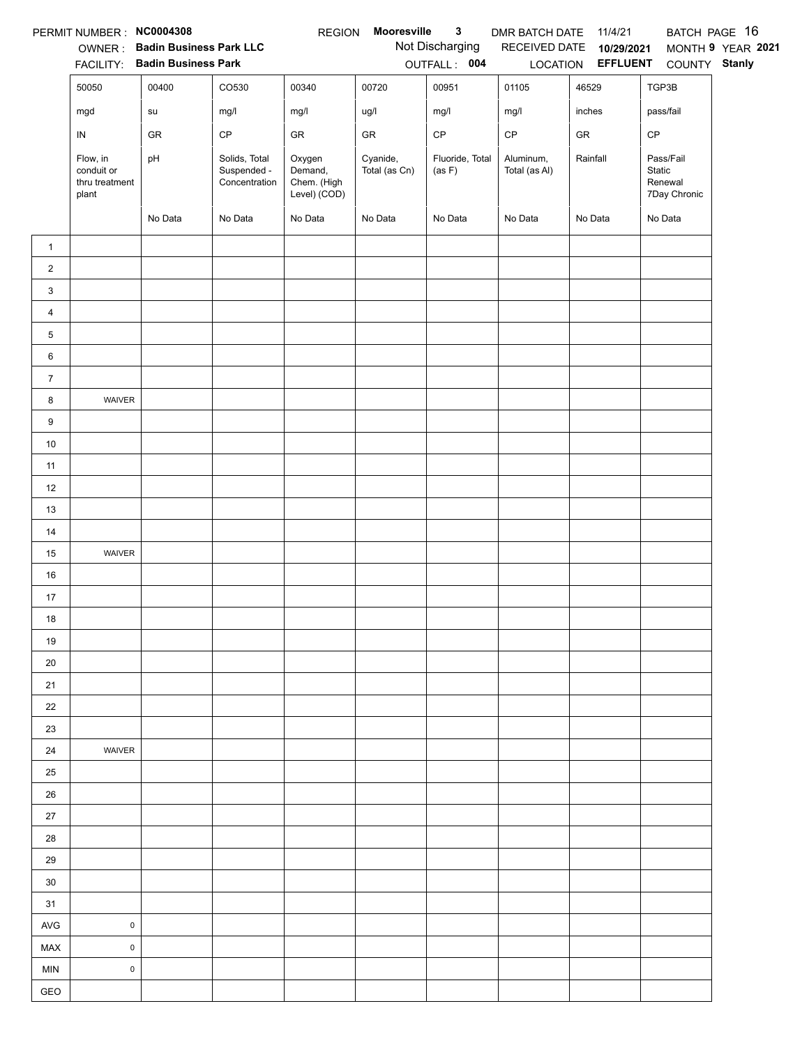|                | PERMIT NUMBER : NC0004308                         |                                                                 |                                               | <b>REGION</b>                                    | Mooresville               | $\mathbf{3}$                    | DMR BATCH DATE 11/4/21     |                                    |                                                | BATCH PAGE 16 |
|----------------|---------------------------------------------------|-----------------------------------------------------------------|-----------------------------------------------|--------------------------------------------------|---------------------------|---------------------------------|----------------------------|------------------------------------|------------------------------------------------|---------------|
|                |                                                   | OWNER: Badin Business Park LLC<br>FACILITY: Badin Business Park |                                               |                                                  |                           | Not Discharging<br>OUTFALL: 004 | RECEIVED DATE 10/29/2021   | MONTH 9 YEAR 2021<br>COUNTY Stanly |                                                |               |
|                | 50050                                             | 00400                                                           | CO530                                         | 00340                                            | 00720                     | 00951                           | 01105                      | LOCATION <b>EFFLUENT</b><br>46529  | TGP3B                                          |               |
|                |                                                   |                                                                 |                                               |                                                  |                           |                                 |                            | inches                             |                                                |               |
|                | mgd                                               | ${\sf su}$                                                      | mg/l                                          | mg/l                                             | ug/l                      | mg/l                            | mg/l                       |                                    | pass/fail                                      |               |
|                | IN                                                | GR                                                              | $\mathsf{CP}$                                 | ${\sf GR}$                                       | ${\sf GR}$                | $\mathsf{CP}$                   | $\mathsf{CP}$              | ${\sf GR}$                         | $\mathsf{CP}$                                  |               |
|                | Flow, in<br>conduit or<br>thru treatment<br>plant | pH                                                              | Solids, Total<br>Suspended -<br>Concentration | Oxygen<br>Demand,<br>Chem. (High<br>Level) (COD) | Cyanide,<br>Total (as Cn) | Fluoride, Total<br>(as F)       | Aluminum,<br>Total (as Al) | Rainfall                           | Pass/Fail<br>Static<br>Renewal<br>7Day Chronic |               |
|                |                                                   | No Data                                                         | No Data                                       | No Data                                          | No Data                   | No Data                         | No Data                    | No Data                            | No Data                                        |               |
| $\mathbf{1}$   |                                                   |                                                                 |                                               |                                                  |                           |                                 |                            |                                    |                                                |               |
| $\overline{2}$ |                                                   |                                                                 |                                               |                                                  |                           |                                 |                            |                                    |                                                |               |
| 3              |                                                   |                                                                 |                                               |                                                  |                           |                                 |                            |                                    |                                                |               |
| $\overline{4}$ |                                                   |                                                                 |                                               |                                                  |                           |                                 |                            |                                    |                                                |               |
| 5              |                                                   |                                                                 |                                               |                                                  |                           |                                 |                            |                                    |                                                |               |
| 6              |                                                   |                                                                 |                                               |                                                  |                           |                                 |                            |                                    |                                                |               |
| $\overline{7}$ |                                                   |                                                                 |                                               |                                                  |                           |                                 |                            |                                    |                                                |               |
| 8              | WAIVER                                            |                                                                 |                                               |                                                  |                           |                                 |                            |                                    |                                                |               |
| 9              |                                                   |                                                                 |                                               |                                                  |                           |                                 |                            |                                    |                                                |               |
| $10\,$         |                                                   |                                                                 |                                               |                                                  |                           |                                 |                            |                                    |                                                |               |
| 11             |                                                   |                                                                 |                                               |                                                  |                           |                                 |                            |                                    |                                                |               |
| 12             |                                                   |                                                                 |                                               |                                                  |                           |                                 |                            |                                    |                                                |               |
| 13             |                                                   |                                                                 |                                               |                                                  |                           |                                 |                            |                                    |                                                |               |
| 14             |                                                   |                                                                 |                                               |                                                  |                           |                                 |                            |                                    |                                                |               |
| 15             | WAIVER                                            |                                                                 |                                               |                                                  |                           |                                 |                            |                                    |                                                |               |
| 16             |                                                   |                                                                 |                                               |                                                  |                           |                                 |                            |                                    |                                                |               |
| 17             |                                                   |                                                                 |                                               |                                                  |                           |                                 |                            |                                    |                                                |               |
| 18             |                                                   |                                                                 |                                               |                                                  |                           |                                 |                            |                                    |                                                |               |
| 19             |                                                   |                                                                 |                                               |                                                  |                           |                                 |                            |                                    |                                                |               |
| 20             |                                                   |                                                                 |                                               |                                                  |                           |                                 |                            |                                    |                                                |               |
| 21             |                                                   |                                                                 |                                               |                                                  |                           |                                 |                            |                                    |                                                |               |
| 22             |                                                   |                                                                 |                                               |                                                  |                           |                                 |                            |                                    |                                                |               |
| 23             |                                                   |                                                                 |                                               |                                                  |                           |                                 |                            |                                    |                                                |               |
| 24             | WAIVER                                            |                                                                 |                                               |                                                  |                           |                                 |                            |                                    |                                                |               |
| 25             |                                                   |                                                                 |                                               |                                                  |                           |                                 |                            |                                    |                                                |               |
| 26             |                                                   |                                                                 |                                               |                                                  |                           |                                 |                            |                                    |                                                |               |
| $27\,$         |                                                   |                                                                 |                                               |                                                  |                           |                                 |                            |                                    |                                                |               |
| 28             |                                                   |                                                                 |                                               |                                                  |                           |                                 |                            |                                    |                                                |               |
| 29             |                                                   |                                                                 |                                               |                                                  |                           |                                 |                            |                                    |                                                |               |
| 30             |                                                   |                                                                 |                                               |                                                  |                           |                                 |                            |                                    |                                                |               |
| 31             |                                                   |                                                                 |                                               |                                                  |                           |                                 |                            |                                    |                                                |               |
| AVG            | $\pmb{0}$                                         |                                                                 |                                               |                                                  |                           |                                 |                            |                                    |                                                |               |
| MAX            | $\mathsf 0$                                       |                                                                 |                                               |                                                  |                           |                                 |                            |                                    |                                                |               |
| <b>MIN</b>     | $\mathsf 0$                                       |                                                                 |                                               |                                                  |                           |                                 |                            |                                    |                                                |               |
| GEO            |                                                   |                                                                 |                                               |                                                  |                           |                                 |                            |                                    |                                                |               |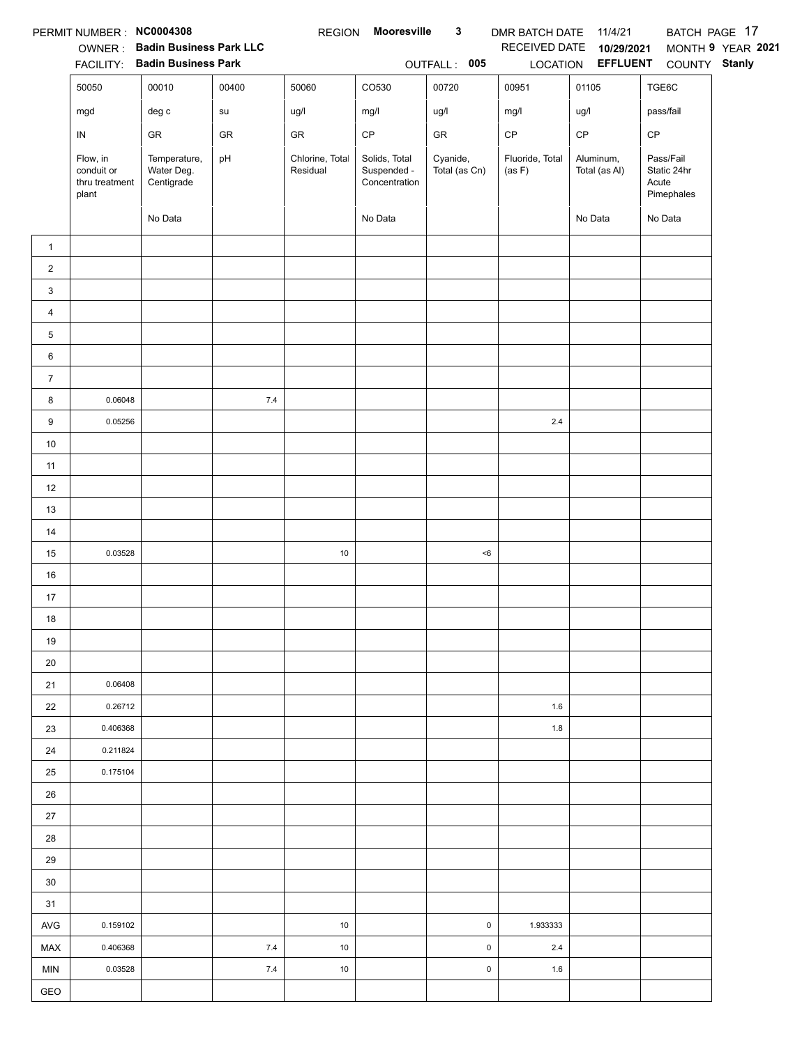|                | PERMIT NUMBER : NC0004308                         |                                                                 |            | <b>REGION</b>               | <b>Mooresville</b>                            | $\mathbf{3}$              | DMR BATCH DATE 11/4/21    |                                 |                                                 | BATCH PAGE 17     |
|----------------|---------------------------------------------------|-----------------------------------------------------------------|------------|-----------------------------|-----------------------------------------------|---------------------------|---------------------------|---------------------------------|-------------------------------------------------|-------------------|
|                |                                                   | OWNER: Badin Business Park LLC<br>FACILITY: Badin Business Park |            |                             |                                               | OUTFALL: 005              | RECEIVED DATE             | 10/29/2021<br>LOCATION EFFLUENT | COUNTY Stanly                                   | MONTH 9 YEAR 2021 |
|                | 50050                                             | 00010                                                           | 00400      | 50060                       | CO530                                         | 00720                     | 00951                     | 01105                           | TGE6C                                           |                   |
|                |                                                   |                                                                 |            |                             |                                               |                           |                           |                                 |                                                 |                   |
|                | mgd                                               | $\deg$ c                                                        | su         | ug/l                        | mg/l                                          | ug/l                      | mg/l                      | ug/l                            | pass/fail                                       |                   |
|                | IN                                                | ${\sf GR}$                                                      | ${\sf GR}$ | GR                          | $\mathsf{CP}$                                 | ${\sf GR}$                | $\mathsf{CP}$             | CP                              | CP                                              |                   |
|                | Flow, in<br>conduit or<br>thru treatment<br>plant | Temperature,<br>Water Deg.<br>Centigrade                        | pH         | Chlorine, Total<br>Residual | Solids, Total<br>Suspended -<br>Concentration | Cyanide,<br>Total (as Cn) | Fluoride, Total<br>(as F) | Aluminum,<br>Total (as Al)      | Pass/Fail<br>Static 24hr<br>Acute<br>Pimephales |                   |
|                |                                                   | No Data                                                         |            |                             | No Data                                       |                           |                           | No Data                         | No Data                                         |                   |
| $\mathbf{1}$   |                                                   |                                                                 |            |                             |                                               |                           |                           |                                 |                                                 |                   |
| $\overline{2}$ |                                                   |                                                                 |            |                             |                                               |                           |                           |                                 |                                                 |                   |
| 3              |                                                   |                                                                 |            |                             |                                               |                           |                           |                                 |                                                 |                   |
| 4              |                                                   |                                                                 |            |                             |                                               |                           |                           |                                 |                                                 |                   |
| 5              |                                                   |                                                                 |            |                             |                                               |                           |                           |                                 |                                                 |                   |
| 6              |                                                   |                                                                 |            |                             |                                               |                           |                           |                                 |                                                 |                   |
| $\overline{7}$ |                                                   |                                                                 |            |                             |                                               |                           |                           |                                 |                                                 |                   |
| 8              | 0.06048                                           |                                                                 | $7.4$      |                             |                                               |                           |                           |                                 |                                                 |                   |
| 9              | 0.05256                                           |                                                                 |            |                             |                                               |                           | $2.4\,$                   |                                 |                                                 |                   |
| $10\,$         |                                                   |                                                                 |            |                             |                                               |                           |                           |                                 |                                                 |                   |
| 11             |                                                   |                                                                 |            |                             |                                               |                           |                           |                                 |                                                 |                   |
| 12             |                                                   |                                                                 |            |                             |                                               |                           |                           |                                 |                                                 |                   |
| 13             |                                                   |                                                                 |            |                             |                                               |                           |                           |                                 |                                                 |                   |
| $14$           |                                                   |                                                                 |            |                             |                                               |                           |                           |                                 |                                                 |                   |
| 15             | 0.03528                                           |                                                                 |            | $10\,$                      |                                               | < 6                       |                           |                                 |                                                 |                   |
| 16             |                                                   |                                                                 |            |                             |                                               |                           |                           |                                 |                                                 |                   |
| 17             |                                                   |                                                                 |            |                             |                                               |                           |                           |                                 |                                                 |                   |
| $18$           |                                                   |                                                                 |            |                             |                                               |                           |                           |                                 |                                                 |                   |
| 19             |                                                   |                                                                 |            |                             |                                               |                           |                           |                                 |                                                 |                   |
| 20             |                                                   |                                                                 |            |                             |                                               |                           |                           |                                 |                                                 |                   |
| 21             | 0.06408                                           |                                                                 |            |                             |                                               |                           |                           |                                 |                                                 |                   |
| 22             | 0.26712                                           |                                                                 |            |                             |                                               |                           | 1.6                       |                                 |                                                 |                   |
| 23             | 0.406368                                          |                                                                 |            |                             |                                               |                           | 1.8                       |                                 |                                                 |                   |
| 24             | 0.211824                                          |                                                                 |            |                             |                                               |                           |                           |                                 |                                                 |                   |
| 25             | 0.175104                                          |                                                                 |            |                             |                                               |                           |                           |                                 |                                                 |                   |
| 26             |                                                   |                                                                 |            |                             |                                               |                           |                           |                                 |                                                 |                   |
| 27             |                                                   |                                                                 |            |                             |                                               |                           |                           |                                 |                                                 |                   |
| 28             |                                                   |                                                                 |            |                             |                                               |                           |                           |                                 |                                                 |                   |
| 29             |                                                   |                                                                 |            |                             |                                               |                           |                           |                                 |                                                 |                   |
| 30             |                                                   |                                                                 |            |                             |                                               |                           |                           |                                 |                                                 |                   |
| 31             |                                                   |                                                                 |            |                             |                                               |                           |                           |                                 |                                                 |                   |
| AVG            | 0.159102                                          |                                                                 |            | 10                          |                                               | $\pmb{0}$                 | 1.933333                  |                                 |                                                 |                   |
| MAX            | 0.406368                                          |                                                                 | 7.4        | 10                          |                                               | $\pmb{0}$                 | 2.4                       |                                 |                                                 |                   |
| <b>MIN</b>     | 0.03528                                           |                                                                 | 7.4        | 10                          |                                               | $\pmb{0}$                 | 1.6                       |                                 |                                                 |                   |
| GEO            |                                                   |                                                                 |            |                             |                                               |                           |                           |                                 |                                                 |                   |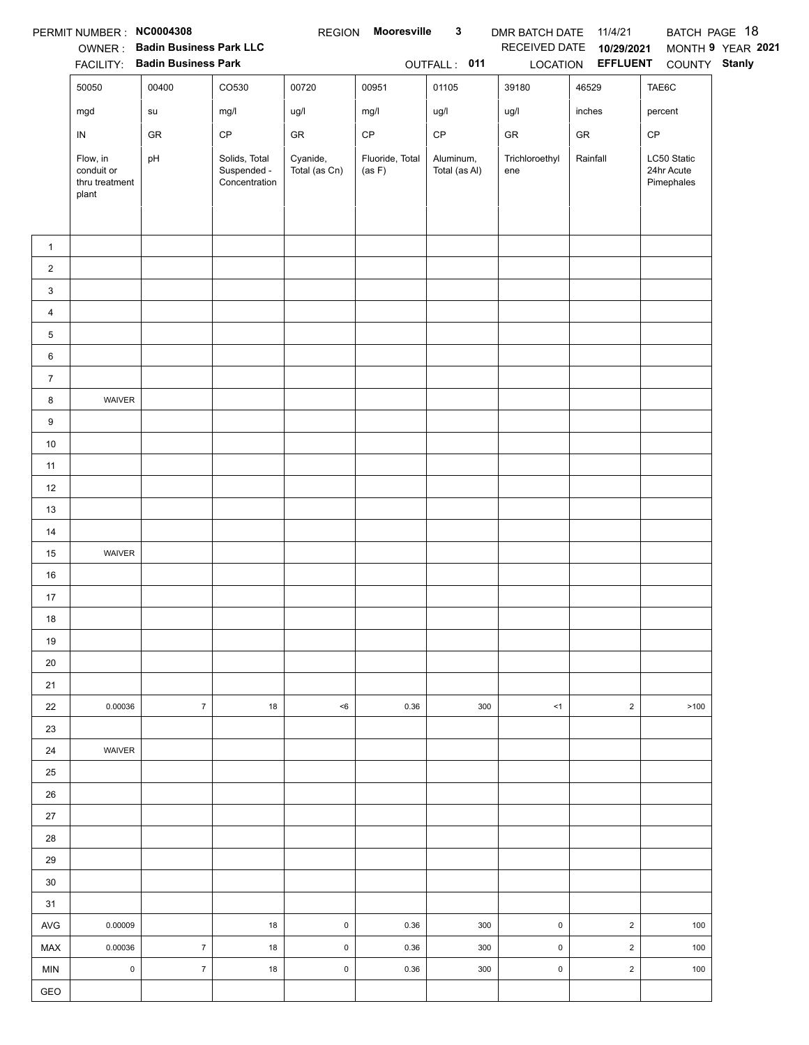|                | PERMIT NUMBER: NC0004308                          |                                |                                               | <b>REGION</b>             | <b>Mooresville</b>        | $\mathbf{3}$               | DMR BATCH DATE 11/4/21 |                         |                                         | BATCH PAGE 18     |
|----------------|---------------------------------------------------|--------------------------------|-----------------------------------------------|---------------------------|---------------------------|----------------------------|------------------------|-------------------------|-----------------------------------------|-------------------|
|                |                                                   | OWNER: Badin Business Park LLC |                                               |                           |                           |                            | RECEIVED DATE          | 10/29/2021              |                                         | MONTH 9 YEAR 2021 |
|                |                                                   | FACILITY: Badin Business Park  |                                               |                           |                           | OUTFALL: 011               |                        | LOCATION EFFLUENT       | COUNTY Stanly                           |                   |
|                | 50050                                             | 00400                          | CO530                                         | 00720                     | 00951                     | 01105                      | 39180                  | 46529                   | TAE6C                                   |                   |
|                | mgd                                               | su                             | mg/l                                          | ug/l                      | mg/l                      | ug/l                       | ug/l                   | inches                  | percent                                 |                   |
|                | IN                                                | ${\sf GR}$                     | $\mathsf{CP}$                                 | ${\sf GR}$                | CP                        | $\mathsf{CP}$              | GR                     | ${\sf GR}$              | CP                                      |                   |
|                | Flow, in<br>conduit or<br>thru treatment<br>plant | pH                             | Solids, Total<br>Suspended -<br>Concentration | Cyanide,<br>Total (as Cn) | Fluoride, Total<br>(as F) | Aluminum,<br>Total (as Al) | Trichloroethyl<br>ene  | Rainfall                | LC50 Static<br>24hr Acute<br>Pimephales |                   |
|                |                                                   |                                |                                               |                           |                           |                            |                        |                         |                                         |                   |
| $\mathbf{1}$   |                                                   |                                |                                               |                           |                           |                            |                        |                         |                                         |                   |
| $\overline{2}$ |                                                   |                                |                                               |                           |                           |                            |                        |                         |                                         |                   |
| 3              |                                                   |                                |                                               |                           |                           |                            |                        |                         |                                         |                   |
| $\overline{4}$ |                                                   |                                |                                               |                           |                           |                            |                        |                         |                                         |                   |
| 5              |                                                   |                                |                                               |                           |                           |                            |                        |                         |                                         |                   |
| 6              |                                                   |                                |                                               |                           |                           |                            |                        |                         |                                         |                   |
| $\overline{7}$ |                                                   |                                |                                               |                           |                           |                            |                        |                         |                                         |                   |
| 8              | WAIVER                                            |                                |                                               |                           |                           |                            |                        |                         |                                         |                   |
| 9              |                                                   |                                |                                               |                           |                           |                            |                        |                         |                                         |                   |
| 10             |                                                   |                                |                                               |                           |                           |                            |                        |                         |                                         |                   |
| 11             |                                                   |                                |                                               |                           |                           |                            |                        |                         |                                         |                   |
| 12             |                                                   |                                |                                               |                           |                           |                            |                        |                         |                                         |                   |
| 13             |                                                   |                                |                                               |                           |                           |                            |                        |                         |                                         |                   |
| 14             |                                                   |                                |                                               |                           |                           |                            |                        |                         |                                         |                   |
| 15             | WAIVER                                            |                                |                                               |                           |                           |                            |                        |                         |                                         |                   |
| 16             |                                                   |                                |                                               |                           |                           |                            |                        |                         |                                         |                   |
| 17             |                                                   |                                |                                               |                           |                           |                            |                        |                         |                                         |                   |
| 18             |                                                   |                                |                                               |                           |                           |                            |                        |                         |                                         |                   |
| 19             |                                                   |                                |                                               |                           |                           |                            |                        |                         |                                         |                   |
| 20             |                                                   |                                |                                               |                           |                           |                            |                        |                         |                                         |                   |
| 21             |                                                   |                                |                                               |                           |                           |                            |                        |                         |                                         |                   |
| 22             | 0.00036                                           | $\overline{7}$                 | 18                                            | $6$                       | 0.36                      | 300                        | <1                     | $\sqrt{2}$              | >100                                    |                   |
| 23             |                                                   |                                |                                               |                           |                           |                            |                        |                         |                                         |                   |
| 24             | WAIVER                                            |                                |                                               |                           |                           |                            |                        |                         |                                         |                   |
| 25             |                                                   |                                |                                               |                           |                           |                            |                        |                         |                                         |                   |
| 26             |                                                   |                                |                                               |                           |                           |                            |                        |                         |                                         |                   |
| 27             |                                                   |                                |                                               |                           |                           |                            |                        |                         |                                         |                   |
| 28             |                                                   |                                |                                               |                           |                           |                            |                        |                         |                                         |                   |
| 29             |                                                   |                                |                                               |                           |                           |                            |                        |                         |                                         |                   |
| 30             |                                                   |                                |                                               |                           |                           |                            |                        |                         |                                         |                   |
| 31             |                                                   |                                |                                               |                           |                           |                            |                        |                         |                                         |                   |
| <b>AVG</b>     | 0.00009                                           |                                | 18                                            | $\mathsf 0$               | 0.36                      | 300                        | $\mathsf{O}\xspace$    | $\overline{2}$          | 100                                     |                   |
| MAX            | 0.00036                                           | $\overline{7}$                 | 18                                            | $\mathsf{O}\xspace$       | 0.36                      | 300                        | $\mathsf{O}\xspace$    | $\overline{\mathbf{c}}$ | 100                                     |                   |
| <b>MIN</b>     | $\mathsf 0$                                       | $\overline{7}$                 | 18                                            | $\mathsf 0$               | 0.36                      | 300                        | $\mathsf 0$            | $\sqrt{2}$              | 100                                     |                   |
| GEO            |                                                   |                                |                                               |                           |                           |                            |                        |                         |                                         |                   |
|                |                                                   |                                |                                               |                           |                           |                            |                        |                         |                                         |                   |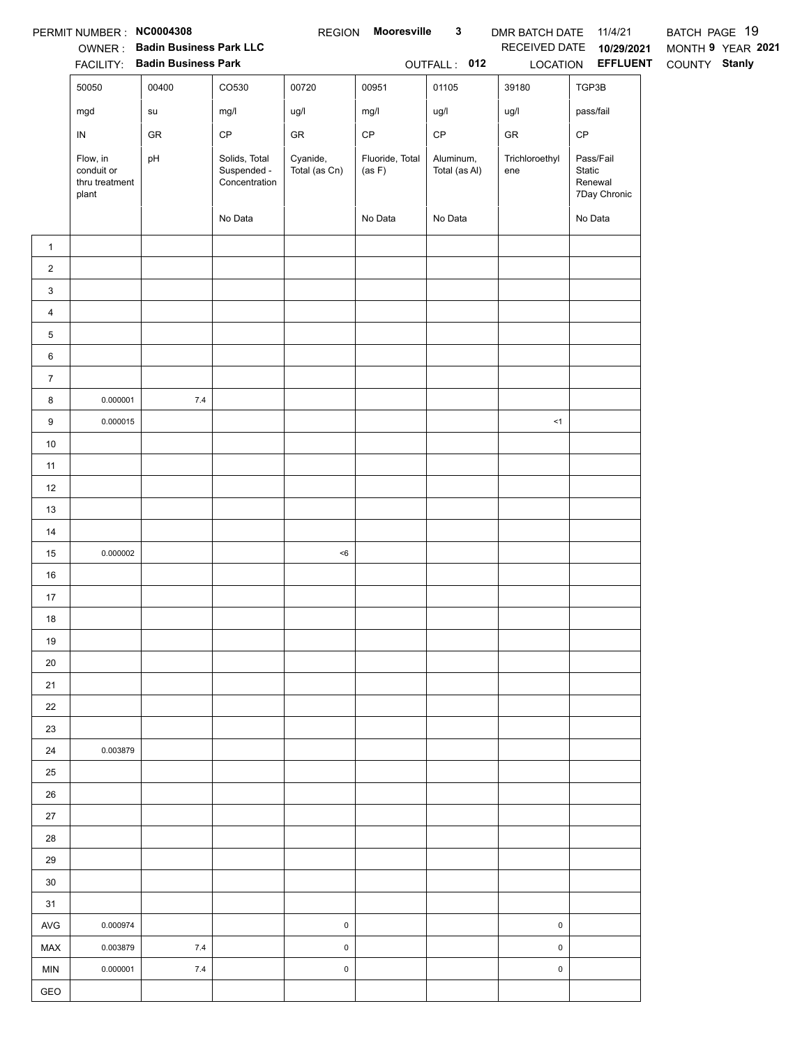|                         | PERMIT NUMBER: NC0004308                          | <b>OWNER: Badin Business Park LLC</b><br>FACILITY: Badin Business Park |                                               |                           | REGION Mooresville        | $\mathbf{3}$<br>OUTFALL: 012 | DMR BATCH DATE 11/4/21<br>LOCATION | RECEIVED DATE 10/29/2021<br><b>EFFLUENT</b>    | BATCH PAGE 19<br>MONTH 9 YEAR 2021<br>COUNTY Stanly |
|-------------------------|---------------------------------------------------|------------------------------------------------------------------------|-----------------------------------------------|---------------------------|---------------------------|------------------------------|------------------------------------|------------------------------------------------|-----------------------------------------------------|
|                         | 50050                                             | 00400                                                                  | CO530                                         | 00720                     | 00951                     | 01105                        | 39180                              | TGP3B                                          |                                                     |
|                         | mgd                                               | su                                                                     | mg/l                                          | ug/l                      | mg/l                      | ug/l                         | ug/l                               | pass/fail                                      |                                                     |
|                         | ${\sf IN}$                                        | GR                                                                     | $\mathsf{CP}$                                 | ${\sf GR}$                | $\mathsf{CP}$             | $\mathsf{CP}$                | GR                                 | $\mathsf{CP}$                                  |                                                     |
|                         | Flow, in<br>conduit or<br>thru treatment<br>plant | pH                                                                     | Solids, Total<br>Suspended -<br>Concentration | Cyanide,<br>Total (as Cn) | Fluoride, Total<br>(as F) | Aluminum,<br>Total (as Al)   | Trichloroethyl<br>ene              | Pass/Fail<br>Static<br>Renewal<br>7Day Chronic |                                                     |
|                         |                                                   |                                                                        | No Data                                       |                           | No Data                   | No Data                      |                                    | No Data                                        |                                                     |
| $\mathbf{1}$            |                                                   |                                                                        |                                               |                           |                           |                              |                                    |                                                |                                                     |
| $\overline{a}$          |                                                   |                                                                        |                                               |                           |                           |                              |                                    |                                                |                                                     |
| 3                       |                                                   |                                                                        |                                               |                           |                           |                              |                                    |                                                |                                                     |
| $\overline{\mathbf{4}}$ |                                                   |                                                                        |                                               |                           |                           |                              |                                    |                                                |                                                     |
| 5                       |                                                   |                                                                        |                                               |                           |                           |                              |                                    |                                                |                                                     |
| 6                       |                                                   |                                                                        |                                               |                           |                           |                              |                                    |                                                |                                                     |
| $\boldsymbol{7}$        |                                                   |                                                                        |                                               |                           |                           |                              |                                    |                                                |                                                     |
| 8                       | 0.000001                                          | $7.4\,$                                                                |                                               |                           |                           |                              |                                    |                                                |                                                     |
| 9                       | 0.000015                                          |                                                                        |                                               |                           |                           |                              | <1                                 |                                                |                                                     |
| $10$                    |                                                   |                                                                        |                                               |                           |                           |                              |                                    |                                                |                                                     |
| 11                      |                                                   |                                                                        |                                               |                           |                           |                              |                                    |                                                |                                                     |
| 12                      |                                                   |                                                                        |                                               |                           |                           |                              |                                    |                                                |                                                     |
| 13                      |                                                   |                                                                        |                                               |                           |                           |                              |                                    |                                                |                                                     |
| 14                      |                                                   |                                                                        |                                               |                           |                           |                              |                                    |                                                |                                                     |
| 15                      | 0.000002                                          |                                                                        |                                               | $6$                       |                           |                              |                                    |                                                |                                                     |
| 16                      |                                                   |                                                                        |                                               |                           |                           |                              |                                    |                                                |                                                     |
| 17                      |                                                   |                                                                        |                                               |                           |                           |                              |                                    |                                                |                                                     |
| 18                      |                                                   |                                                                        |                                               |                           |                           |                              |                                    |                                                |                                                     |
| 19                      |                                                   |                                                                        |                                               |                           |                           |                              |                                    |                                                |                                                     |
| 20                      |                                                   |                                                                        |                                               |                           |                           |                              |                                    |                                                |                                                     |
| 21                      |                                                   |                                                                        |                                               |                           |                           |                              |                                    |                                                |                                                     |
| 22                      |                                                   |                                                                        |                                               |                           |                           |                              |                                    |                                                |                                                     |
| 23                      |                                                   |                                                                        |                                               |                           |                           |                              |                                    |                                                |                                                     |
| 24                      | 0.003879                                          |                                                                        |                                               |                           |                           |                              |                                    |                                                |                                                     |
| 25                      |                                                   |                                                                        |                                               |                           |                           |                              |                                    |                                                |                                                     |
| 26                      |                                                   |                                                                        |                                               |                           |                           |                              |                                    |                                                |                                                     |
| 27                      |                                                   |                                                                        |                                               |                           |                           |                              |                                    |                                                |                                                     |
| 28                      |                                                   |                                                                        |                                               |                           |                           |                              |                                    |                                                |                                                     |
| 29                      |                                                   |                                                                        |                                               |                           |                           |                              |                                    |                                                |                                                     |
| 30                      |                                                   |                                                                        |                                               |                           |                           |                              |                                    |                                                |                                                     |
| 31                      |                                                   |                                                                        |                                               |                           |                           |                              |                                    |                                                |                                                     |
| <b>AVG</b>              | 0.000974                                          |                                                                        |                                               | $\pmb{0}$                 |                           |                              | $\pmb{0}$                          |                                                |                                                     |
| MAX                     | 0.003879                                          | $7.4$                                                                  |                                               | $\pmb{0}$                 |                           |                              | 0                                  |                                                |                                                     |
| <b>MIN</b>              | 0.000001                                          | $7.4$                                                                  |                                               | $\pmb{0}$                 |                           |                              | $\pmb{0}$                          |                                                |                                                     |
| GEO                     |                                                   |                                                                        |                                               |                           |                           |                              |                                    |                                                |                                                     |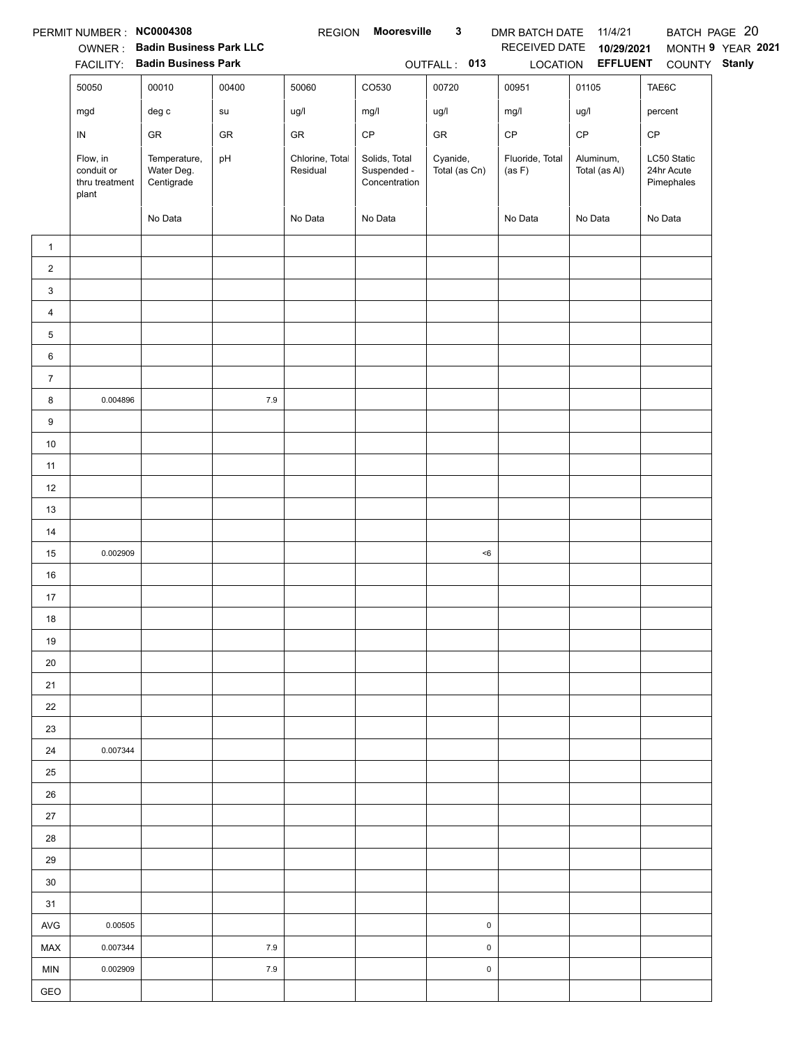|                | PERMIT NUMBER : NC0004308                         |                                          |       | <b>REGION</b>               | Mooresville                                   | $\mathbf{3}$              | DMR BATCH DATE 11/4/21    |                            |                                         | BATCH PAGE 20     |
|----------------|---------------------------------------------------|------------------------------------------|-------|-----------------------------|-----------------------------------------------|---------------------------|---------------------------|----------------------------|-----------------------------------------|-------------------|
|                |                                                   | OWNER: Badin Business Park LLC           |       |                             |                                               |                           | RECEIVED DATE             | 10/29/2021                 |                                         | MONTH 9 YEAR 2021 |
|                |                                                   | FACILITY: Badin Business Park            |       |                             |                                               | OUTFALL: 013              |                           | LOCATION EFFLUENT          | COUNTY Stanly                           |                   |
|                | 50050                                             | 00010                                    | 00400 | 50060                       | CO530                                         | 00720                     | 00951                     | 01105                      | TAE6C                                   |                   |
|                | mgd                                               | $\deg$ c                                 | su    | ug/l                        | mg/l                                          | ug/l                      | mg/l                      | ug/l                       | percent                                 |                   |
|                | IN                                                | GR                                       | GR    | GR                          | $\mathsf{CP}$                                 | ${\sf GR}$                | $\mathsf{CP}$             | CP                         | CP                                      |                   |
|                | Flow, in<br>conduit or<br>thru treatment<br>plant | Temperature,<br>Water Deg.<br>Centigrade | pH    | Chlorine, Total<br>Residual | Solids, Total<br>Suspended -<br>Concentration | Cyanide,<br>Total (as Cn) | Fluoride, Total<br>(as F) | Aluminum,<br>Total (as Al) | LC50 Static<br>24hr Acute<br>Pimephales |                   |
|                |                                                   | No Data                                  |       | No Data                     | No Data                                       |                           | No Data                   | No Data                    | No Data                                 |                   |
| $\mathbf{1}$   |                                                   |                                          |       |                             |                                               |                           |                           |                            |                                         |                   |
| $\overline{2}$ |                                                   |                                          |       |                             |                                               |                           |                           |                            |                                         |                   |
| 3              |                                                   |                                          |       |                             |                                               |                           |                           |                            |                                         |                   |
| 4              |                                                   |                                          |       |                             |                                               |                           |                           |                            |                                         |                   |
| 5              |                                                   |                                          |       |                             |                                               |                           |                           |                            |                                         |                   |
| 6              |                                                   |                                          |       |                             |                                               |                           |                           |                            |                                         |                   |
| $\overline{7}$ |                                                   |                                          |       |                             |                                               |                           |                           |                            |                                         |                   |
| 8              | 0.004896                                          |                                          | 7.9   |                             |                                               |                           |                           |                            |                                         |                   |
| 9              |                                                   |                                          |       |                             |                                               |                           |                           |                            |                                         |                   |
| $10\,$         |                                                   |                                          |       |                             |                                               |                           |                           |                            |                                         |                   |
| 11             |                                                   |                                          |       |                             |                                               |                           |                           |                            |                                         |                   |
| 12             |                                                   |                                          |       |                             |                                               |                           |                           |                            |                                         |                   |
| 13             |                                                   |                                          |       |                             |                                               |                           |                           |                            |                                         |                   |
| $14$           |                                                   |                                          |       |                             |                                               |                           |                           |                            |                                         |                   |
| 15             | 0.002909                                          |                                          |       |                             |                                               | < 6                       |                           |                            |                                         |                   |
| 16             |                                                   |                                          |       |                             |                                               |                           |                           |                            |                                         |                   |
| 17             |                                                   |                                          |       |                             |                                               |                           |                           |                            |                                         |                   |
| 18             |                                                   |                                          |       |                             |                                               |                           |                           |                            |                                         |                   |
| 19             |                                                   |                                          |       |                             |                                               |                           |                           |                            |                                         |                   |
| 20             |                                                   |                                          |       |                             |                                               |                           |                           |                            |                                         |                   |
| 21             |                                                   |                                          |       |                             |                                               |                           |                           |                            |                                         |                   |
| 22             |                                                   |                                          |       |                             |                                               |                           |                           |                            |                                         |                   |
| 23             |                                                   |                                          |       |                             |                                               |                           |                           |                            |                                         |                   |
| 24             | 0.007344                                          |                                          |       |                             |                                               |                           |                           |                            |                                         |                   |
| 25             |                                                   |                                          |       |                             |                                               |                           |                           |                            |                                         |                   |
| 26             |                                                   |                                          |       |                             |                                               |                           |                           |                            |                                         |                   |
| $27\,$         |                                                   |                                          |       |                             |                                               |                           |                           |                            |                                         |                   |
| 28             |                                                   |                                          |       |                             |                                               |                           |                           |                            |                                         |                   |
| 29             |                                                   |                                          |       |                             |                                               |                           |                           |                            |                                         |                   |
| 30             |                                                   |                                          |       |                             |                                               |                           |                           |                            |                                         |                   |
| 31             |                                                   |                                          |       |                             |                                               |                           |                           |                            |                                         |                   |
| AVG            | 0.00505                                           |                                          |       |                             |                                               | $\pmb{0}$                 |                           |                            |                                         |                   |
| <b>MAX</b>     | 0.007344                                          |                                          | 7.9   |                             |                                               | $\pmb{0}$                 |                           |                            |                                         |                   |
| <b>MIN</b>     | 0.002909                                          |                                          | 7.9   |                             |                                               | 0                         |                           |                            |                                         |                   |
| GEO            |                                                   |                                          |       |                             |                                               |                           |                           |                            |                                         |                   |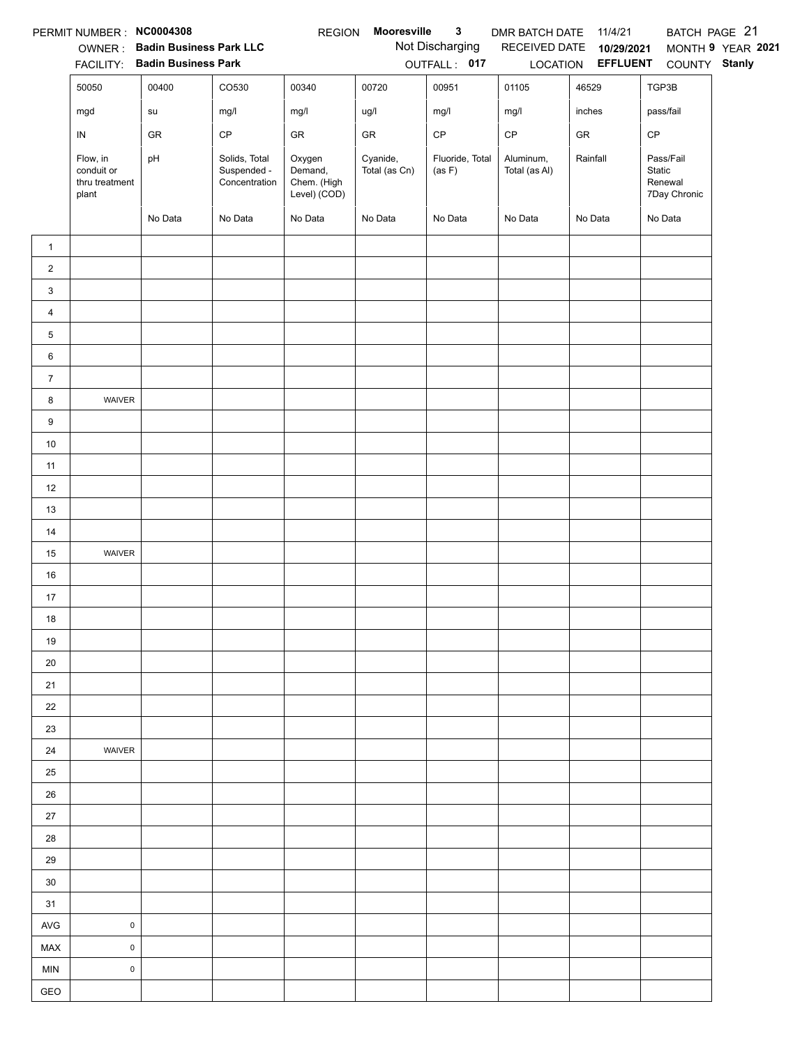|                | PERMIT NUMBER : NC0004308                         |                                                                 |                                               | <b>REGION</b>                                    | Mooresville               | $\mathbf{3}$                    | DMR BATCH DATE             | 11/4/21                                              |                                                | BATCH PAGE 21     |
|----------------|---------------------------------------------------|-----------------------------------------------------------------|-----------------------------------------------|--------------------------------------------------|---------------------------|---------------------------------|----------------------------|------------------------------------------------------|------------------------------------------------|-------------------|
|                |                                                   | OWNER: Badin Business Park LLC<br>FACILITY: Badin Business Park |                                               |                                                  |                           | Not Discharging<br>OUTFALL: 017 |                            | RECEIVED DATE 10/29/2021<br>LOCATION <b>EFFLUENT</b> | COUNTY Stanly                                  | MONTH 9 YEAR 2021 |
|                | 50050                                             | 00400                                                           | CO530                                         | 00340                                            | 00720                     | 00951                           | 01105                      | 46529                                                | TGP3B                                          |                   |
|                | mgd                                               | su                                                              | mg/l                                          | mg/l                                             | ug/l                      | mg/l                            | mg/l                       | inches                                               | pass/fail                                      |                   |
|                | ${\sf IN}$                                        | GR                                                              | CP                                            | GR                                               | GR                        | $\mathsf{CP}$                   | $\mathsf{CP}$              | ${\sf GR}$                                           | CP                                             |                   |
|                | Flow, in<br>conduit or<br>thru treatment<br>plant | pH                                                              | Solids, Total<br>Suspended -<br>Concentration | Oxygen<br>Demand,<br>Chem. (High<br>Level) (COD) | Cyanide,<br>Total (as Cn) | Fluoride, Total<br>(as F)       | Aluminum,<br>Total (as Al) | Rainfall                                             | Pass/Fail<br>Static<br>Renewal<br>7Day Chronic |                   |
|                |                                                   | No Data                                                         | No Data                                       | No Data                                          | No Data                   | No Data                         | No Data                    | No Data                                              | No Data                                        |                   |
| $\mathbf{1}$   |                                                   |                                                                 |                                               |                                                  |                           |                                 |                            |                                                      |                                                |                   |
| $\overline{2}$ |                                                   |                                                                 |                                               |                                                  |                           |                                 |                            |                                                      |                                                |                   |
| 3              |                                                   |                                                                 |                                               |                                                  |                           |                                 |                            |                                                      |                                                |                   |
| $\overline{4}$ |                                                   |                                                                 |                                               |                                                  |                           |                                 |                            |                                                      |                                                |                   |
| 5              |                                                   |                                                                 |                                               |                                                  |                           |                                 |                            |                                                      |                                                |                   |
| 6              |                                                   |                                                                 |                                               |                                                  |                           |                                 |                            |                                                      |                                                |                   |
| $\overline{7}$ |                                                   |                                                                 |                                               |                                                  |                           |                                 |                            |                                                      |                                                |                   |
| 8              | WAIVER                                            |                                                                 |                                               |                                                  |                           |                                 |                            |                                                      |                                                |                   |
| 9              |                                                   |                                                                 |                                               |                                                  |                           |                                 |                            |                                                      |                                                |                   |
| $10\,$         |                                                   |                                                                 |                                               |                                                  |                           |                                 |                            |                                                      |                                                |                   |
| 11             |                                                   |                                                                 |                                               |                                                  |                           |                                 |                            |                                                      |                                                |                   |
| 12             |                                                   |                                                                 |                                               |                                                  |                           |                                 |                            |                                                      |                                                |                   |
| 13             |                                                   |                                                                 |                                               |                                                  |                           |                                 |                            |                                                      |                                                |                   |
| 14             |                                                   |                                                                 |                                               |                                                  |                           |                                 |                            |                                                      |                                                |                   |
| 15             | WAIVER                                            |                                                                 |                                               |                                                  |                           |                                 |                            |                                                      |                                                |                   |
| 16             |                                                   |                                                                 |                                               |                                                  |                           |                                 |                            |                                                      |                                                |                   |
| 17             |                                                   |                                                                 |                                               |                                                  |                           |                                 |                            |                                                      |                                                |                   |
| 18             |                                                   |                                                                 |                                               |                                                  |                           |                                 |                            |                                                      |                                                |                   |
| 19             |                                                   |                                                                 |                                               |                                                  |                           |                                 |                            |                                                      |                                                |                   |
| 20             |                                                   |                                                                 |                                               |                                                  |                           |                                 |                            |                                                      |                                                |                   |
| 21             |                                                   |                                                                 |                                               |                                                  |                           |                                 |                            |                                                      |                                                |                   |
| 22             |                                                   |                                                                 |                                               |                                                  |                           |                                 |                            |                                                      |                                                |                   |
| 23             |                                                   |                                                                 |                                               |                                                  |                           |                                 |                            |                                                      |                                                |                   |
| 24             | WAIVER                                            |                                                                 |                                               |                                                  |                           |                                 |                            |                                                      |                                                |                   |
| 25             |                                                   |                                                                 |                                               |                                                  |                           |                                 |                            |                                                      |                                                |                   |
| 26             |                                                   |                                                                 |                                               |                                                  |                           |                                 |                            |                                                      |                                                |                   |
| 27             |                                                   |                                                                 |                                               |                                                  |                           |                                 |                            |                                                      |                                                |                   |
| 28             |                                                   |                                                                 |                                               |                                                  |                           |                                 |                            |                                                      |                                                |                   |
| 29             |                                                   |                                                                 |                                               |                                                  |                           |                                 |                            |                                                      |                                                |                   |
| 30             |                                                   |                                                                 |                                               |                                                  |                           |                                 |                            |                                                      |                                                |                   |
| 31             |                                                   |                                                                 |                                               |                                                  |                           |                                 |                            |                                                      |                                                |                   |
| <b>AVG</b>     | $\pmb{0}$                                         |                                                                 |                                               |                                                  |                           |                                 |                            |                                                      |                                                |                   |
| MAX            | $\mathsf{O}\xspace$                               |                                                                 |                                               |                                                  |                           |                                 |                            |                                                      |                                                |                   |
| <b>MIN</b>     | $\pmb{0}$                                         |                                                                 |                                               |                                                  |                           |                                 |                            |                                                      |                                                |                   |
| GEO            |                                                   |                                                                 |                                               |                                                  |                           |                                 |                            |                                                      |                                                |                   |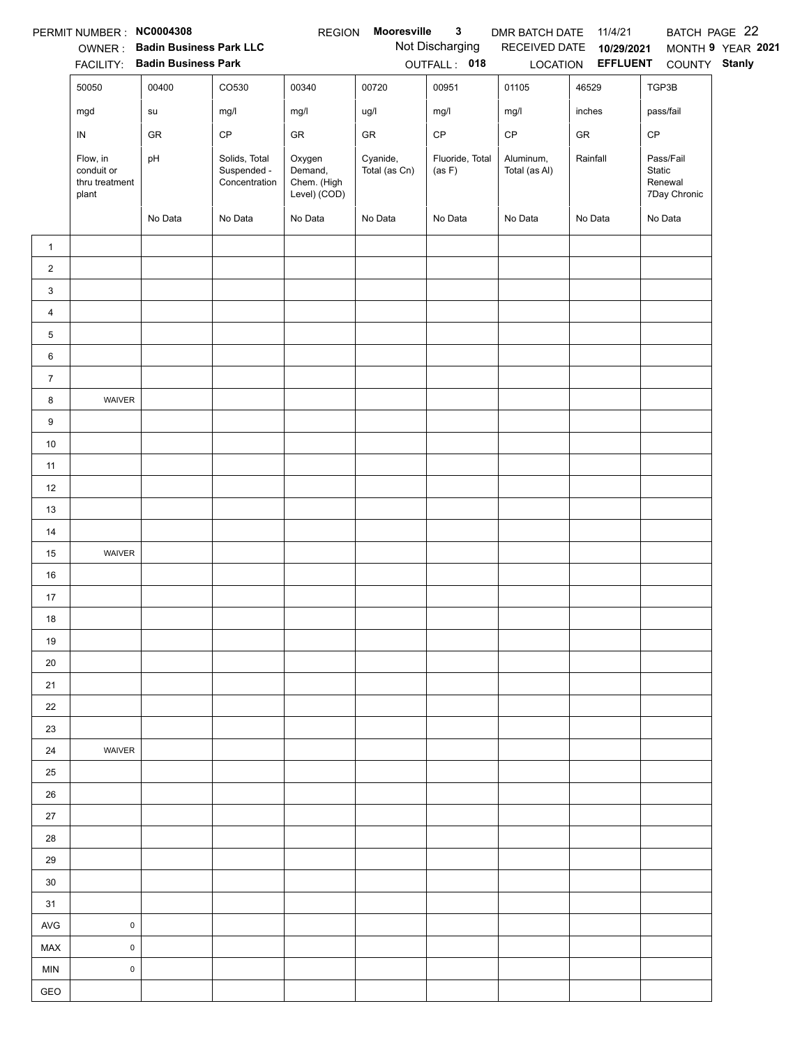|                | PERMIT NUMBER : NC0004308                |                                                                 |                                               | <b>REGION</b>                    | Mooresville               | $\mathbf{3}$                    | DMR BATCH DATE             | 11/4/21                                              |                                | BATCH PAGE 22     |
|----------------|------------------------------------------|-----------------------------------------------------------------|-----------------------------------------------|----------------------------------|---------------------------|---------------------------------|----------------------------|------------------------------------------------------|--------------------------------|-------------------|
|                |                                          | OWNER: Badin Business Park LLC<br>FACILITY: Badin Business Park |                                               |                                  |                           | Not Discharging<br>OUTFALL: 018 |                            | RECEIVED DATE 10/29/2021<br>LOCATION <b>EFFLUENT</b> | COUNTY Stanly                  | MONTH 9 YEAR 2021 |
|                | 50050                                    | 00400                                                           | CO530                                         | 00340                            | 00720                     | 00951                           | 01105                      | 46529                                                | TGP3B                          |                   |
|                | mgd                                      | su                                                              | mg/l                                          | mg/l                             | ug/l                      | mg/l                            | mg/l                       | inches                                               | pass/fail                      |                   |
|                | ${\sf IN}$                               | GR                                                              | CP                                            | GR                               | GR                        | $\mathsf{CP}$                   | $\mathsf{CP}$              | ${\sf GR}$                                           | CP                             |                   |
|                | Flow, in<br>conduit or<br>thru treatment | pH                                                              | Solids, Total<br>Suspended -<br>Concentration | Oxygen<br>Demand,<br>Chem. (High | Cyanide,<br>Total (as Cn) | Fluoride, Total<br>(as F)       | Aluminum,<br>Total (as Al) | Rainfall                                             | Pass/Fail<br>Static<br>Renewal |                   |
|                | plant                                    |                                                                 |                                               | Level) (COD)                     |                           |                                 |                            |                                                      | 7Day Chronic                   |                   |
|                |                                          | No Data                                                         | No Data                                       | No Data                          | No Data                   | No Data                         | No Data                    | No Data                                              | No Data                        |                   |
| $\mathbf{1}$   |                                          |                                                                 |                                               |                                  |                           |                                 |                            |                                                      |                                |                   |
| $\overline{2}$ |                                          |                                                                 |                                               |                                  |                           |                                 |                            |                                                      |                                |                   |
| 3              |                                          |                                                                 |                                               |                                  |                           |                                 |                            |                                                      |                                |                   |
| $\overline{4}$ |                                          |                                                                 |                                               |                                  |                           |                                 |                            |                                                      |                                |                   |
| 5              |                                          |                                                                 |                                               |                                  |                           |                                 |                            |                                                      |                                |                   |
| 6              |                                          |                                                                 |                                               |                                  |                           |                                 |                            |                                                      |                                |                   |
| $\overline{7}$ |                                          |                                                                 |                                               |                                  |                           |                                 |                            |                                                      |                                |                   |
| 8              | WAIVER                                   |                                                                 |                                               |                                  |                           |                                 |                            |                                                      |                                |                   |
| 9              |                                          |                                                                 |                                               |                                  |                           |                                 |                            |                                                      |                                |                   |
| $10\,$         |                                          |                                                                 |                                               |                                  |                           |                                 |                            |                                                      |                                |                   |
| 11             |                                          |                                                                 |                                               |                                  |                           |                                 |                            |                                                      |                                |                   |
| 12             |                                          |                                                                 |                                               |                                  |                           |                                 |                            |                                                      |                                |                   |
| 13             |                                          |                                                                 |                                               |                                  |                           |                                 |                            |                                                      |                                |                   |
| 14             |                                          |                                                                 |                                               |                                  |                           |                                 |                            |                                                      |                                |                   |
| 15             | WAIVER                                   |                                                                 |                                               |                                  |                           |                                 |                            |                                                      |                                |                   |
| 16<br>17       |                                          |                                                                 |                                               |                                  |                           |                                 |                            |                                                      |                                |                   |
|                |                                          |                                                                 |                                               |                                  |                           |                                 |                            |                                                      |                                |                   |
| 18<br>19       |                                          |                                                                 |                                               |                                  |                           |                                 |                            |                                                      |                                |                   |
| 20             |                                          |                                                                 |                                               |                                  |                           |                                 |                            |                                                      |                                |                   |
| 21             |                                          |                                                                 |                                               |                                  |                           |                                 |                            |                                                      |                                |                   |
| 22             |                                          |                                                                 |                                               |                                  |                           |                                 |                            |                                                      |                                |                   |
| 23             |                                          |                                                                 |                                               |                                  |                           |                                 |                            |                                                      |                                |                   |
| 24             | WAIVER                                   |                                                                 |                                               |                                  |                           |                                 |                            |                                                      |                                |                   |
| 25             |                                          |                                                                 |                                               |                                  |                           |                                 |                            |                                                      |                                |                   |
| 26             |                                          |                                                                 |                                               |                                  |                           |                                 |                            |                                                      |                                |                   |
| 27             |                                          |                                                                 |                                               |                                  |                           |                                 |                            |                                                      |                                |                   |
| 28             |                                          |                                                                 |                                               |                                  |                           |                                 |                            |                                                      |                                |                   |
| 29             |                                          |                                                                 |                                               |                                  |                           |                                 |                            |                                                      |                                |                   |
| 30             |                                          |                                                                 |                                               |                                  |                           |                                 |                            |                                                      |                                |                   |
| 31             |                                          |                                                                 |                                               |                                  |                           |                                 |                            |                                                      |                                |                   |
| <b>AVG</b>     | $\pmb{0}$                                |                                                                 |                                               |                                  |                           |                                 |                            |                                                      |                                |                   |
| MAX            | $\mathsf{O}\xspace$                      |                                                                 |                                               |                                  |                           |                                 |                            |                                                      |                                |                   |
| <b>MIN</b>     | $\pmb{0}$                                |                                                                 |                                               |                                  |                           |                                 |                            |                                                      |                                |                   |
| GEO            |                                          |                                                                 |                                               |                                  |                           |                                 |                            |                                                      |                                |                   |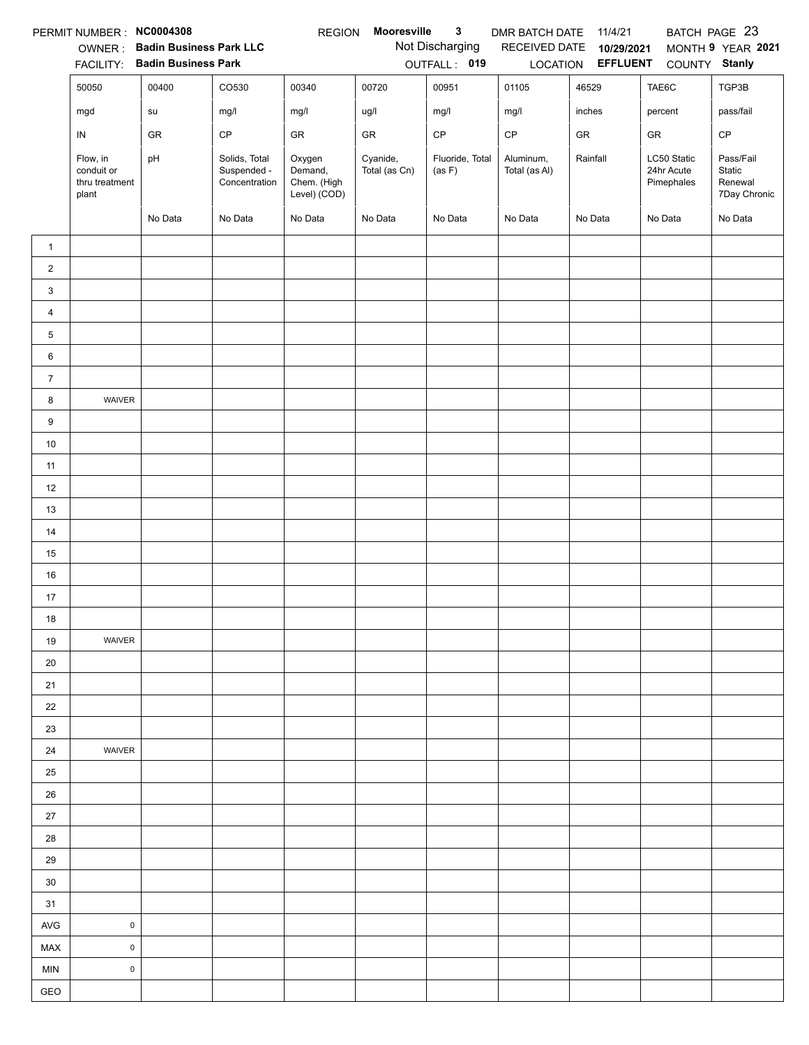|                | PERMIT NUMBER: NC0004308                          |                                |                                               | <b>REGION</b>                                    | Mooresville               | 3                         | DMR BATCH DATE             | 11/4/21                  |                                         | BATCH PAGE 23                                  |
|----------------|---------------------------------------------------|--------------------------------|-----------------------------------------------|--------------------------------------------------|---------------------------|---------------------------|----------------------------|--------------------------|-----------------------------------------|------------------------------------------------|
|                | OWNER:                                            | <b>Badin Business Park LLC</b> |                                               |                                                  |                           | Not Discharging           | RECEIVED DATE              | 10/29/2021               |                                         | MONTH 9 YEAR 2021                              |
|                | <b>FACILITY:</b>                                  | <b>Badin Business Park</b>     |                                               |                                                  |                           | OUTFALL: 019              |                            | LOCATION <b>EFFLUENT</b> | COUNTY Stanly                           |                                                |
|                | 50050                                             | 00400                          | CO530                                         | 00340                                            | 00720                     | 00951                     | 01105                      | 46529                    | TAE6C                                   | TGP3B                                          |
|                | mgd                                               | su                             | mg/l                                          | mg/l                                             | ug/l                      | mg/l                      | mg/l                       | inches                   | percent                                 | pass/fail                                      |
|                | IN                                                | GR                             | CP                                            | GR                                               | GR                        | CP                        | CP                         | GR                       | GR                                      | $\mathsf{CP}$                                  |
|                | Flow, in<br>conduit or<br>thru treatment<br>plant | pH                             | Solids, Total<br>Suspended -<br>Concentration | Oxygen<br>Demand,<br>Chem. (High<br>Level) (COD) | Cyanide,<br>Total (as Cn) | Fluoride, Total<br>(as F) | Aluminum,<br>Total (as Al) | Rainfall                 | LC50 Static<br>24hr Acute<br>Pimephales | Pass/Fail<br>Static<br>Renewal<br>7Day Chronic |
|                |                                                   | No Data                        | No Data                                       | No Data                                          | No Data                   | No Data                   | No Data                    | No Data                  | No Data                                 | No Data                                        |
| $\mathbf{1}$   |                                                   |                                |                                               |                                                  |                           |                           |                            |                          |                                         |                                                |
| $\overline{2}$ |                                                   |                                |                                               |                                                  |                           |                           |                            |                          |                                         |                                                |
| 3              |                                                   |                                |                                               |                                                  |                           |                           |                            |                          |                                         |                                                |
| $\overline{4}$ |                                                   |                                |                                               |                                                  |                           |                           |                            |                          |                                         |                                                |
| 5              |                                                   |                                |                                               |                                                  |                           |                           |                            |                          |                                         |                                                |
| 6              |                                                   |                                |                                               |                                                  |                           |                           |                            |                          |                                         |                                                |
| $\overline{7}$ |                                                   |                                |                                               |                                                  |                           |                           |                            |                          |                                         |                                                |
| 8              | WAIVER                                            |                                |                                               |                                                  |                           |                           |                            |                          |                                         |                                                |
| 9              |                                                   |                                |                                               |                                                  |                           |                           |                            |                          |                                         |                                                |
| 10             |                                                   |                                |                                               |                                                  |                           |                           |                            |                          |                                         |                                                |
| 11             |                                                   |                                |                                               |                                                  |                           |                           |                            |                          |                                         |                                                |
| 12             |                                                   |                                |                                               |                                                  |                           |                           |                            |                          |                                         |                                                |
| 13             |                                                   |                                |                                               |                                                  |                           |                           |                            |                          |                                         |                                                |
| 14             |                                                   |                                |                                               |                                                  |                           |                           |                            |                          |                                         |                                                |
| 15             |                                                   |                                |                                               |                                                  |                           |                           |                            |                          |                                         |                                                |
| 16             |                                                   |                                |                                               |                                                  |                           |                           |                            |                          |                                         |                                                |
| 17             |                                                   |                                |                                               |                                                  |                           |                           |                            |                          |                                         |                                                |
| 18             |                                                   |                                |                                               |                                                  |                           |                           |                            |                          |                                         |                                                |
| 19             | WAIVER                                            |                                |                                               |                                                  |                           |                           |                            |                          |                                         |                                                |
| 20             |                                                   |                                |                                               |                                                  |                           |                           |                            |                          |                                         |                                                |
| 21             |                                                   |                                |                                               |                                                  |                           |                           |                            |                          |                                         |                                                |
| 22             |                                                   |                                |                                               |                                                  |                           |                           |                            |                          |                                         |                                                |
| 23             |                                                   |                                |                                               |                                                  |                           |                           |                            |                          |                                         |                                                |
| 24             | WAIVER                                            |                                |                                               |                                                  |                           |                           |                            |                          |                                         |                                                |
| 25             |                                                   |                                |                                               |                                                  |                           |                           |                            |                          |                                         |                                                |
| $26\,$         |                                                   |                                |                                               |                                                  |                           |                           |                            |                          |                                         |                                                |
| 27             |                                                   |                                |                                               |                                                  |                           |                           |                            |                          |                                         |                                                |
| 28             |                                                   |                                |                                               |                                                  |                           |                           |                            |                          |                                         |                                                |
| 29             |                                                   |                                |                                               |                                                  |                           |                           |                            |                          |                                         |                                                |
| 30             |                                                   |                                |                                               |                                                  |                           |                           |                            |                          |                                         |                                                |
| 31             |                                                   |                                |                                               |                                                  |                           |                           |                            |                          |                                         |                                                |
| <b>AVG</b>     | $\pmb{0}$                                         |                                |                                               |                                                  |                           |                           |                            |                          |                                         |                                                |
| MAX            | $\mathsf 0$                                       |                                |                                               |                                                  |                           |                           |                            |                          |                                         |                                                |
| MIN            | $\pmb{0}$                                         |                                |                                               |                                                  |                           |                           |                            |                          |                                         |                                                |
| GEO            |                                                   |                                |                                               |                                                  |                           |                           |                            |                          |                                         |                                                |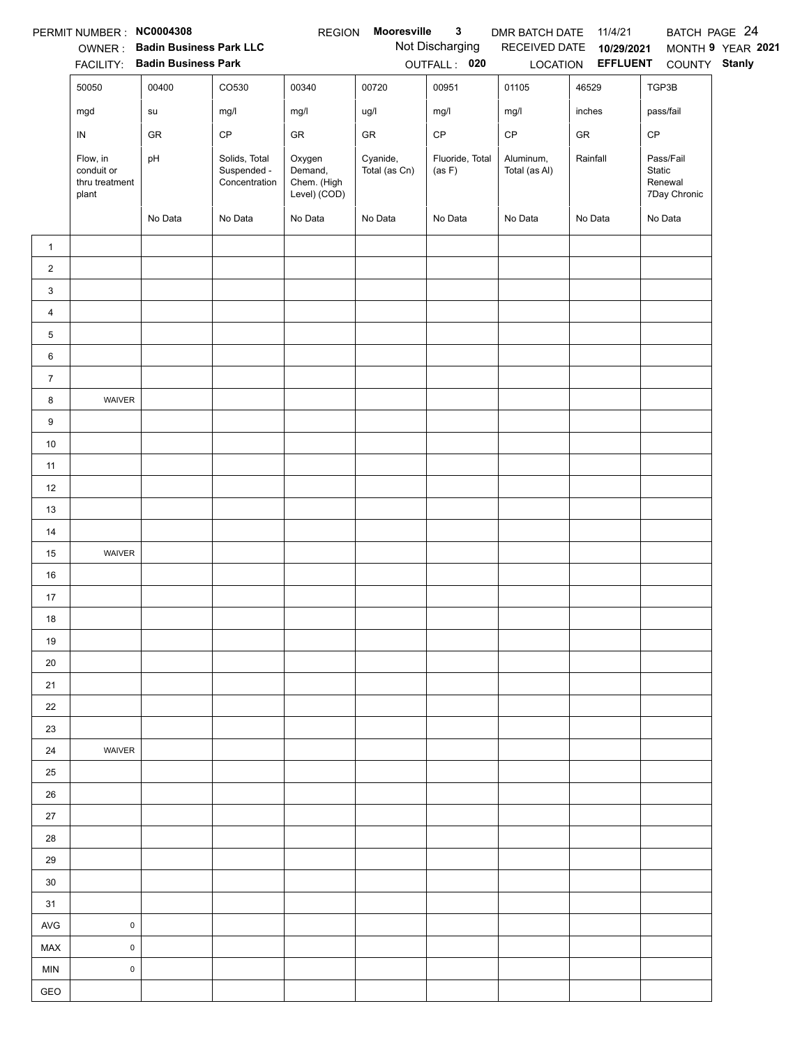|                | PERMIT NUMBER : NC0004308                         |                                        |                                               | <b>REGION</b>                                    | Mooresville               | $\mathbf{3}$              | DMR BATCH DATE             | 11/4/21                           |                                                | BATCH PAGE 24     |
|----------------|---------------------------------------------------|----------------------------------------|-----------------------------------------------|--------------------------------------------------|---------------------------|---------------------------|----------------------------|-----------------------------------|------------------------------------------------|-------------------|
|                |                                                   | OWNER: Badin Business Park LLC         |                                               |                                                  |                           | Not Discharging           |                            | RECEIVED DATE 10/29/2021          |                                                | MONTH 9 YEAR 2021 |
|                | 50050                                             | FACILITY: Badin Business Park<br>00400 | CO530                                         | 00340                                            | 00720                     | OUTFALL: 020<br>00951     | 01105                      | LOCATION <b>EFFLUENT</b><br>46529 | COUNTY Stanly<br>TGP3B                         |                   |
|                |                                                   |                                        |                                               |                                                  |                           |                           |                            |                                   |                                                |                   |
|                | mgd                                               | su                                     | mg/l                                          | mg/l                                             | ug/l                      | mg/l                      | mg/l                       | inches                            | pass/fail                                      |                   |
|                | ${\sf IN}$                                        | GR                                     | CP                                            | GR                                               | GR                        | $\mathsf{CP}$             | $\mathsf{CP}$              | ${\sf GR}$                        | CP                                             |                   |
|                | Flow, in<br>conduit or<br>thru treatment<br>plant | pH                                     | Solids, Total<br>Suspended -<br>Concentration | Oxygen<br>Demand,<br>Chem. (High<br>Level) (COD) | Cyanide,<br>Total (as Cn) | Fluoride, Total<br>(as F) | Aluminum,<br>Total (as Al) | Rainfall                          | Pass/Fail<br>Static<br>Renewal<br>7Day Chronic |                   |
|                |                                                   | No Data                                | No Data                                       | No Data                                          | No Data                   | No Data                   | No Data                    | No Data                           | No Data                                        |                   |
| $\mathbf{1}$   |                                                   |                                        |                                               |                                                  |                           |                           |                            |                                   |                                                |                   |
| $\overline{2}$ |                                                   |                                        |                                               |                                                  |                           |                           |                            |                                   |                                                |                   |
| 3              |                                                   |                                        |                                               |                                                  |                           |                           |                            |                                   |                                                |                   |
| $\overline{4}$ |                                                   |                                        |                                               |                                                  |                           |                           |                            |                                   |                                                |                   |
| 5              |                                                   |                                        |                                               |                                                  |                           |                           |                            |                                   |                                                |                   |
| 6              |                                                   |                                        |                                               |                                                  |                           |                           |                            |                                   |                                                |                   |
| $\overline{7}$ |                                                   |                                        |                                               |                                                  |                           |                           |                            |                                   |                                                |                   |
| 8              | WAIVER                                            |                                        |                                               |                                                  |                           |                           |                            |                                   |                                                |                   |
| 9              |                                                   |                                        |                                               |                                                  |                           |                           |                            |                                   |                                                |                   |
| $10\,$         |                                                   |                                        |                                               |                                                  |                           |                           |                            |                                   |                                                |                   |
| 11             |                                                   |                                        |                                               |                                                  |                           |                           |                            |                                   |                                                |                   |
| 12             |                                                   |                                        |                                               |                                                  |                           |                           |                            |                                   |                                                |                   |
| 13             |                                                   |                                        |                                               |                                                  |                           |                           |                            |                                   |                                                |                   |
| 14             |                                                   |                                        |                                               |                                                  |                           |                           |                            |                                   |                                                |                   |
| 15             | WAIVER                                            |                                        |                                               |                                                  |                           |                           |                            |                                   |                                                |                   |
| 16             |                                                   |                                        |                                               |                                                  |                           |                           |                            |                                   |                                                |                   |
| 17             |                                                   |                                        |                                               |                                                  |                           |                           |                            |                                   |                                                |                   |
| 18             |                                                   |                                        |                                               |                                                  |                           |                           |                            |                                   |                                                |                   |
| 19             |                                                   |                                        |                                               |                                                  |                           |                           |                            |                                   |                                                |                   |
| 20             |                                                   |                                        |                                               |                                                  |                           |                           |                            |                                   |                                                |                   |
| 21             |                                                   |                                        |                                               |                                                  |                           |                           |                            |                                   |                                                |                   |
| 22             |                                                   |                                        |                                               |                                                  |                           |                           |                            |                                   |                                                |                   |
| 23             |                                                   |                                        |                                               |                                                  |                           |                           |                            |                                   |                                                |                   |
| 24             | WAIVER                                            |                                        |                                               |                                                  |                           |                           |                            |                                   |                                                |                   |
| 25             |                                                   |                                        |                                               |                                                  |                           |                           |                            |                                   |                                                |                   |
| 26             |                                                   |                                        |                                               |                                                  |                           |                           |                            |                                   |                                                |                   |
| 27             |                                                   |                                        |                                               |                                                  |                           |                           |                            |                                   |                                                |                   |
| 28             |                                                   |                                        |                                               |                                                  |                           |                           |                            |                                   |                                                |                   |
| 29             |                                                   |                                        |                                               |                                                  |                           |                           |                            |                                   |                                                |                   |
| 30             |                                                   |                                        |                                               |                                                  |                           |                           |                            |                                   |                                                |                   |
| 31             |                                                   |                                        |                                               |                                                  |                           |                           |                            |                                   |                                                |                   |
| <b>AVG</b>     | $\pmb{0}$                                         |                                        |                                               |                                                  |                           |                           |                            |                                   |                                                |                   |
| MAX            | $\mathsf{O}\xspace$                               |                                        |                                               |                                                  |                           |                           |                            |                                   |                                                |                   |
| <b>MIN</b>     | $\pmb{0}$                                         |                                        |                                               |                                                  |                           |                           |                            |                                   |                                                |                   |
| GEO            |                                                   |                                        |                                               |                                                  |                           |                           |                            |                                   |                                                |                   |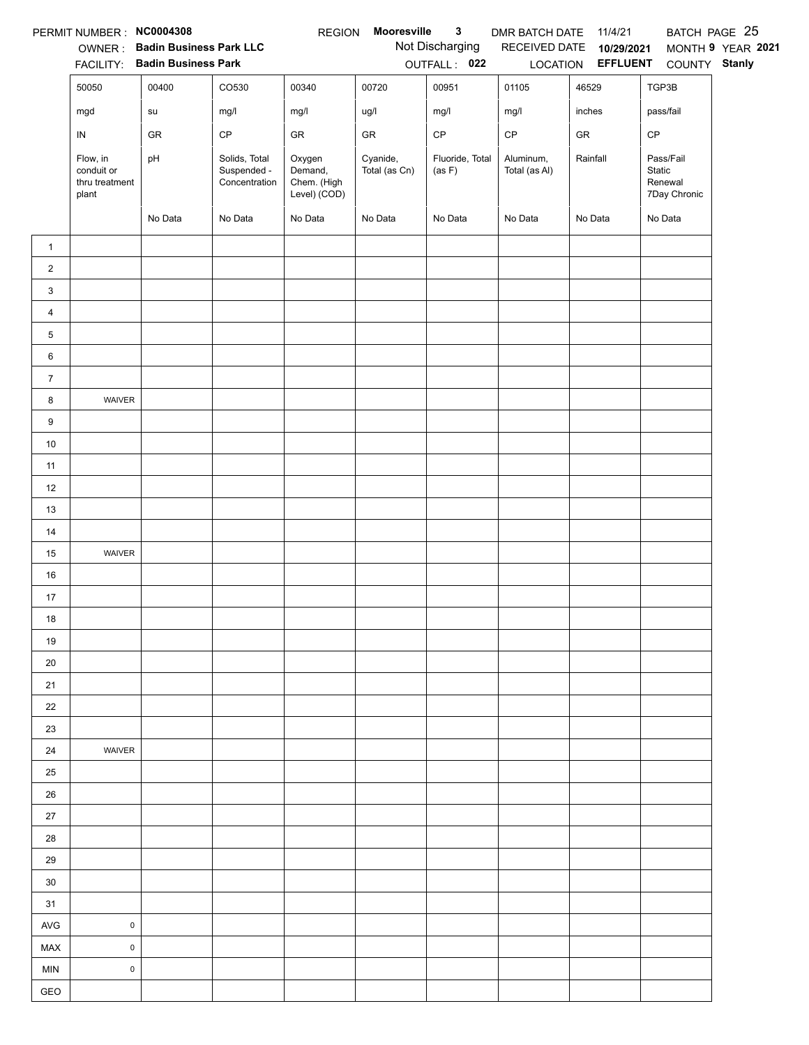|                | PERMIT NUMBER : NC0004308                         |                                |                                               | <b>REGION</b>                                    | Mooresville               | $\mathbf{3}$              | DMR BATCH DATE 11/4/21     |                          |                                                | BATCH PAGE 25     |
|----------------|---------------------------------------------------|--------------------------------|-----------------------------------------------|--------------------------------------------------|---------------------------|---------------------------|----------------------------|--------------------------|------------------------------------------------|-------------------|
|                |                                                   | OWNER: Badin Business Park LLC |                                               |                                                  |                           | Not Discharging           |                            | RECEIVED DATE 10/29/2021 |                                                | MONTH 9 YEAR 2021 |
|                |                                                   | FACILITY: Badin Business Park  |                                               |                                                  |                           | OUTFALL: 022              |                            | LOCATION <b>EFFLUENT</b> | COUNTY Stanly                                  |                   |
|                | 50050                                             | 00400                          | CO530                                         | 00340                                            | 00720                     | 00951                     | 01105                      | 46529                    | TGP3B                                          |                   |
|                | mgd                                               | ${\sf su}$                     | mg/l                                          | mg/l                                             | ug/l                      | mg/l                      | mg/l                       | inches                   | pass/fail                                      |                   |
|                | IN                                                | GR                             | $\mathsf{CP}$                                 | ${\sf GR}$                                       | ${\sf GR}$                | $\mathsf{CP}$             | $\mathsf{CP}$              | ${\sf GR}$               | $\mathsf{CP}$                                  |                   |
|                | Flow, in<br>conduit or<br>thru treatment<br>plant | pH                             | Solids, Total<br>Suspended -<br>Concentration | Oxygen<br>Demand,<br>Chem. (High<br>Level) (COD) | Cyanide,<br>Total (as Cn) | Fluoride, Total<br>(as F) | Aluminum,<br>Total (as Al) | Rainfall                 | Pass/Fail<br>Static<br>Renewal<br>7Day Chronic |                   |
|                |                                                   | No Data                        | No Data                                       | No Data                                          | No Data                   | No Data                   | No Data                    | No Data                  | No Data                                        |                   |
| $\mathbf{1}$   |                                                   |                                |                                               |                                                  |                           |                           |                            |                          |                                                |                   |
| $\overline{2}$ |                                                   |                                |                                               |                                                  |                           |                           |                            |                          |                                                |                   |
| 3              |                                                   |                                |                                               |                                                  |                           |                           |                            |                          |                                                |                   |
| $\overline{4}$ |                                                   |                                |                                               |                                                  |                           |                           |                            |                          |                                                |                   |
| 5              |                                                   |                                |                                               |                                                  |                           |                           |                            |                          |                                                |                   |
| 6              |                                                   |                                |                                               |                                                  |                           |                           |                            |                          |                                                |                   |
| $\overline{7}$ |                                                   |                                |                                               |                                                  |                           |                           |                            |                          |                                                |                   |
| 8              | WAIVER                                            |                                |                                               |                                                  |                           |                           |                            |                          |                                                |                   |
| 9              |                                                   |                                |                                               |                                                  |                           |                           |                            |                          |                                                |                   |
| $10\,$         |                                                   |                                |                                               |                                                  |                           |                           |                            |                          |                                                |                   |
| 11             |                                                   |                                |                                               |                                                  |                           |                           |                            |                          |                                                |                   |
| 12             |                                                   |                                |                                               |                                                  |                           |                           |                            |                          |                                                |                   |
| 13             |                                                   |                                |                                               |                                                  |                           |                           |                            |                          |                                                |                   |
| 14             |                                                   |                                |                                               |                                                  |                           |                           |                            |                          |                                                |                   |
| 15             | WAIVER                                            |                                |                                               |                                                  |                           |                           |                            |                          |                                                |                   |
| 16             |                                                   |                                |                                               |                                                  |                           |                           |                            |                          |                                                |                   |
| 17             |                                                   |                                |                                               |                                                  |                           |                           |                            |                          |                                                |                   |
| 18             |                                                   |                                |                                               |                                                  |                           |                           |                            |                          |                                                |                   |
| 19             |                                                   |                                |                                               |                                                  |                           |                           |                            |                          |                                                |                   |
| 20             |                                                   |                                |                                               |                                                  |                           |                           |                            |                          |                                                |                   |
| 21             |                                                   |                                |                                               |                                                  |                           |                           |                            |                          |                                                |                   |
| 22             |                                                   |                                |                                               |                                                  |                           |                           |                            |                          |                                                |                   |
| 23             |                                                   |                                |                                               |                                                  |                           |                           |                            |                          |                                                |                   |
| 24             | WAIVER                                            |                                |                                               |                                                  |                           |                           |                            |                          |                                                |                   |
| 25             |                                                   |                                |                                               |                                                  |                           |                           |                            |                          |                                                |                   |
| 26             |                                                   |                                |                                               |                                                  |                           |                           |                            |                          |                                                |                   |
| $27\,$         |                                                   |                                |                                               |                                                  |                           |                           |                            |                          |                                                |                   |
| 28             |                                                   |                                |                                               |                                                  |                           |                           |                            |                          |                                                |                   |
| 29             |                                                   |                                |                                               |                                                  |                           |                           |                            |                          |                                                |                   |
| 30             |                                                   |                                |                                               |                                                  |                           |                           |                            |                          |                                                |                   |
| 31             |                                                   |                                |                                               |                                                  |                           |                           |                            |                          |                                                |                   |
| AVG            | $\pmb{0}$                                         |                                |                                               |                                                  |                           |                           |                            |                          |                                                |                   |
| MAX            | $\mathsf 0$                                       |                                |                                               |                                                  |                           |                           |                            |                          |                                                |                   |
| <b>MIN</b>     | $\mathsf 0$                                       |                                |                                               |                                                  |                           |                           |                            |                          |                                                |                   |
| GEO            |                                                   |                                |                                               |                                                  |                           |                           |                            |                          |                                                |                   |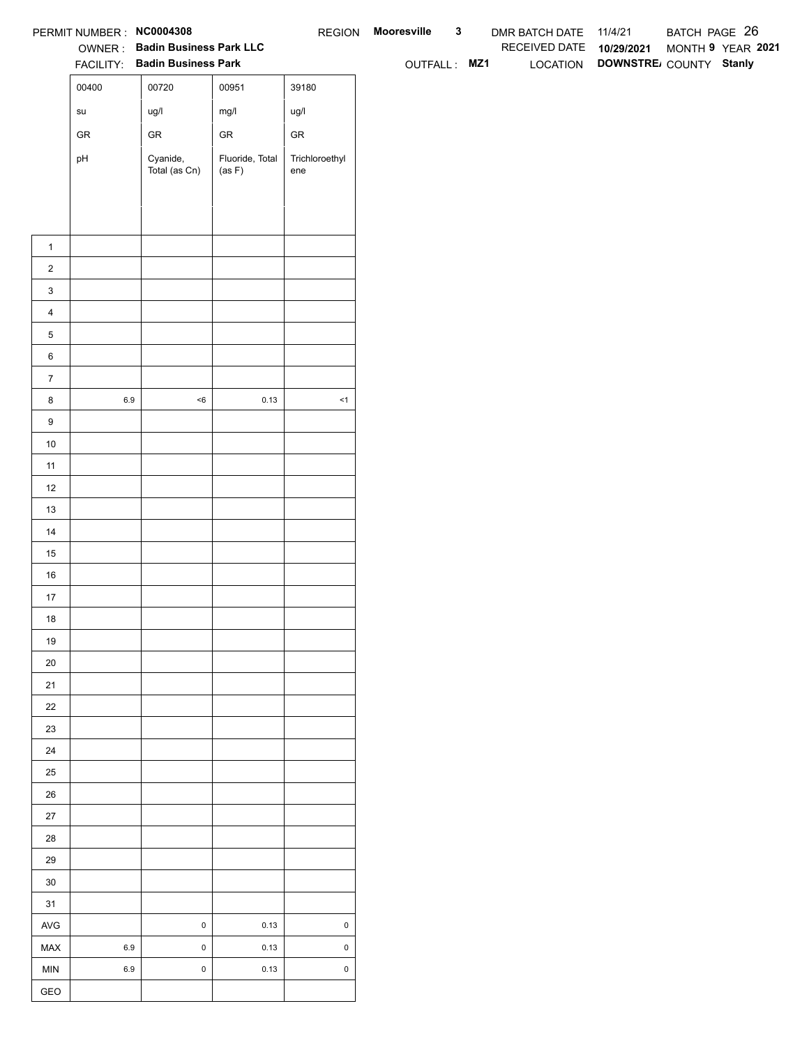|                  | PERMIT NUMBER : NC0004308             |                                                                 |                           |                       | REGION Mooresville | $\mathbf{3}$ | DMR BATCH DATE 11/4/21   |                                 | BATCH PAGE 26     |  |
|------------------|---------------------------------------|-----------------------------------------------------------------|---------------------------|-----------------------|--------------------|--------------|--------------------------|---------------------------------|-------------------|--|
|                  |                                       | OWNER: Badin Business Park LLC<br>FACILITY: Badin Business Park |                           |                       | OUTFALL: MZ1       |              | RECEIVED DATE 10/29/2021 | LOCATION DOWNSTRE COUNTY Stanly | MONTH 9 YEAR 2021 |  |
|                  | 00400                                 | 00720                                                           | 00951                     | 39180                 |                    |              |                          |                                 |                   |  |
|                  |                                       |                                                                 |                           |                       |                    |              |                          |                                 |                   |  |
|                  | $\operatorname{\mathsf{su}}\nolimits$ | ug/l                                                            | mg/l                      | ug/l                  |                    |              |                          |                                 |                   |  |
|                  | ${\sf GR}$                            | ${\sf GR}$                                                      | ${\sf GR}$                | ${\sf GR}$            |                    |              |                          |                                 |                   |  |
|                  | pH                                    | Cyanide,<br>Total (as Cn)                                       | Fluoride, Total<br>(as F) | Trichloroethyl<br>ene |                    |              |                          |                                 |                   |  |
|                  |                                       |                                                                 |                           |                       |                    |              |                          |                                 |                   |  |
|                  |                                       |                                                                 |                           |                       |                    |              |                          |                                 |                   |  |
|                  |                                       |                                                                 |                           |                       |                    |              |                          |                                 |                   |  |
| $\mathbf{1}$     |                                       |                                                                 |                           |                       |                    |              |                          |                                 |                   |  |
| $\overline{2}$   |                                       |                                                                 |                           |                       |                    |              |                          |                                 |                   |  |
| $\mathbf{3}$     |                                       |                                                                 |                           |                       |                    |              |                          |                                 |                   |  |
| $\overline{4}$   |                                       |                                                                 |                           |                       |                    |              |                          |                                 |                   |  |
| $\,$ 5 $\,$      |                                       |                                                                 |                           |                       |                    |              |                          |                                 |                   |  |
| $\,6$            |                                       |                                                                 |                           |                       |                    |              |                          |                                 |                   |  |
| $\overline{7}$   |                                       |                                                                 |                           |                       |                    |              |                          |                                 |                   |  |
| 8                | $6.9\,$                               | $<\!6$                                                          | 0.13                      | $\leq$ 1              |                    |              |                          |                                 |                   |  |
| $\boldsymbol{9}$ |                                       |                                                                 |                           |                       |                    |              |                          |                                 |                   |  |
| 10               |                                       |                                                                 |                           |                       |                    |              |                          |                                 |                   |  |
| 11               |                                       |                                                                 |                           |                       |                    |              |                          |                                 |                   |  |
| 12               |                                       |                                                                 |                           |                       |                    |              |                          |                                 |                   |  |
| 13               |                                       |                                                                 |                           |                       |                    |              |                          |                                 |                   |  |
| 14               |                                       |                                                                 |                           |                       |                    |              |                          |                                 |                   |  |
| 15<br>16         |                                       |                                                                 |                           |                       |                    |              |                          |                                 |                   |  |
| $17$             |                                       |                                                                 |                           |                       |                    |              |                          |                                 |                   |  |
| 18               |                                       |                                                                 |                           |                       |                    |              |                          |                                 |                   |  |
| 19               |                                       |                                                                 |                           |                       |                    |              |                          |                                 |                   |  |
| $20\,$           |                                       |                                                                 |                           |                       |                    |              |                          |                                 |                   |  |
| 21               |                                       |                                                                 |                           |                       |                    |              |                          |                                 |                   |  |
| $22\,$           |                                       |                                                                 |                           |                       |                    |              |                          |                                 |                   |  |
| 23               |                                       |                                                                 |                           |                       |                    |              |                          |                                 |                   |  |
| 24               |                                       |                                                                 |                           |                       |                    |              |                          |                                 |                   |  |
| $25\,$           |                                       |                                                                 |                           |                       |                    |              |                          |                                 |                   |  |
| 26               |                                       |                                                                 |                           |                       |                    |              |                          |                                 |                   |  |
| 27               |                                       |                                                                 |                           |                       |                    |              |                          |                                 |                   |  |
| 28               |                                       |                                                                 |                           |                       |                    |              |                          |                                 |                   |  |
| 29               |                                       |                                                                 |                           |                       |                    |              |                          |                                 |                   |  |
| $30\,$           |                                       |                                                                 |                           |                       |                    |              |                          |                                 |                   |  |
| 31               |                                       |                                                                 |                           |                       |                    |              |                          |                                 |                   |  |
| AVG              |                                       | $\mathbf 0$                                                     | 0.13                      | $\pmb{0}$             |                    |              |                          |                                 |                   |  |
| MAX              | 6.9                                   | $\pmb{0}$                                                       | 0.13                      | $\mathsf 0$           |                    |              |                          |                                 |                   |  |
| MIN              | 6.9                                   | $\mathbf 0$                                                     | 0.13                      | $\mathsf 0$           |                    |              |                          |                                 |                   |  |
| GEO              |                                       |                                                                 |                           |                       |                    |              |                          |                                 |                   |  |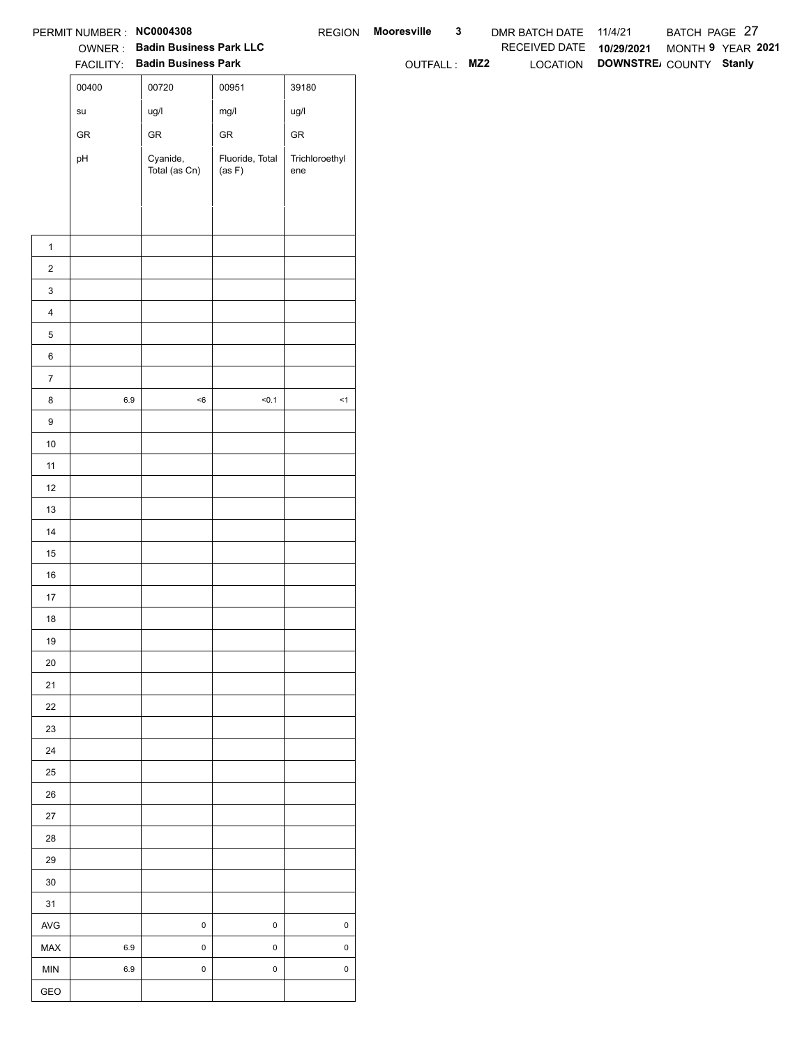| RECEIVED DATE 10/29/2021<br>OWNER: Badin Business Park LLC<br>LOCATION DOWNSTRE COUNTY Stanly<br>FACILITY: Badin Business Park<br>OUTFALL: MZ2<br>00400<br>00720<br>00951<br>39180<br>mg/l<br>ug/l<br>ug/l<br>$\operatorname{\mathsf{su}}\nolimits$<br>${\sf GR}$<br>${\sf GR}$<br>${\sf GR}$<br>${\sf GR}$<br>Fluoride, Total<br>Cyanide,<br>Trichloroethyl<br>pH<br>(as F)<br>Total (as Cn)<br>ene<br>$\mathbf{1}$<br>$\overline{2}$<br>$\mathbf{3}$<br>$\overline{4}$<br>$\mathbf 5$<br>$\,6\,$<br>$\overline{7}$<br>$6.9\,$<br>$<\!6$<br>50.1<br>$\leq$ 1<br>8<br>$\boldsymbol{9}$<br>10<br>11<br>12<br>13<br>14<br>15<br>$16\,$<br>17<br>18<br>19<br>$20\,$<br>21<br>22<br>23<br>24<br>$25\,$<br>$26\,$<br>$27\,$<br>28<br>29<br>$30\,$<br>31<br>$\mathbf 0$<br>$\mathsf{AVG}$<br>$\,0\,$<br>$\mathsf{O}\xspace$<br>$\mathbf 0$<br>$\mathbf 0$<br>$\mathsf 0$<br>6.9<br>MAX<br>$\pmb{0}$<br>$\mathsf{O}\xspace$<br>$\mathsf 0$<br>$6.9\,$<br>MIN<br>GEO | PERMIT NUMBER : NC0004308 |  | REGION Mooresville | $\mathbf{3}$ | DMR BATCH DATE 11/4/21 | BATCH PAGE 27     |  |
|--------------------------------------------------------------------------------------------------------------------------------------------------------------------------------------------------------------------------------------------------------------------------------------------------------------------------------------------------------------------------------------------------------------------------------------------------------------------------------------------------------------------------------------------------------------------------------------------------------------------------------------------------------------------------------------------------------------------------------------------------------------------------------------------------------------------------------------------------------------------------------------------------------------------------------------------------------------|---------------------------|--|--------------------|--------------|------------------------|-------------------|--|
|                                                                                                                                                                                                                                                                                                                                                                                                                                                                                                                                                                                                                                                                                                                                                                                                                                                                                                                                                              |                           |  |                    |              |                        | MONTH 9 YEAR 2021 |  |
|                                                                                                                                                                                                                                                                                                                                                                                                                                                                                                                                                                                                                                                                                                                                                                                                                                                                                                                                                              |                           |  |                    |              |                        |                   |  |
|                                                                                                                                                                                                                                                                                                                                                                                                                                                                                                                                                                                                                                                                                                                                                                                                                                                                                                                                                              |                           |  |                    |              |                        |                   |  |
|                                                                                                                                                                                                                                                                                                                                                                                                                                                                                                                                                                                                                                                                                                                                                                                                                                                                                                                                                              |                           |  |                    |              |                        |                   |  |
|                                                                                                                                                                                                                                                                                                                                                                                                                                                                                                                                                                                                                                                                                                                                                                                                                                                                                                                                                              |                           |  |                    |              |                        |                   |  |
|                                                                                                                                                                                                                                                                                                                                                                                                                                                                                                                                                                                                                                                                                                                                                                                                                                                                                                                                                              |                           |  |                    |              |                        |                   |  |
|                                                                                                                                                                                                                                                                                                                                                                                                                                                                                                                                                                                                                                                                                                                                                                                                                                                                                                                                                              |                           |  |                    |              |                        |                   |  |
|                                                                                                                                                                                                                                                                                                                                                                                                                                                                                                                                                                                                                                                                                                                                                                                                                                                                                                                                                              |                           |  |                    |              |                        |                   |  |
|                                                                                                                                                                                                                                                                                                                                                                                                                                                                                                                                                                                                                                                                                                                                                                                                                                                                                                                                                              |                           |  |                    |              |                        |                   |  |
|                                                                                                                                                                                                                                                                                                                                                                                                                                                                                                                                                                                                                                                                                                                                                                                                                                                                                                                                                              |                           |  |                    |              |                        |                   |  |
|                                                                                                                                                                                                                                                                                                                                                                                                                                                                                                                                                                                                                                                                                                                                                                                                                                                                                                                                                              |                           |  |                    |              |                        |                   |  |
|                                                                                                                                                                                                                                                                                                                                                                                                                                                                                                                                                                                                                                                                                                                                                                                                                                                                                                                                                              |                           |  |                    |              |                        |                   |  |
|                                                                                                                                                                                                                                                                                                                                                                                                                                                                                                                                                                                                                                                                                                                                                                                                                                                                                                                                                              |                           |  |                    |              |                        |                   |  |
|                                                                                                                                                                                                                                                                                                                                                                                                                                                                                                                                                                                                                                                                                                                                                                                                                                                                                                                                                              |                           |  |                    |              |                        |                   |  |
|                                                                                                                                                                                                                                                                                                                                                                                                                                                                                                                                                                                                                                                                                                                                                                                                                                                                                                                                                              |                           |  |                    |              |                        |                   |  |
|                                                                                                                                                                                                                                                                                                                                                                                                                                                                                                                                                                                                                                                                                                                                                                                                                                                                                                                                                              |                           |  |                    |              |                        |                   |  |
|                                                                                                                                                                                                                                                                                                                                                                                                                                                                                                                                                                                                                                                                                                                                                                                                                                                                                                                                                              |                           |  |                    |              |                        |                   |  |
|                                                                                                                                                                                                                                                                                                                                                                                                                                                                                                                                                                                                                                                                                                                                                                                                                                                                                                                                                              |                           |  |                    |              |                        |                   |  |
|                                                                                                                                                                                                                                                                                                                                                                                                                                                                                                                                                                                                                                                                                                                                                                                                                                                                                                                                                              |                           |  |                    |              |                        |                   |  |
|                                                                                                                                                                                                                                                                                                                                                                                                                                                                                                                                                                                                                                                                                                                                                                                                                                                                                                                                                              |                           |  |                    |              |                        |                   |  |
|                                                                                                                                                                                                                                                                                                                                                                                                                                                                                                                                                                                                                                                                                                                                                                                                                                                                                                                                                              |                           |  |                    |              |                        |                   |  |
|                                                                                                                                                                                                                                                                                                                                                                                                                                                                                                                                                                                                                                                                                                                                                                                                                                                                                                                                                              |                           |  |                    |              |                        |                   |  |
|                                                                                                                                                                                                                                                                                                                                                                                                                                                                                                                                                                                                                                                                                                                                                                                                                                                                                                                                                              |                           |  |                    |              |                        |                   |  |
|                                                                                                                                                                                                                                                                                                                                                                                                                                                                                                                                                                                                                                                                                                                                                                                                                                                                                                                                                              |                           |  |                    |              |                        |                   |  |
|                                                                                                                                                                                                                                                                                                                                                                                                                                                                                                                                                                                                                                                                                                                                                                                                                                                                                                                                                              |                           |  |                    |              |                        |                   |  |
|                                                                                                                                                                                                                                                                                                                                                                                                                                                                                                                                                                                                                                                                                                                                                                                                                                                                                                                                                              |                           |  |                    |              |                        |                   |  |
|                                                                                                                                                                                                                                                                                                                                                                                                                                                                                                                                                                                                                                                                                                                                                                                                                                                                                                                                                              |                           |  |                    |              |                        |                   |  |
|                                                                                                                                                                                                                                                                                                                                                                                                                                                                                                                                                                                                                                                                                                                                                                                                                                                                                                                                                              |                           |  |                    |              |                        |                   |  |
|                                                                                                                                                                                                                                                                                                                                                                                                                                                                                                                                                                                                                                                                                                                                                                                                                                                                                                                                                              |                           |  |                    |              |                        |                   |  |
|                                                                                                                                                                                                                                                                                                                                                                                                                                                                                                                                                                                                                                                                                                                                                                                                                                                                                                                                                              |                           |  |                    |              |                        |                   |  |
|                                                                                                                                                                                                                                                                                                                                                                                                                                                                                                                                                                                                                                                                                                                                                                                                                                                                                                                                                              |                           |  |                    |              |                        |                   |  |
|                                                                                                                                                                                                                                                                                                                                                                                                                                                                                                                                                                                                                                                                                                                                                                                                                                                                                                                                                              |                           |  |                    |              |                        |                   |  |
|                                                                                                                                                                                                                                                                                                                                                                                                                                                                                                                                                                                                                                                                                                                                                                                                                                                                                                                                                              |                           |  |                    |              |                        |                   |  |
|                                                                                                                                                                                                                                                                                                                                                                                                                                                                                                                                                                                                                                                                                                                                                                                                                                                                                                                                                              |                           |  |                    |              |                        |                   |  |
|                                                                                                                                                                                                                                                                                                                                                                                                                                                                                                                                                                                                                                                                                                                                                                                                                                                                                                                                                              |                           |  |                    |              |                        |                   |  |
|                                                                                                                                                                                                                                                                                                                                                                                                                                                                                                                                                                                                                                                                                                                                                                                                                                                                                                                                                              |                           |  |                    |              |                        |                   |  |
|                                                                                                                                                                                                                                                                                                                                                                                                                                                                                                                                                                                                                                                                                                                                                                                                                                                                                                                                                              |                           |  |                    |              |                        |                   |  |
|                                                                                                                                                                                                                                                                                                                                                                                                                                                                                                                                                                                                                                                                                                                                                                                                                                                                                                                                                              |                           |  |                    |              |                        |                   |  |
|                                                                                                                                                                                                                                                                                                                                                                                                                                                                                                                                                                                                                                                                                                                                                                                                                                                                                                                                                              |                           |  |                    |              |                        |                   |  |
|                                                                                                                                                                                                                                                                                                                                                                                                                                                                                                                                                                                                                                                                                                                                                                                                                                                                                                                                                              |                           |  |                    |              |                        |                   |  |
|                                                                                                                                                                                                                                                                                                                                                                                                                                                                                                                                                                                                                                                                                                                                                                                                                                                                                                                                                              |                           |  |                    |              |                        |                   |  |
|                                                                                                                                                                                                                                                                                                                                                                                                                                                                                                                                                                                                                                                                                                                                                                                                                                                                                                                                                              |                           |  |                    |              |                        |                   |  |